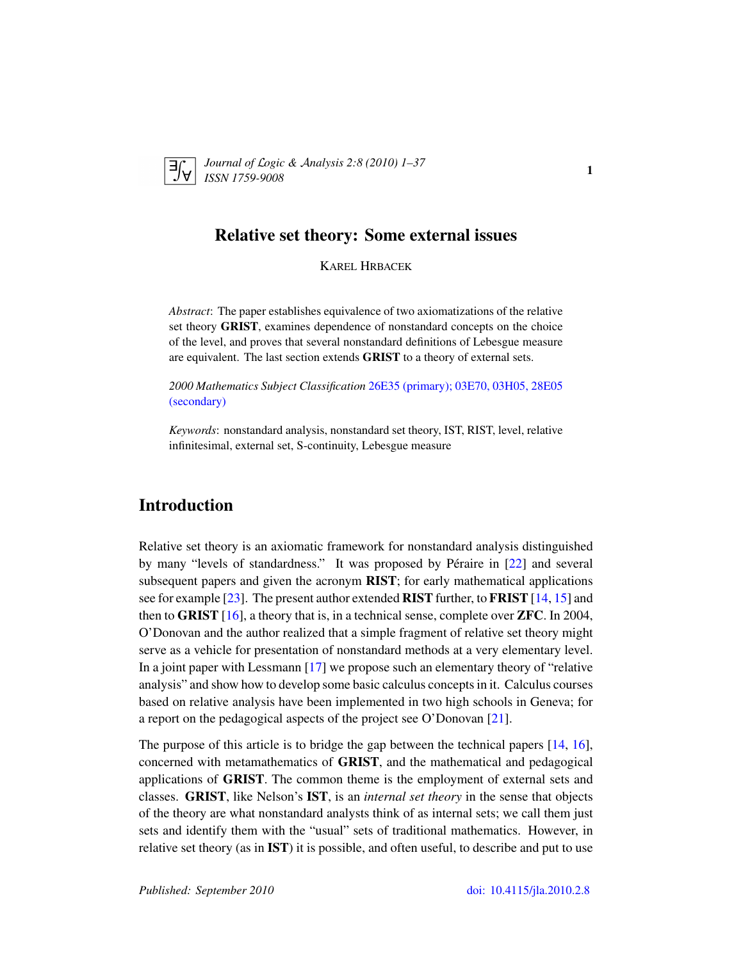

*Journal of* L*ogic &* A*nalysis 2:8 (2010) 1–37 ISSN 1759-9008* 1

# Relative set theory: Some external issues

KAREL HRBACEK

*Abstract*: The paper establishes equivalence of two axiomatizations of the relative set theory GRIST, examines dependence of nonstandard concepts on the choice of the level, and proves that several nonstandard definitions of Lebesgue measure are equivalent. The last section extends GRIST to a theory of external sets.

*2000 Mathematics Subject Classification* [26E35 \(primary\); 03E70, 03H05, 28E05](http://www.ams.org/mathscinet/search/mscdoc.html?code=26E35,(03E70, 03H05, 28E05)) [\(secondary\)](http://www.ams.org/mathscinet/search/mscdoc.html?code=26E35,(03E70, 03H05, 28E05))

*Keywords*: nonstandard analysis, nonstandard set theory, IST, RIST, level, relative infinitesimal, external set, S-continuity, Lebesgue measure

# Introduction

Relative set theory is an axiomatic framework for nonstandard analysis distinguished by many "levels of standardness." It was proposed by Péraire in [[22\]](#page-36-0) and several subsequent papers and given the acronym RIST; for early mathematical applications see for example [\[23\]](#page-36-1). The present author extended RIST further, to FRIST [\[14,](#page-35-0) [15\]](#page-36-2) and then to **GRIST** [\[16\]](#page-36-3), a theory that is, in a technical sense, complete over **ZFC**. In 2004, O'Donovan and the author realized that a simple fragment of relative set theory might serve as a vehicle for presentation of nonstandard methods at a very elementary level. In a joint paper with Lessmann [\[17\]](#page-36-4) we propose such an elementary theory of "relative analysis" and show how to develop some basic calculus concepts in it. Calculus courses based on relative analysis have been implemented in two high schools in Geneva; for a report on the pedagogical aspects of the project see O'Donovan [\[21\]](#page-36-5).

The purpose of this article is to bridge the gap between the technical papers [\[14,](#page-35-0) [16\]](#page-36-3), concerned with metamathematics of GRIST, and the mathematical and pedagogical applications of GRIST. The common theme is the employment of external sets and classes. GRIST, like Nelson's IST, is an *internal set theory* in the sense that objects of the theory are what nonstandard analysts think of as internal sets; we call them just sets and identify them with the "usual" sets of traditional mathematics. However, in relative set theory (as in IST) it is possible, and often useful, to describe and put to use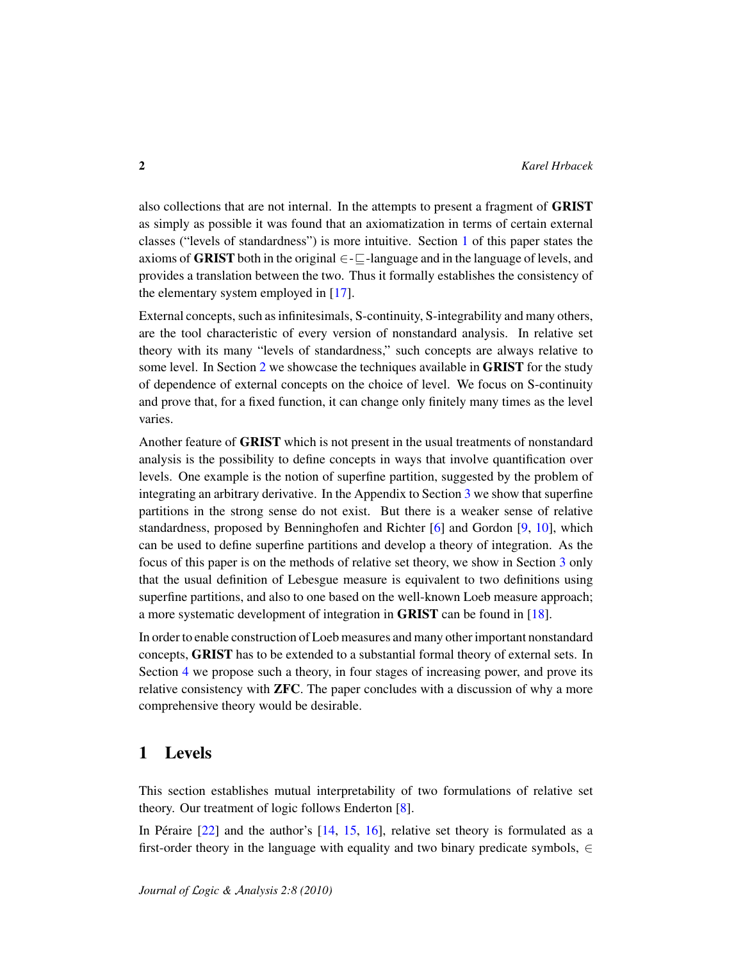also collections that are not internal. In the attempts to present a fragment of GRIST as simply as possible it was found that an axiomatization in terms of certain external classes ("levels of standardness") is more intuitive. Section [1](#page-1-0) of this paper states the axioms of **GRIST** both in the original  $\in$ - $\Box$ -language and in the language of levels, and provides a translation between the two. Thus it formally establishes the consistency of the elementary system employed in [\[17\]](#page-36-4).

External concepts, such as infinitesimals, S-continuity, S-integrability and many others, are the tool characteristic of every version of nonstandard analysis. In relative set theory with its many "levels of standardness," such concepts are always relative to some level. In Section [2](#page-13-0) we showcase the techniques available in GRIST for the study of dependence of external concepts on the choice of level. We focus on S-continuity and prove that, for a fixed function, it can change only finitely many times as the level varies.

Another feature of GRIST which is not present in the usual treatments of nonstandard analysis is the possibility to define concepts in ways that involve quantification over levels. One example is the notion of superfine partition, suggested by the problem of integrating an arbitrary derivative. In the Appendix to Section [3](#page-19-0) we show that superfine partitions in the strong sense do not exist. But there is a weaker sense of relative standardness, proposed by Benninghofen and Richter [\[6\]](#page-35-1) and Gordon [\[9,](#page-35-2) [10\]](#page-35-3), which can be used to define superfine partitions and develop a theory of integration. As the focus of this paper is on the methods of relative set theory, we show in Section [3](#page-19-0) only that the usual definition of Lebesgue measure is equivalent to two definitions using superfine partitions, and also to one based on the well-known Loeb measure approach; a more systematic development of integration in GRIST can be found in [\[18\]](#page-36-6).

In order to enable construction of Loeb measures and many other important nonstandard concepts, GRIST has to be extended to a substantial formal theory of external sets. In Section [4](#page-28-0) we propose such a theory, in four stages of increasing power, and prove its relative consistency with ZFC. The paper concludes with a discussion of why a more comprehensive theory would be desirable.

### <span id="page-1-0"></span>1 Levels

This section establishes mutual interpretability of two formulations of relative set theory. Our treatment of logic follows Enderton [\[8\]](#page-35-4).

In Péraire  $[22]$  $[22]$  and the author's  $[14, 15, 16]$  $[14, 15, 16]$  $[14, 15, 16]$  $[14, 15, 16]$  $[14, 15, 16]$ , relative set theory is formulated as a first-order theory in the language with equality and two binary predicate symbols,  $\in$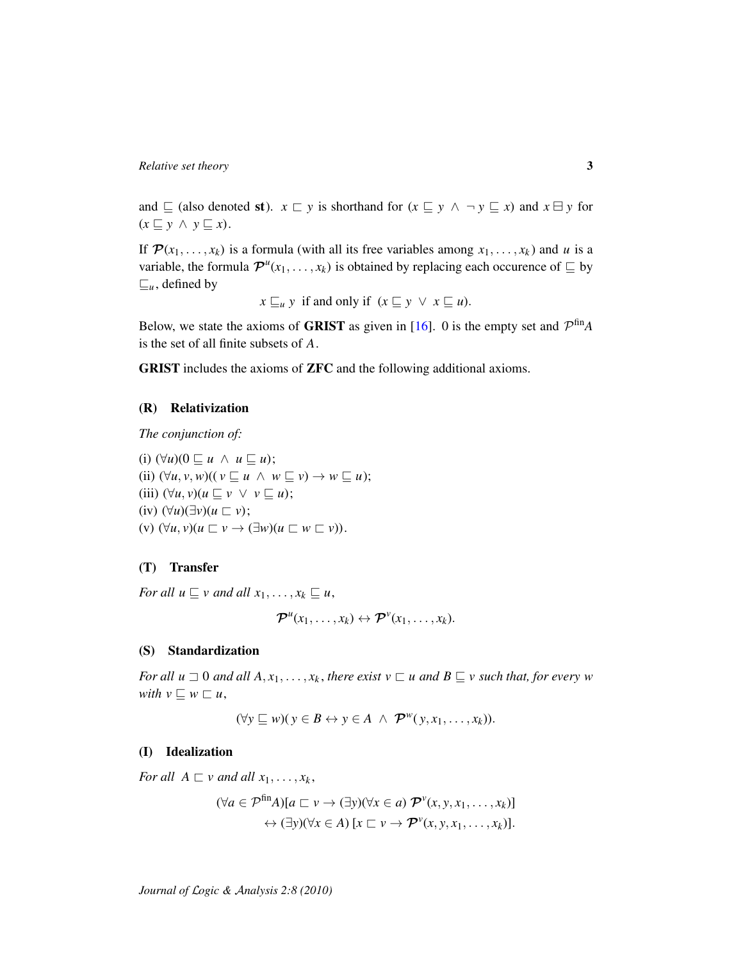and  $\sqsubseteq$  (also denoted st).  $x \sqsubset y$  is shorthand for  $(x \sqsubseteq y \land \neg y \sqsubseteq x)$  and  $x \sqcup y$  for  $(x \sqsubseteq y \land y \sqsubseteq x)$ .

If  $\mathcal{P}(x_1, \ldots, x_k)$  is a formula (with all its free variables among  $x_1, \ldots, x_k$ ) and *u* is a variable, the formula  $\mathcal{P}^{u}(x_1, \ldots, x_k)$  is obtained by replacing each occurence of  $\subseteq$  by  $\sqsubseteq_u$ , defined by

 $x \sqsubseteq_u y$  if and only if  $(x \sqsubseteq y \lor x \sqsubseteq u)$ .

Below, we state the axioms of **GRIST** as given in [\[16\]](#page-36-3). 0 is the empty set and  $\mathcal{P}^{\text{fin}}A$ is the set of all finite subsets of *A*.

GRIST includes the axioms of ZFC and the following additional axioms.

#### (R) Relativization

*The conjunction of:*

(i)  $(\forall u)(0 \sqsubseteq u \land u \sqsubseteq u);$ (ii)  $(\forall u, v, w)((v \sqsubseteq u \land w \sqsubseteq v) \rightarrow w \sqsubseteq u);$ (iii)  $(\forall u, v)(u \sqsubseteq v \lor v \sqsubseteq u);$  $(iv)$   $(\forall u)(\exists v)(u \sqsubset v);$  $(v)$   $(\forall u, v)(u \sqsubset v \rightarrow (\exists w)(u \sqsubset w \sqsubset v)).$ 

### (T) Transfer

*For all*  $u \sqsubseteq v$  *and all*  $x_1, \ldots, x_k \sqsubseteq u$ ,

$$
\boldsymbol{\mathcal{P}}^{u}(x_1,\ldots,x_k)\leftrightarrow \boldsymbol{\mathcal{P}}^{v}(x_1,\ldots,x_k).
$$

#### (S) Standardization

*For all u*  $\Box$  0 *and all*  $A, x_1, \ldots, x_k$ , *there exist*  $v \Box u$  *and*  $B \subseteq v$  *such that, for every w with*  $v \sqsubseteq w \sqsubseteq u$ ,

$$
(\forall y \sqsubseteq w)(y \in B \leftrightarrow y \in A \ \land \ \mathcal{P}^w(y, x_1, \ldots, x_k)).
$$

#### (I) Idealization

*For all*  $A \sqsubset v$  *and all*  $x_1, \ldots, x_k$ ,

$$
(\forall a \in \mathcal{P}^{\text{fin}}A)[a \sqsubset v \rightarrow (\exists y)(\forall x \in a) \mathcal{P}^{\nu}(x, y, x_1, \dots, x_k)]
$$

$$
\leftrightarrow (\exists y)(\forall x \in A) [x \sqsubset v \rightarrow \mathcal{P}^{\nu}(x, y, x_1, \dots, x_k)].
$$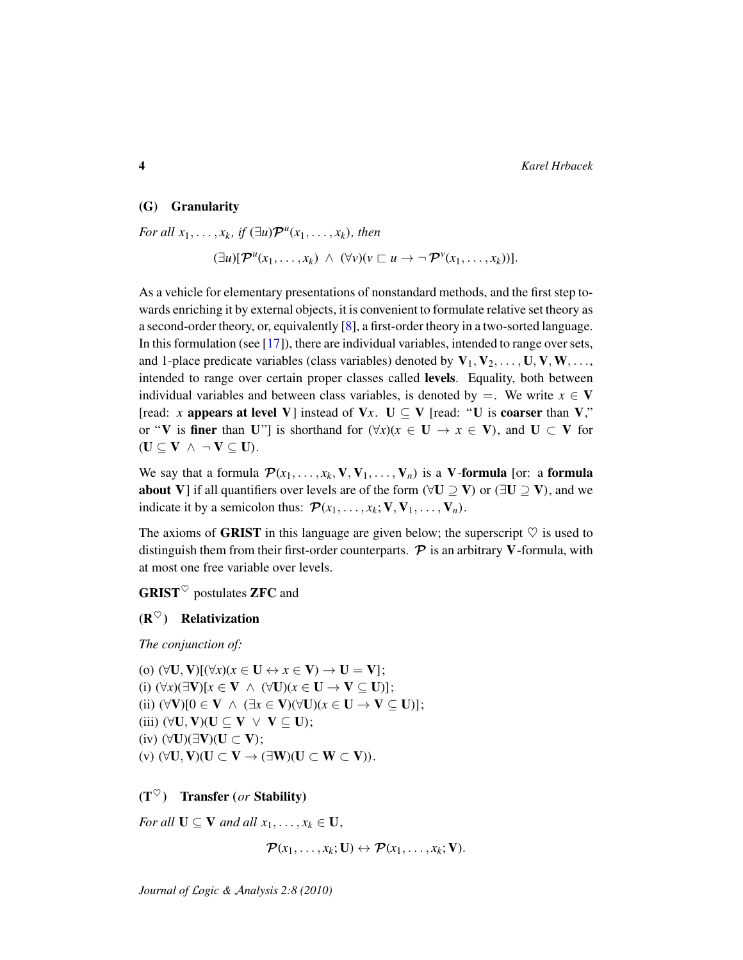#### (G) Granularity

*For all*  $x_1, \ldots, x_k$ *, if*  $(\exists u)\mathcal{P}^u(x_1, \ldots, x_k)$ *, then* 

$$
(\exists u)[\mathcal{P}^{u}(x_1,\ldots,x_k) \ \wedge \ (\forall v)(v \sqsubset u \rightarrow \neg \ \mathcal{P}^{v}(x_1,\ldots,x_k))].
$$

As a vehicle for elementary presentations of nonstandard methods, and the first step towards enriching it by external objects, it is convenient to formulate relative set theory as a second-order theory, or, equivalently [\[8\]](#page-35-4), a first-order theory in a two-sorted language. In this formulation (see [\[17\]](#page-36-4)), there are individual variables, intended to range over sets, and 1-place predicate variables (class variables) denoted by  $V_1, V_2, \ldots, U, V, W, \ldots$ intended to range over certain proper classes called levels. Equality, both between individual variables and between class variables, is denoted by  $=$ . We write  $x \in V$ [read: *x* appears at level V] instead of V*x*. U  $\subseteq$  V [read: "U is coarser than V," or "V is finer than U"] is shorthand for  $(\forall x)(x \in U \rightarrow x \in V)$ , and  $U \subset V$  for  $(U \subseteq V \wedge \neg V \subseteq U).$ 

We say that a formula  $\mathcal{P}(x_1, \ldots, x_k, V, V_1, \ldots, V_n)$  is a V-formula [or: a formula about V] if all quantifiers over levels are of the form ( $\forall U \supseteq V$ ) or ( $\exists U \supseteq V$ ), and we indicate it by a semicolon thus:  $\mathcal{P}(x_1, \ldots, x_k; \mathbf{V}, \mathbf{V}_1, \ldots, \mathbf{V}_n)$ .

The axioms of **GRIST** in this language are given below; the superscript  $\heartsuit$  is used to distinguish them from their first-order counterparts.  $P$  is an arbitrary V-formula, with at most one free variable over levels.

 $GRIST^{\heartsuit}$  postulates ZFC and

### $(R^{\heartsuit})$  Relativization

*The conjunction of:*

(o)  $(\forall U, V)[(\forall x)(x \in U \leftrightarrow x \in V) \rightarrow U = V];$ (i)  $(\forall x)(\exists V)[x \in V \land (\forall U)(x \in U \rightarrow V \subseteq U)];$ (ii)  $(\forall V)[0 \in V \land (\exists x \in V)(\forall U)(x \in U \rightarrow V \subseteq U)$ ]; (iii)  $(\forall U, V)(U \subseteq V \lor V \subseteq U);$ (iv)  $(∀U)(∃V)(U ⊂ V);$ (v)  $(\forall U, V)(U \subset V \rightarrow (\exists W)(U \subset W \subset V)).$ 

### $(T^{\heartsuit})$  Transfer (*or* Stability)

*For all*  $U \subseteq V$  *and all*  $x_1, \ldots, x_k \in U$ ,

 $\mathcal{P}(x_1, \ldots, x_k; \mathbf{U}) \leftrightarrow \mathcal{P}(x_1, \ldots, x_k; \mathbf{V}).$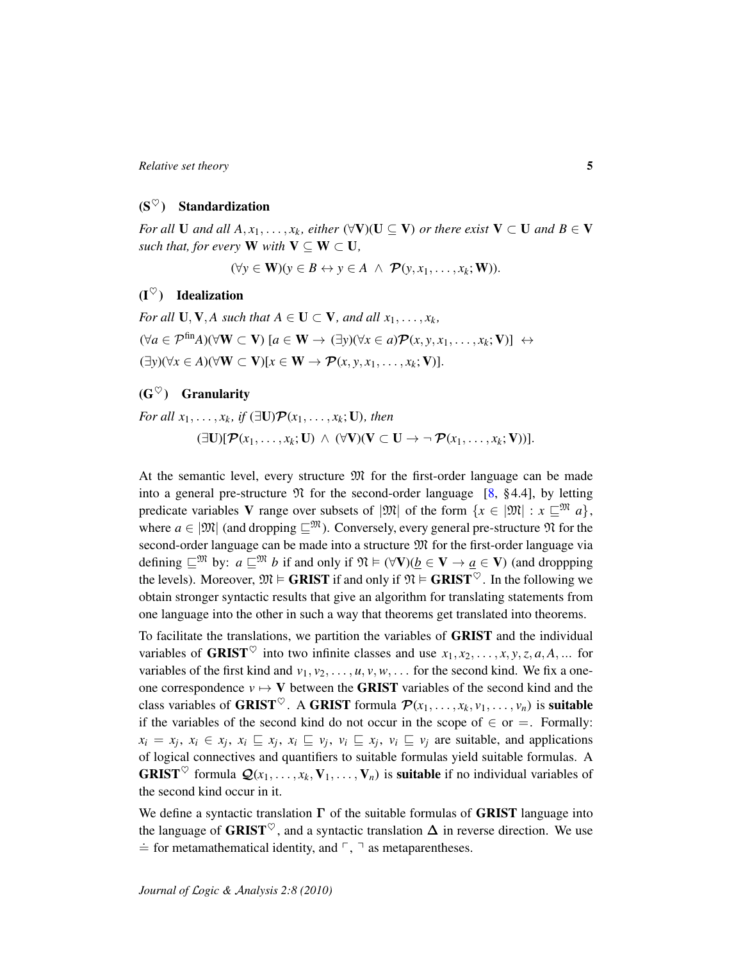### $(S^{\heartsuit})$  Standardization

*For all* **U** *and all*  $A, x_1, \ldots, x_k$ , *either* ( $\forall$ **V**)(**U**  $\subseteq$ **V**) *or there exist* **V**  $\subset$  **U** *and*  $B \in$ **V** *such that, for every* **W** *with*  $V \subseteq W \subset U$ *,* 

 $(\forall y \in \mathbf{W})(y \in B \leftrightarrow y \in A \land \mathcal{P}(y, x_1, \dots, x_k; \mathbf{W}))$ .

# $(I^{\heartsuit})$  Idealization

*For all*  $\mathbf{U}, \mathbf{V}, A$  *such that*  $A \in \mathbf{U} \subset \mathbf{V}$ *, and all*  $x_1, \ldots, x_k$ *,*  $(\forall a \in \mathcal{P}^{\text{fin}}A)(\forall \mathbf{W} \subset \mathbf{V})$  [ $a \in \mathbf{W} \rightarrow (\exists y)(\forall x \in a)\mathcal{P}(x, y, x_1, \dots, x_k; \mathbf{V})$ ] ↔  $(\exists y)(\forall x \in A)(\forall \mathbf{W} \subset \mathbf{V})[x \in \mathbf{W} \rightarrow \mathcal{P}(x, y, x_1, \dots, x_k; \mathbf{V})].$ 

# $(G^{\heartsuit})$  Granularity

*For all*  $x_1, \ldots, x_k$ *, if*  $(\exists \mathbf{U}) \mathcal{P}(x_1, \ldots, x_k; \mathbf{U})$ *, then*  $(\exists U)[\mathcal{P}(x_1,\ldots,x_k;U) \wedge (\forall V)(V \subset U \rightarrow \neg \mathcal{P}(x_1,\ldots,x_k;V))].$ 

At the semantic level, every structure  $\mathfrak{M}$  for the first-order language can be made into a general pre-structure  $\mathfrak N$  for the second-order language [\[8,](#page-35-4) §4.4], by letting predicate variables V range over subsets of  $|\mathfrak{M}|$  of the form  $\{x \in |\mathfrak{M}| : x \sqsubseteq \mathfrak{M} \}$ , where  $a \in |\mathfrak{M}|$  (and dropping  $\sqsubseteq^{\mathfrak{M}}$ ). Conversely, every general pre-structure  $\mathfrak{N}$  for the second-order language can be made into a structure  $\mathfrak{M}$  for the first-order language via defining  $\subseteq^{\mathfrak{M}}$  by:  $a \sqsubseteq^{\mathfrak{M}} b$  if and only if  $\mathfrak{N} \models (\forall \mathbf{V})(b \in \mathbf{V} \rightarrow a \in \mathbf{V})$  (and droppping the levels). Moreover,  $\mathfrak{M} \models$  **GRIST** if and only if  $\mathfrak{N} \models$  **GRIST**<sup> $\heartsuit$ </sup>. In the following we obtain stronger syntactic results that give an algorithm for translating statements from one language into the other in such a way that theorems get translated into theorems.

To facilitate the translations, we partition the variables of GRIST and the individual variables of **GRIST**<sup> $\heartsuit$ </sup> into two infinite classes and use  $x_1, x_2, \ldots, x, y, z, a, A, \ldots$  for variables of the first kind and  $v_1, v_2, \ldots, u, v, w, \ldots$  for the second kind. We fix a oneone correspondence  $v \mapsto V$  between the **GRIST** variables of the second kind and the class variables of **GRIST**<sup> $\heartsuit$ </sup>. A **GRIST** formula  $\mathcal{P}(x_1, \ldots, x_k, v_1, \ldots, v_n)$  is **suitable** if the variables of the second kind do not occur in the scope of  $\in$  or  $=$ . Formally:  $x_i = x_j, x_i \in x_j, x_i \sqsubseteq x_j, x_i \sqsubseteq v_j, v_i \sqsubseteq x_j, v_i \sqsubseteq v_j$  are suitable, and applications of logical connectives and quantifiers to suitable formulas yield suitable formulas. A **GRIST**<sup> $\heartsuit$ </sup> formula  $\mathcal{Q}(x_1, \ldots, x_k, V_1, \ldots, V_n)$  is **suitable** if no individual variables of the second kind occur in it.

We define a syntactic translation  $\Gamma$  of the suitable formulas of GRIST language into the language of GRIST<sup> $\heartsuit$ </sup>, and a syntactic translation  $\Delta$  in reverse direction. We use  $\dot{=}$  for metamathematical identity, and  $\ulcorner$ ,  $\urcorner$  as metaparentheses.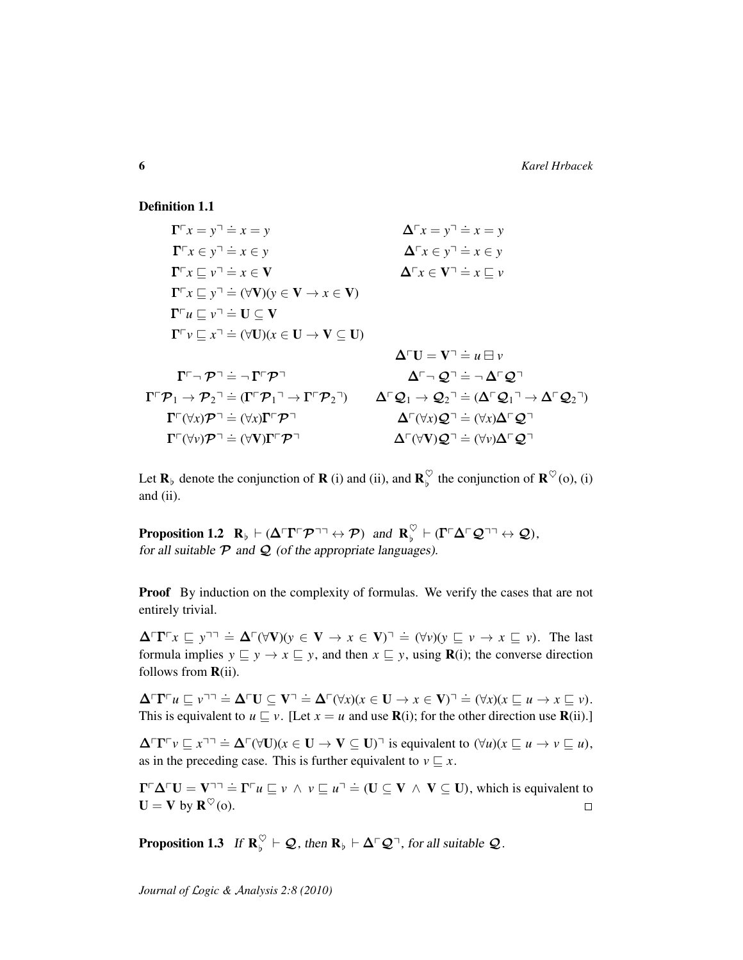Definition 1.1

 $\Gamma^{\sqcap} x = y^{\sqcap} \doteq x = y$  $\dot{=} x = y$   $\Delta^{\neg} x = y^{\neg} \dot{=} x = y$  $\Gamma \ulcorner x \in y \urcorner \doteq x \in y$  $\Rightarrow x \in y$   $\Delta \Gamma x \in y^{\square} \Rightarrow x \in y$  $\Gamma \ulcorner x \sqsubseteq v \urcorner \doteq x \in V$  $\Rightarrow x \in V$   $\Delta \ulcorner x \in V \urcorner \Rightarrow x \sqsubseteq v$  $\mathbf{\Gamma} \ulcorner x \sqsubseteq y \urcorner \doteq (\forall \mathbf{V})(y \in \mathbf{V} \rightarrow x \in \mathbf{V})$  $\mathbf{\Gamma} \ulcorner u \sqsubseteq v \urcorner \doteq \mathbf{U} \subseteq \mathbf{V}$  $\mathbf{\Gamma} \ulcorner v \sqsubseteq x \urcorner \doteq (\forall \mathbf{U})(x \in \mathbf{U} \rightarrow \mathbf{V} \subseteq \mathbf{U})$  $\Delta \cap U = V^{\dagger} \doteq u \boxminus v$  $\Gamma \cap \mathcal{P} \rightrightarrows \neg \Gamma \ulcorner \mathcal{P} \urcorner$   $\Delta \ulcorner \neg \mathcal{Q} \urcorner$  $\Delta^{\vdash} \neg \mathcal{Q}^{\vdash} = \neg \Delta^{\vdash} \mathcal{Q}^{\vdash}$  $\Gamma \ulcorner \mathcal{P}_1 \to \mathcal{P}_2 \urcorner \doteq (\Gamma \ulcorner \mathcal{P}_1 \urcorner \to \Gamma \ulcorner \mathcal{P}_2 \urcorner) \qquad \Delta \ulcorner \mathcal{Q}_1 \to \mathcal{Q}_2 \urcorner \doteq (\Delta \ulcorner \mathcal{Q}_1 \urcorner \to \Delta \ulcorner \mathcal{Q}_2 \urcorner)$  $\Gamma \ulcorner (\forall x) \mathcal{P} \urcorner \doteq (\forall x) \Gamma \ulcorner \mathcal{P} \urcorner$   $\Delta \ulcorner (\forall x) \mathcal{Q} \urcorner$  $\Delta \Gamma(\forall x)$ Ω<sup>¬</sup> $\doteq$  ( $\forall x$ ) $\Delta \Gamma$  Ω<sup>¬</sup>  $\Gamma^{\sqcap}(\forall v)\mathcal{P}^{\sqcap} \doteq (\forall V)\Gamma^{\sqcap}\mathcal{P}^{\sqcap}$   $\Delta^{\sqcap}(\forall V)\mathcal{Q}^{\sqcap}$  $\Delta \Gamma(\forall V) \mathcal{Q}^{\neg} \doteq (\forall v) \Delta \Gamma \mathcal{Q}^{\neg}$ 

Let  $\mathbf{R}_{\flat}$  denote the conjunction of **R** (i) and (ii), and  $\mathbf{R}_{\flat}^{\heartsuit}$  $\int_{b}^{\heartsuit}$  the conjunction of  $\mathbf{R}^{\heartsuit}(0)$ , (i) and (ii).

<span id="page-5-0"></span>**Proposition 1.2**  $\mathbf{R}_{\flat} \vdash (\Delta \ulcorner \mathbf{\Gamma} \ulcorner \mathcal{P} \urcorner \urcorner \leftrightarrow \mathcal{P})$  and  $\mathbf{R}_{\flat}^{\heartsuit}$  $\begin{array}{c} \heartsuit \ \heartsuit \ \heartsuit \end{array} \vdash (\mathbf{\Gamma} \ulcorner \Delta \ulcorner \mathcal{Q} \urcorner \urcorner \leftrightarrow \mathcal{Q}),$ for all suitable  $P$  and  $Q$  (of the appropriate languages).

**Proof** By induction on the complexity of formulas. We verify the cases that are not entirely trivial.

 $\Delta \Gamma \Gamma^{\top} x \subseteq y^{\top \top} \doteq \Delta^{\top} (\forall \mathbf{V})(y \in \mathbf{V} \rightarrow x \in \mathbf{V})^{\top} \doteq (\forall v)(y \subseteq v \rightarrow x \subseteq v)$ . The last formula implies  $y \subseteq y \rightarrow x \subseteq y$ , and then  $x \subseteq y$ , using **R**(i); the converse direction follows from  $\mathbf{R}$ (ii).

 $\Delta^{\Box}\Gamma^{\Box}u \sqsubseteq v^{\Box \Box} \doteq \Delta^{\Box}U \subseteq V^{\Box} \doteq \Delta^{\Box}(\forall x)(x \in U \rightarrow x \in V)^{\Box} \doteq (\forall x)(x \sqsubseteq u \rightarrow x \sqsubseteq v).$ This is equivalent to  $u \sqsubseteq v$ . [Let  $x = u$  and use **R**(i); for the other direction use **R**(ii).]

 $\Delta \Gamma \Gamma^{\vdash} v \sqsubseteq x^{\neg \neg} \doteq \Delta^{\vdash}(\forall \mathbf{U})(x \in \mathbf{U} \rightarrow \mathbf{V} \subseteq \mathbf{U})^{\neg}$  is equivalent to  $(\forall u)(x \sqsubseteq u \rightarrow v \sqsubseteq u)$ , as in the preceding case. This is further equivalent to  $v \sqsubseteq x$ .

 $\Gamma \Gamma \Delta \Gamma U = \mathbf{V} \Gamma \Gamma \vdash u \sqsubseteq v \land v \sqsubseteq u \Gamma \doteq (\mathbf{U} \subseteq \mathbf{V} \land \mathbf{V} \subseteq \mathbf{U})$ , which is equivalent to  $\mathbf{U} = \mathbf{V}$  by  $\mathbf{R}^{\heartsuit}(\mathbf{o}).$  $\Box$ 

<span id="page-5-1"></span>**Proposition 1.3** If  $\mathbf{R}_{b}^{\heartsuit}$  $\int_{b}^{\heartsuit} \vdash \mathcal{Q}$ , then  $\mathbf{R}_{b} \vdash \Delta \ulcorner \mathcal{Q} \urcorner$ , for all suitable  $\mathcal{Q}$ .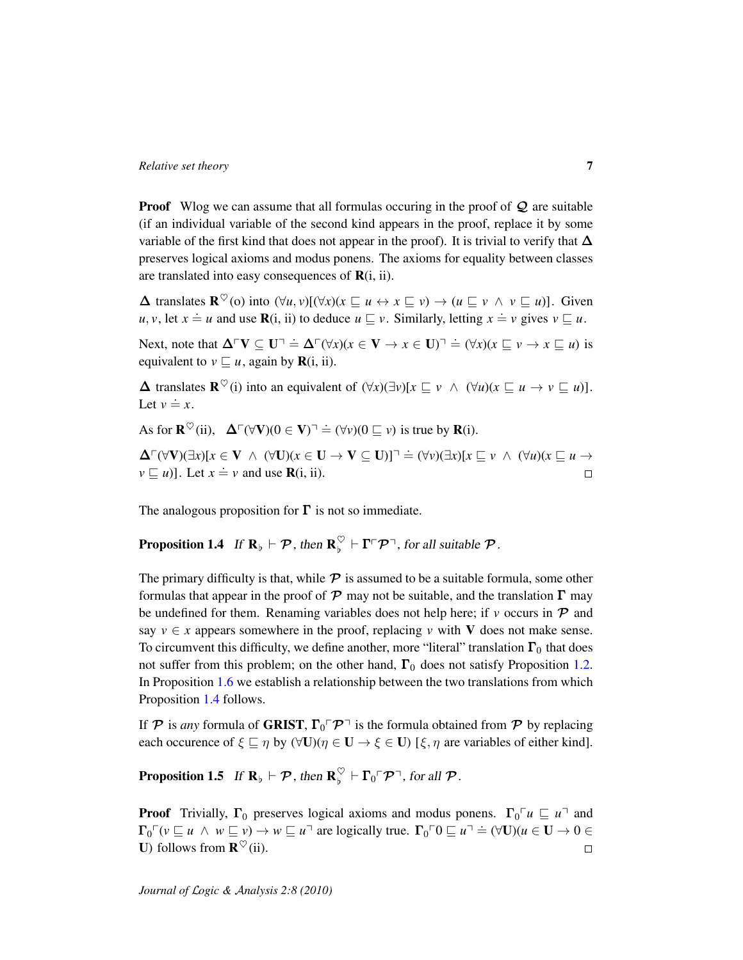**Proof** Wlog we can assume that all formulas occuring in the proof of  $Q$  are suitable (if an individual variable of the second kind appears in the proof, replace it by some variable of the first kind that does not appear in the proof). It is trivial to verify that  $\Delta$ preserves logical axioms and modus ponens. The axioms for equality between classes are translated into easy consequences of  $\mathbf{R}(i, ii)$ .

 $\Delta$  translates  $\mathbf{R}^{\heartsuit}(0)$  into  $(\forall u, v)[(\forall x)(x \sqsubseteq u \leftrightarrow x \sqsubseteq v) \rightarrow (u \sqsubseteq v \land v \sqsubseteq u)]$ . Given *u*, *v*, let  $x = u$  and use **R**(i, ii) to deduce  $u \subseteq v$ . Similarly, letting  $x = v$  gives  $v \subseteq u$ .

Next, note that  $\Delta \cap V \subseteq U$ <sup> $\exists \Delta \cap (\forall x)(x \in V \rightarrow x \in U)$ <sup> $\exists \Delta \in (\forall x)(x \sqsubseteq v \rightarrow x \sqsubseteq u)$  is</sup></sup> equivalent to  $v \sqsubseteq u$ , again by **R**(i, ii).

 $\Delta$  translates  $\mathbf{R}^{\heartsuit}(i)$  into an equivalent of  $(\forall x)(\exists v)[x \sqsubseteq v \land (\forall u)(x \sqsubseteq u \rightarrow v \sqsubseteq u)]$ . Let  $v \doteq x$ .

As for  $\mathbf{R}^{\heartsuit}$ (ii),  $\Delta^{\ulcorner}(\forall \mathbf{V})(0 \in \mathbf{V})^{\urcorner} \doteq (\forall v)(0 \sqsubseteq v)$  is true by  $\mathbf{R}(i)$ .

 $\Delta^{\Box}(\forall V)(\exists x)[x \in V \land (\forall U)(x \in U \rightarrow V \subseteq U)]^{\Box} \doteq (\forall v)(\exists x)[x \sqsubseteq v \land (\forall u)(x \sqsubseteq u \rightarrow v)$  $v \subseteq u$ ]. Let  $x = v$  and use **R**(i, ii).  $\Box$ 

The analogous proposition for  $\Gamma$  is not so immediate.

#### <span id="page-6-0"></span>**Proposition 1.4** If  $\mathbf{R}_{\flat} \vdash \mathcal{P}$ , then  $\mathbf{R}_{\flat}^{\heartsuit}$  $\int_{\phi}^{\heartsuit} \vdash \Gamma \ulcorner \mathcal{P} \urcorner$ , for all suitable  $\mathcal{P}$ .

The primary difficulty is that, while  $\mathcal P$  is assumed to be a suitable formula, some other formulas that appear in the proof of  $P$  may not be suitable, and the translation  $\Gamma$  may be undefined for them. Renaming variables does not help here; if  $\nu$  occurs in  $\mathcal P$  and say  $v \in x$  appears somewhere in the proof, replacing v with V does not make sense. To circumvent this difficulty, we define another, more "literal" translation  $\Gamma_0$  that does not suffer from this problem; on the other hand,  $\Gamma_0$  does not satisfy Proposition [1.2.](#page-5-0) In Proposition [1.6](#page-7-0) we establish a relationship between the two translations from which Proposition [1.4](#page-6-0) follows.

If  $P$  is *any* formula of GRIST,  $\Gamma_0 \Gamma P$ <sup> $\top$ </sup> is the formula obtained from P by replacing each occurence of  $\xi \sqsubseteq \eta$  by  $(\forall \mathbf{U})(\eta \in \mathbf{U} \rightarrow \xi \in \mathbf{U})$  [ $\xi, \eta$  are variables of either kind].

**Proposition 1.5**  $\text{ If } \mathbf{R}_\flat \vdash \mathcal{P}, \text{ then } \mathbf{R}_\flat^\heartsuit$  $\int_{\mathfrak{b}}^{\heartsuit} \vdash \Gamma_0 \ulcorner \mathcal{P} \urcorner$ , for all  $\mathcal{P}$ .

**Proof** Trivially,  $\Gamma_0$  preserves logical axioms and modus ponens.  $\Gamma_0 \subset \mathcal{U} \subset \mathcal{U}$  and  $\Gamma_0 \cap (v \sqsubseteq u \land w \sqsubseteq v) \rightarrow w \sqsubseteq u$ <sup>-</sup> are logically true.  $\Gamma_0 \cap 0 \sqsubseteq u$ <sup>-</sup>  $\Rightarrow$  ( $\forall$ U)( $u \in U \rightarrow 0 \in$ **U**) follows from  $\mathbf{R}^{\heartsuit}$  (ii).  $\Box$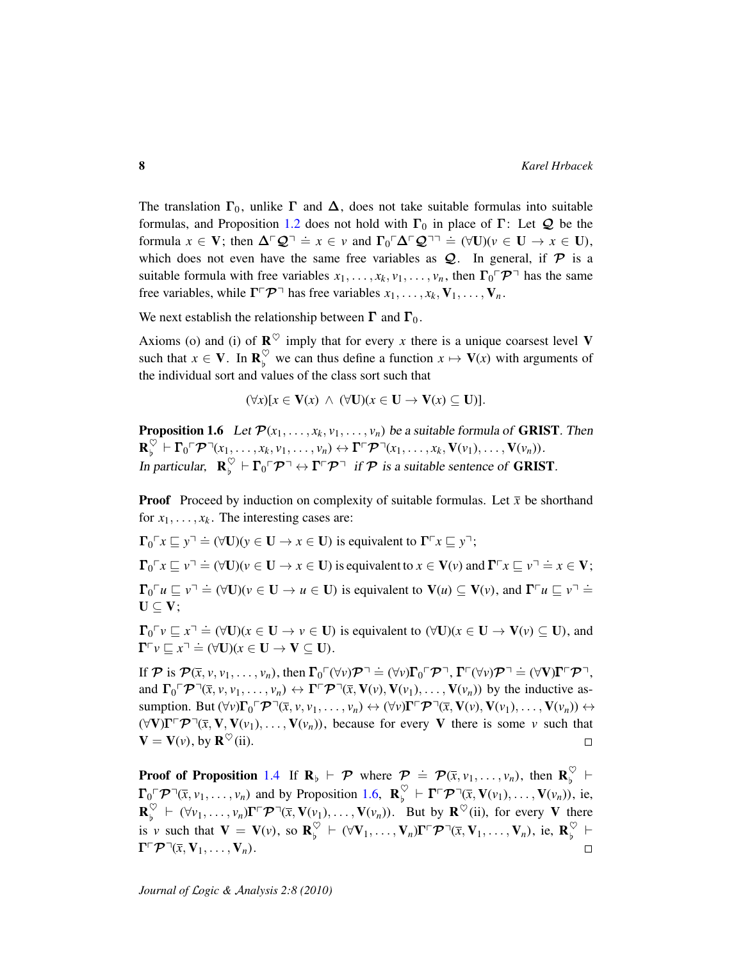The translation  $\Gamma_0$ , unlike  $\Gamma$  and  $\Delta$ , does not take suitable formulas into suitable formulas, and Proposition [1.2](#page-5-0) does not hold with  $\Gamma_0$  in place of  $\Gamma$ : Let  $\mathcal Q$  be the formula  $x \in V$ ; then  $\Delta^{\Gamma} Q^{\gamma} = x \in v$  and  $\Gamma_0 \Gamma \Delta^{\Gamma} Q^{\gamma} \equiv (\forall U)(v \in U \rightarrow x \in U)$ , which does not even have the same free variables as  $Q$ . In general, if  $P$  is a suitable formula with free variables  $x_1, \ldots, x_k, v_1, \ldots, v_n$ , then  $\Gamma_0 \Gamma \mathcal{P}^{\top}$  has the same free variables, while  $\Gamma \subset \mathcal{P}$ <sup> $\top$ </sup> has free variables  $x_1, \ldots, x_k, V_1, \ldots, V_n$ .

We next establish the relationship between  $\Gamma$  and  $\Gamma_0$ .

Axioms (o) and (i) of  $\mathbb{R}^{\heartsuit}$  imply that for every *x* there is a unique coarsest level **V** such that  $x \in \mathbf{V}$ . In  $\mathbf{R}_{b}^{\heartsuit}$  $\int_{b}^{\sqrt{2}}$  we can thus define a function  $x \mapsto \mathbf{V}(x)$  with arguments of the individual sort and values of the class sort such that

$$
(\forall x)[x \in V(x) \land (\forall U)(x \in U \to V(x) \subseteq U)].
$$

<span id="page-7-0"></span>**Proposition 1.6** Let  $\mathcal{P}(x_1, \ldots, x_k, v_1, \ldots, v_n)$  be a suitable formula of **GRIST**. Then  $\mathbf{R}_{\mathrm{b}}^{\heartsuit}$  $\big\{ \nabla_{\mathbf{b}} \nabla \mathbf{P} \neg (x_1, \ldots, x_k, v_1, \ldots, v_n) \leftrightarrow \mathbf{\Gamma} \ulcorner \mathcal{\mathcal{P}} \urcorner (x_1, \ldots, x_k, \mathbf{V}(v_1), \ldots, \mathbf{V}(v_n)).$ In particular,  $\mathbf{R}_{b}^{\heartsuit}$  $\int_{b}^{\heartsuit} \vdash \Gamma_0 \ulcorner \mathcal{P} \urcorner \leftrightarrow \Gamma \ulcorner \mathcal{P} \urcorner$  if  $\mathcal{P}$  is a suitable sentence of **GRIST**.

**Proof** Proceed by induction on complexity of suitable formulas. Let  $\bar{x}$  be shorthand for  $x_1, \ldots, x_k$ . The interesting cases are:

 $\Gamma_0 \subset \Gamma_x \subseteq y \cap \doteq (\forall \mathbf{U})(y \in \mathbf{U} \rightarrow x \in \mathbf{U})$  is equivalent to  $\Gamma \subset \Gamma_x \subseteq y \cap \mathbf{U}$ ;

 $\Gamma_0 \subset \Gamma_x \subseteq v \subset \Gamma \Rightarrow ( \forall \mathbf{U}) (v \in \mathbf{U} \rightarrow x \in \mathbf{U})$  is equivalent to  $x \in \mathbf{V}(v)$  and  $\Gamma \subset \Gamma_x \subseteq v \cap \Rightarrow x \in \mathbf{V}$ ;  $\Gamma_0 \cap u \subseteq v \cap \doteq (\forall U)(v \in U \rightarrow u \in U)$  is equivalent to  $V(u) \subseteq V(v)$ , and  $\Gamma \cap u \subseteq v \cap \doteq$  $U \subseteq V$ ;

 $\Gamma_0 \subset V \subseteq x^{\top} \doteq (\forall U)(x \in U \rightarrow v \in U)$  is equivalent to  $(\forall U)(x \in U \rightarrow V(v) \subseteq U)$ , and  $\Gamma^{\sqcap} v \sqsubseteq x^{\sqcap} \doteq (\forall \mathbf{U})(x \in \mathbf{U} \rightarrow \mathbf{V} \subseteq \mathbf{U}).$ 

If  $\mathcal{P}$  is  $\mathcal{P}(\bar{x}, v, v_1, \dots, v_n)$ , then  $\Gamma_0 \ulcorner (\forall v) \mathcal{P} \urcorner \doteq (\forall v) \Gamma_0 \ulcorner \mathcal{P} \urcorner$ ,  $\Gamma \ulcorner (\forall v) \mathcal{P} \urcorner \doteq (\forall V) \Gamma \ulcorner \mathcal{P} \urcorner$ , and  $\Gamma_0 \Gamma \mathcal{P}^{\square}(\bar{x}, v, v_1, \dots, v_n) \leftrightarrow \Gamma \Gamma \mathcal{P}^{\square}(\bar{x}, V(v), V(v_1), \dots, V(v_n))$  by the inductive assumption. But  $(\forall v)\Gamma_0 \Gamma \mathcal{P}^{\neg}(\overline{x}, v, v_1, \dots, v_n) \leftrightarrow (\forall v)\Gamma \Gamma \mathcal{P}^{\neg}(\overline{x}, \mathbf{V}(v), \mathbf{V}(v_1), \dots, \mathbf{V}(v_n)) \leftrightarrow$  $(\forall V)\Gamma\Gamma\mathcal{P}(\bar{x}, V, V(\bar{v}_1), \ldots, V(\bar{v}_n))$ , because for every V there is some *v* such that  $\mathbf{V} = \mathbf{V}(v)$ , by  $\mathbf{R}^{\heartsuit}$  (ii).  $\Box$ 

**Proof of Proposition** [1.4](#page-6-0) If  $\mathbf{R}_{\flat} \vdash \mathcal{P}$  where  $\mathcal{P} \doteq \mathcal{P}(\bar{x}, v_1, \dots, v_n)$ , then  $\mathbf{R}_{\flat}^{\heartsuit}$  $\begin{matrix} \vee \\ \vdots \end{matrix}$  $\Gamma_0 \subset \mathcal{P} \subset \left(\overline{x}, v_1, \ldots, v_n\right)$  and by Proposition [1.6,](#page-7-0)  $\mathbf{R}_{\flat}^{\heartsuit}$  $\int_{b}^{\heartsuit}$   $\vdash \Gamma \Gamma \mathcal{P} \Gamma(\overline{x}, \mathbf{V}(v_1), \ldots, \mathbf{V}(v_n)),$  ie,  $\mathbf{R}_{\mathrm{b}}^{\bigcirc}$  $\int_{b}^{\heartsuit} \vdash (\forall v_1, \ldots, v_n) \Gamma \Gamma \mathcal{P} \Gamma(\bar{x}, V(v_1), \ldots, V(v_n)).$  But by  $\mathbb{R}^{\heartsuit}$  (ii), for every V there is *v* such that  $V = V(v)$ , so  $\mathbf{R}_{b}^{\heartsuit}$  $\big\{ \big\downarrow^{\heartsuit} \ \vdash \ (\forall \mathbf{V}_1, \dots, \mathbf{V}_n) \Gamma \ulcorner \mathcal{P} \urcorner (\overline{x}, \mathbf{V}_1, \dots, \mathbf{V}_n), \ \text{ie}, \ \mathbf{R}_{\flat}^{\heartsuit} \}$  $\begin{matrix} \vee \\ \vdots \end{matrix}$  $\Gamma \Gamma \mathcal{P} \Gamma (\bar{x}, V_1, \ldots, V_n).$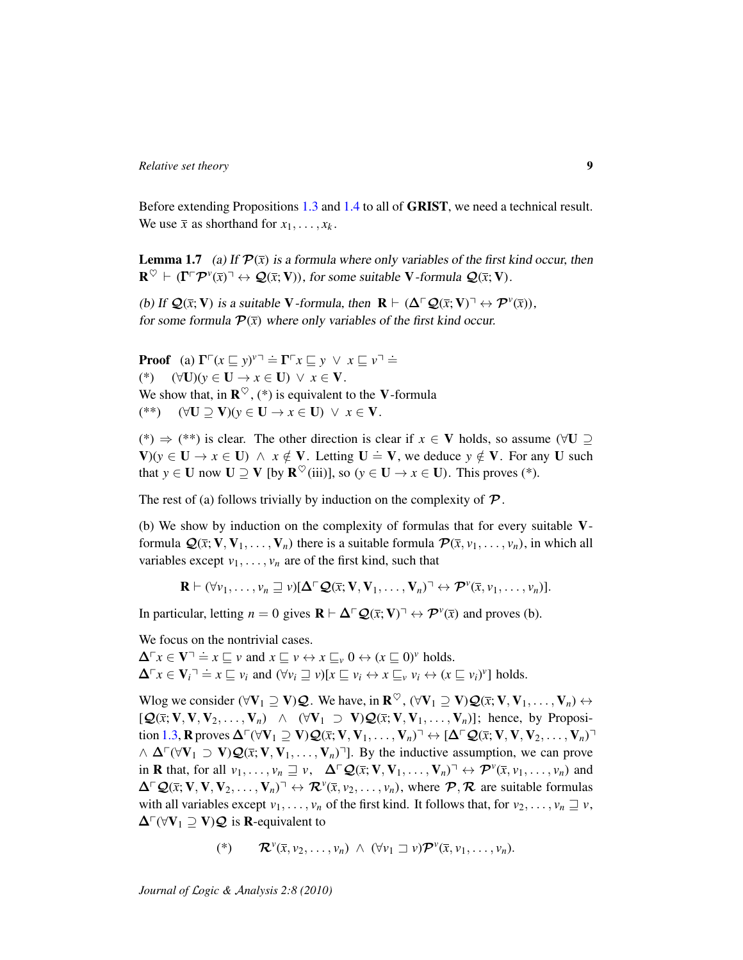Before extending Propositions [1.3](#page-5-1) and [1.4](#page-6-0) to all of GRIST, we need a technical result. We use  $\bar{x}$  as shorthand for  $x_1, \ldots, x_k$ .

<span id="page-8-0"></span>**Lemma 1.7** (a) If  $\mathcal{P}(\bar{x})$  is a formula where only variables of the first kind occur, then  $\mathbf{R}^{\heartsuit} \vdash (\Gamma \ulcorner \mathcal{P}^{\nu}(\bar{x}) \urcorner \leftrightarrow \mathcal{Q}(\bar{x}; V))$ , for some suitable V-formula  $\mathcal{Q}(\bar{x}; V)$ .

(b) If  $\mathcal{Q}(\bar{x}; V)$  is a suitable V-formula, then  $R \vdash (\Delta \Gamma \mathcal{Q}(\bar{x}; V) \urcorner \leftrightarrow \mathcal{P}^{\nu}(\bar{x})),$ for some formula  $\mathcal{P}(\bar{x})$  where only variables of the first kind occur.

**Proof** (a)  $\Gamma \Gamma (x \sqsubseteq y)^{y}$ <sup> $\Gamma \doteq \Gamma \Gamma x \sqsubseteq y \ \lor \ x \sqsubseteq y$ <sup> $\Gamma \doteq \Gamma$ </sup></sup> (\*) (∀U)(*y* ∈ U → *x* ∈ U) ∨ *x* ∈ V. We show that, in  $\mathbb{R}^{\heartsuit}$ , (\*) is equivalent to the V-formula (\*\*) (∀U ⊇ V)(*y* ∈ U → *x* ∈ U) ∨ *x* ∈ V.

(\*)  $\Rightarrow$  (\*\*) is clear. The other direction is clear if *x* ∈ V holds, so assume ( $\forall$ U ⊇  $V(y) \rightarrow V(y)$  is true only and determine the contract  $V = V$ . The contract  $V = \frac{1}{2}$ that  $y \in U$  now  $U \supseteq V$  [by  $\mathbf{R}^{\heartsuit}$ (iii)], so ( $y \in U \rightarrow x \in U$ ). This proves (\*).

The rest of (a) follows trivially by induction on the complexity of  $\mathcal{P}$ .

(b) We show by induction on the complexity of formulas that for every suitable Vformula  $\mathcal{Q}(\bar{x}; V, V_1, \ldots, V_n)$  there is a suitable formula  $\mathcal{P}(\bar{x}, v_1, \ldots, v_n)$ , in which all variables except  $v_1, \ldots, v_n$  are of the first kind, such that

 $\mathbf{R} \vdash (\forall v_1, \ldots, v_n \sqsupseteq v)[\Delta \ulcorner \mathcal{Q}(\bar{x}; \mathbf{V}, \mathbf{V}_1, \ldots, \mathbf{V}_n) \urcorner \leftrightarrow \mathcal{P}^v(\bar{x}, v_1, \ldots, v_n)].$ 

In particular, letting  $n = 0$  gives  $\mathbf{R} \vdash \Delta \Box \mathcal{Q}(\bar{x}; \mathbf{V}) \Box \leftrightarrow \mathcal{P}^{\nu}(\bar{x})$  and proves (b).

We focus on the nontrivial cases.

 $\Delta^r x \in \mathbf{V}^{\top} \doteq x \sqsubseteq v$  and  $x \sqsubseteq v \leftrightarrow x \sqsubseteq_v 0 \leftrightarrow (x \sqsubseteq 0)^v$  holds.  $\Delta^r x \in V_i^- \Rightarrow x \sqsubseteq v_i$  and  $(\forall v_i \sqsupseteq v) [x \sqsubseteq v_i \leftrightarrow x \sqsubseteq_v v_i \leftrightarrow (x \sqsubseteq v_i)^v]$  holds.

Wlog we consider ( $\forall \mathbf{V}_1 \supseteq \mathbf{V} \mathbf{\cal Q}$ . We have, in  $\mathbf{R}^{\heartsuit}$ , ( $\forall \mathbf{V}_1 \supseteq \mathbf{V} \mathbf{\cal Q}(\overline{x}; \mathbf{V}, \mathbf{V}_1, \dots, \mathbf{V}_n) \leftrightarrow$  $[Q(\bar{x}; V, V, V_2, \ldots, V_n) \land (\forall V_1 \supset V)Q(\bar{x}; V, V_1, \ldots, V_n)]$ ; hence, by Proposi-tion [1.3,](#page-5-1) R proves  $\Delta \Gamma(\forall V_1 \supseteq V) \mathcal{Q}(\bar{x}; V, V_1, \ldots, V_n)$ <sup> $\top \leftrightarrow [\Delta \Gamma \mathcal{Q}(\bar{x}; V, V, V_2, \ldots, V_n)$ <sup> $\top$ </sup></sup>  $\wedge \Delta \Gamma(\forall V_1 \supset V) \mathcal{Q}(\bar{x}; V, V_1, \ldots, V_n)$ ]. By the inductive assumption, we can prove in **R** that, for all  $v_1, \ldots, v_n \sqsupseteq v$ ,  $\Delta \ulcorner \mathcal{Q}(\bar{x}; \mathbf{V}, \mathbf{V}_1, \ldots, \mathbf{V}_n) \urcorner \leftrightarrow \mathcal{P}^v(\bar{x}, v_1, \ldots, v_n)$  and  $\Delta \Gamma \mathcal{Q}(\bar{x}; \mathbf{V}, \mathbf{V}, \mathbf{V}_2, \dots, \mathbf{V}_n)$ <sup> $\top \leftrightarrow \mathcal{R}^{\nu}(\bar{x}, \nu_2, \dots, \nu_n)$ , where  $\mathcal{P}, \mathcal{R}$  are suitable formulas</sup> with all variables except  $v_1, \ldots, v_n$  of the first kind. It follows that, for  $v_2, \ldots, v_n \sqsupseteq v$ ,  $\Delta \Gamma(\forall V_1 \supseteq V)$  (2 is R-equivalent to

$$
(*) \qquad \mathcal{R}^{\nu}(\bar{x},\nu_2,\ldots,\nu_n) \ \wedge \ (\forall \nu_1 \sqsupset \nu) \mathcal{P}^{\nu}(\bar{x},\nu_1,\ldots,\nu_n).
$$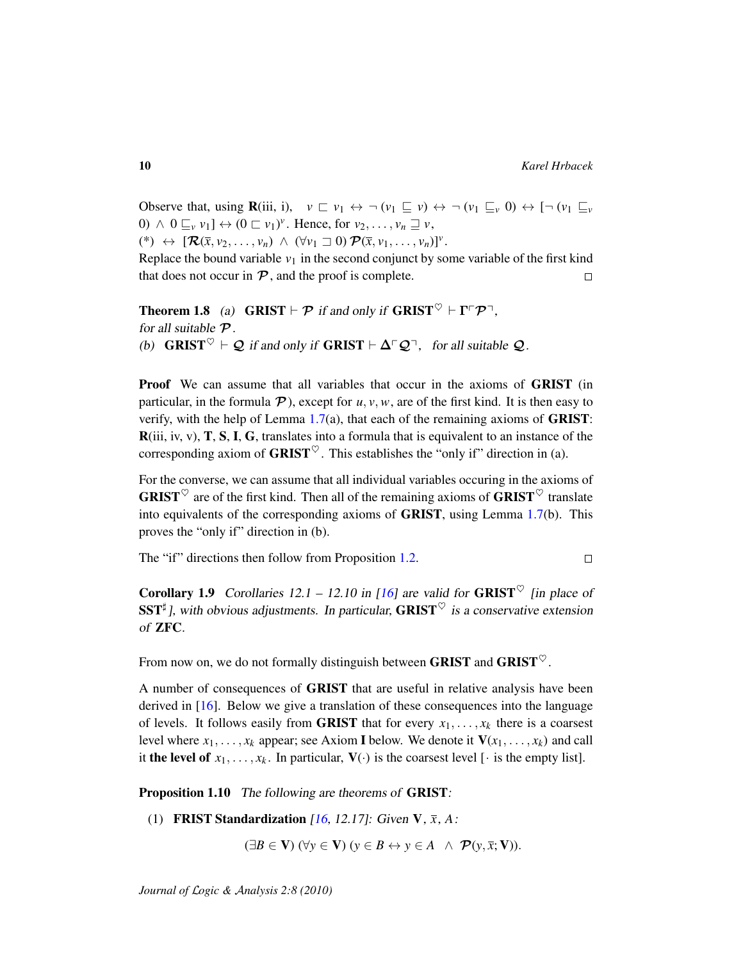$\Box$ 

Observe that, using  $\mathbf{R}$ (iii, i),  $v \sqsubset v_1 \leftrightarrow \neg (v_1 \sqsubseteq v) \leftrightarrow \neg (v_1 \sqsubseteq_v 0) \leftrightarrow \neg (v_1 \sqsubseteq_v 0)$  $0) \wedge 0 \sqsubseteq_v v_1$   $\leftrightarrow (0 \sqsubset v_1)^v$ . Hence, for  $v_2, \ldots, v_n \sqsupseteq v$ ,  $(\ast) \leftrightarrow [\mathcal{R}(\bar{x}, v_2, \ldots, v_n) \wedge (\forall v_1 \sqsupset 0) \mathcal{P}(\bar{x}, v_1, \ldots, v_n)]^{\nu}.$ 

Replace the bound variable  $v_1$  in the second conjunct by some variable of the first kind that does not occur in  $P$ , and the proof is complete.  $\Box$ 

**Theorem 1.8** (a) **GRIST**  $\vdash \mathcal{P}$  if and only if **GRIST**  $\heartsuit \vdash \Gamma \ulcorner \mathcal{P} \urcorner$ , for all suitable  $P$ . (b) GRIST  $\heartsuit \vdash \mathcal{Q}$  if and only if GRIST  $\vdash \Delta \ulcorner \mathcal{Q} \urcorner$ , for all suitable  $\mathcal{Q}$ .

**Proof** We can assume that all variables that occur in the axioms of **GRIST** (in particular, in the formula  $\mathcal{P}$ ), except for  $u, v, w$ , are of the first kind. It is then easy to verify, with the help of Lemma  $1.7(a)$  $1.7(a)$ , that each of the remaining axioms of **GRIST**:  $R(iii, iv, v)$ ,  $T$ ,  $S$ ,  $I$ ,  $G$ , translates into a formula that is equivalent to an instance of the corresponding axiom of **GRIST** $\heartsuit$ . This establishes the "only if" direction in (a).

For the converse, we can assume that all individual variables occuring in the axioms of **GRIST**<sup> $\heartsuit$ </sup> are of the first kind. Then all of the remaining axioms of **GRIST**<sup> $\heartsuit$ </sup> translate into equivalents of the corresponding axioms of GRIST, using Lemma [1.7\(](#page-8-0)b). This proves the "only if" direction in (b).

The "if" directions then follow from Proposition [1.2.](#page-5-0)

**Corollary 1.9** Corollaries 12.1 – 12.10 in [\[16\]](#page-36-3) are valid for **GRIST**<sup> $\heartsuit$ </sup> [in place of SST<sup>‡</sup>], with obvious adjustments. In particular, GRIST<sup> $\heartsuit$ </sup> is a conservative extension of ZFC.

From now on, we do not formally distinguish between GRIST and GRIST $\heartsuit$ .

A number of consequences of GRIST that are useful in relative analysis have been derived in [\[16\]](#page-36-3). Below we give a translation of these consequences into the language of levels. It follows easily from **GRIST** that for every  $x_1, \ldots, x_k$  there is a coarsest level where  $x_1, \ldots, x_k$  appear; see Axiom I below. We denote it  $V(x_1, \ldots, x_k)$  and call it the level of  $x_1, \ldots, x_k$ . In particular,  $V(\cdot)$  is the coarsest level [ $\cdot$  is the empty list].

<span id="page-9-0"></span>Proposition 1.10 The following are theorems of GRIST:

(1) FRIST Standardization [\[16,](#page-36-3) 12.17]: Given V, *x*, *A*:

 $(\exists B \in \mathbf{V})$   $(\forall y \in \mathbf{V})$   $(y \in B \leftrightarrow y \in A \land \mathcal{P}(y, \bar{x}; \mathbf{V}))$ .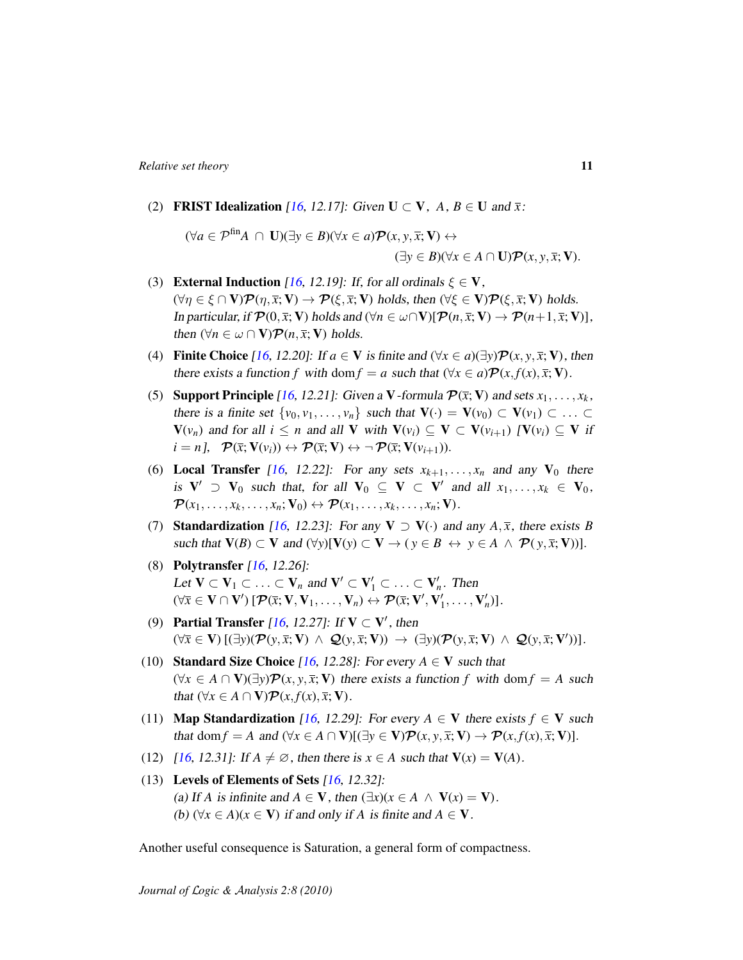(2) **FRIST Idealization** [\[16,](#page-36-3) 12.17]: Given  $U \subset V$ ,  $A, B \in U$  and  $\overline{x}$ :

 $(∀*a* ∈ P<sup>fin</sup>*A* ∩ **U**)(∃*v* ∈ *B*)(∀*x* ∈ *a*)P(*x*, *v*, *x*; **V**) ↔$  $(\exists y \in B)(\forall x \in A \cap \mathbf{U})\mathcal{P}(x, y, \overline{x}; \mathbf{V}).$ 

- (3) External Induction [\[16,](#page-36-3) 12.19]: If, for all ordinals  $\xi \in V$ ,  $(\forall \eta \in \xi \cap \mathbf{V}) \mathcal{P}(\eta, \overline{x}; \mathbf{V}) \rightarrow \mathcal{P}(\xi, \overline{x}; \mathbf{V})$  holds, then  $(\forall \xi \in \mathbf{V}) \mathcal{P}(\xi, \overline{x}; \mathbf{V})$  holds. In particular, if  $\mathcal{P}(0, \bar{x}; \mathbf{V})$  holds and  $(\forall n \in \omega \cap \mathbf{V})[\mathcal{P}(n, \bar{x}; \mathbf{V}) \to \mathcal{P}(n+1, \bar{x}; \mathbf{V})],$ then  $(\forall n \in \omega \cap \mathbf{V})\mathcal{P}(n, \overline{x}; \mathbf{V})$  holds.
- (4) Finite Choice [\[16,](#page-36-3) 12.20]: If  $a \in V$  is finite and  $(\forall x \in a)(\exists y)\mathcal{P}(x, y, \overline{x}; V)$ , then there exists a function *f* with dom  $f = a$  such that  $(\forall x \in a) \mathcal{P}(x, f(x), \overline{x}; \mathbf{V})$ .
- (5) **Support Principle** [\[16,](#page-36-3) 12.21]: Given a V-formula  $\mathcal{P}(\bar{x}; V)$  and sets  $x_1, \ldots, x_k$ , there is a finite set  $\{v_0, v_1, \ldots, v_n\}$  such that  $\mathbf{V}(\cdot) = \mathbf{V}(v_0) \subset \mathbf{V}(v_1) \subset \ldots \subset \mathbf{V}(v_n)$  $V(v_n)$  and for all  $i \leq n$  and all V with  $V(v_i) \subseteq V \subset V(v_{i+1})$   $[V(v_i) \subseteq V$  if  $i = n, \quad \mathcal{P}(\bar{x}; \mathbf{V}(v_i)) \leftrightarrow \mathcal{P}(\bar{x}; \mathbf{V}) \leftrightarrow \neg \mathcal{P}(\bar{x}; \mathbf{V}(v_{i+1})).$
- (6) Local Transfer [\[16,](#page-36-3) 12.22]: For any sets  $x_{k+1}, \ldots, x_n$  and any  $V_0$  there is  $V' \supset V_0$  such that, for all  $V_0 \subseteq V \subset V'$  and all  $x_1, \ldots, x_k \in V_0$ ,  $\mathcal{P}(x_1, \ldots, x_k, \ldots, x_n; \mathbf{V}_0) \leftrightarrow \mathcal{P}(x_1, \ldots, x_k, \ldots, x_n; \mathbf{V}).$
- (7) **Standardization** [\[16,](#page-36-3) 12.23]: For any  $V \supset V(\cdot)$  and any  $A, \overline{x}$ , there exists *B* such that  $V(B) \subset V$  and  $(\forall y)[V(y) \subset V \rightarrow (y \in B \leftrightarrow y \in A \land \mathcal{P}(y, \bar{x}; V))].$
- (8) Polytransfer [\[16,](#page-36-3) 12.26]: Let  $V \subset V_1 \subset \ldots \subset V_n$  and  $V' \subset V'_1 \subset \ldots \subset V'_n$ . Then  $(\forall \overline{x} \in \mathbf{V} \cap \mathbf{V}') [\mathcal{P}(\overline{x}; \mathbf{V}, \mathbf{V}_1, \dots, \mathbf{V}_n) \leftrightarrow \mathcal{P}(\overline{x}; \mathbf{V}', \mathbf{V}'_1, \dots, \mathbf{V}'_n)].$
- (9) Partial Transfer [\[16,](#page-36-3) 12.27]: If  $V \subset V'$ , then  $(\forall \bar{x} \in V) \left[ (\exists y) (\mathcal{P}(y, \bar{x}; V) \land \mathcal{Q}(y, \bar{x}; V)) \rightarrow (\exists y) (\mathcal{P}(y, \bar{x}; V) \land \mathcal{Q}(y, \bar{x}; V)) \right].$
- (10) **Standard Size Choice** [\[16,](#page-36-3) 12.28]: For every  $A \in V$  such that  $(\forall x \in A \cap V)(\exists y)P(x, y, \overline{x}; V)$  there exists a function f with dom  $f = A$  such *that*  $(\forall x \in A \cap V)$  $\mathcal{P}(x, f(x), \overline{x}; V)$ .
- (11) **Map Standardization** [\[16,](#page-36-3) 12.29]: For every  $A \in V$  there exists  $f \in V$  such that dom  $f = A$  and  $(\forall x \in A \cap V)[(\exists y \in V)\mathcal{P}(x, y, \overline{x}; V) \rightarrow \mathcal{P}(x, f(x), \overline{x}; V)].$
- (12)  $[16, 12.31]$  $[16, 12.31]$ : If  $A \neq \emptyset$ , then there is  $x \in A$  such that  $V(x) = V(A)$ .
- (13) Levels of Elements of Sets [\[16,](#page-36-3) 12.32]: (a) If *A* is infinite and  $A \in V$ , then  $(\exists x)(x \in A \land V(x) = V)$ . (b)  $(\forall x \in A)(x \in V)$  if and only if *A* is finite and  $A \in V$ .

Another useful consequence is Saturation, a general form of compactness.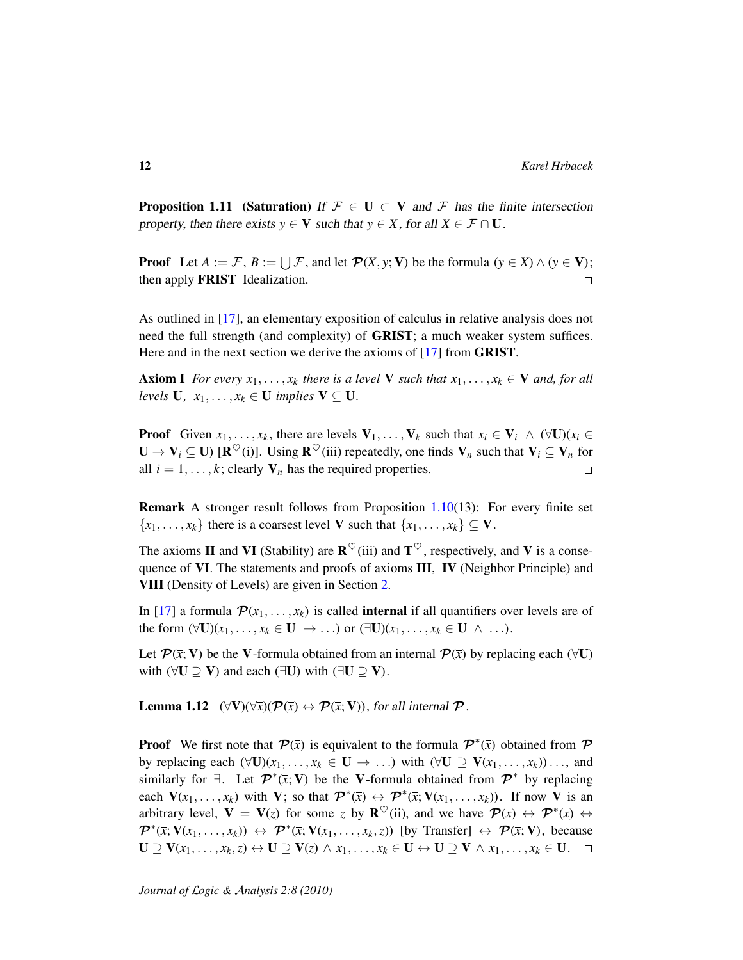**Proposition 1.11** (Saturation) If  $\mathcal{F} \in U \subset V$  and F has the finite intersection property, then there exists  $y \in V$  such that  $y \in X$ , for all  $X \in \mathcal{F} \cap U$ .

**Proof** Let  $A := \mathcal{F}, B := \bigcup \mathcal{F}$ , and let  $\mathcal{P}(X, y; V)$  be the formula  $(y \in X) \land (y \in V)$ ; then apply FRIST Idealization.  $\Box$ 

As outlined in [\[17\]](#page-36-4), an elementary exposition of calculus in relative analysis does not need the full strength (and complexity) of GRIST; a much weaker system suffices. Here and in the next section we derive the axioms of [\[17\]](#page-36-4) from **GRIST**.

**Axiom I** *For every*  $x_1, \ldots, x_k$  *there is a level* **V** *such that*  $x_1, \ldots, x_k \in V$  *and, for all levels* **U***,*  $x_1, \ldots, x_k \in \mathbf{U}$  *implies*  $\mathbf{V} \subseteq \mathbf{U}$ *.* 

**Proof** Given  $x_1, \ldots, x_k$ , there are levels  $V_1, \ldots, V_k$  such that  $x_i \in V_i \land (\forall U)(x_i \in$  $\mathbf{U} \to \mathbf{V}_i \subseteq \mathbf{U}$ ) [ $\mathbf{R}^{\heartsuit}(i)$ ]. Using  $\mathbf{R}^{\heartsuit}(iii)$  repeatedly, one finds  $\mathbf{V}_n$  such that  $\mathbf{V}_i \subseteq \mathbf{V}_n$  for all  $i = 1, \ldots, k$ ; clearly  $V_n$  has the required properties.  $\Box$ 

Remark A stronger result follows from Proposition [1.10\(](#page-9-0)13): For every finite set  ${x_1, \ldots, x_k}$  there is a coarsest level V such that  ${x_1, \ldots, x_k} \subseteq V$ .

The axioms **II** and **VI** (Stability) are  $\mathbb{R}^{\heartsuit}$  (iii) and  $\mathbb{T}^{\heartsuit}$ , respectively, and **V** is a consequence of VI. The statements and proofs of axioms  $III$ , IV (Neighbor Principle) and VIII (Density of Levels) are given in Section [2.](#page-13-0)

In [\[17\]](#page-36-4) a formula  $\mathcal{P}(x_1, \ldots, x_k)$  is called **internal** if all quantifiers over levels are of the form  $(\forall U)(x_1, \ldots, x_k \in U \rightarrow \ldots)$  or  $(\exists U)(x_1, \ldots, x_k \in U \land \ldots).$ 

Let  $\mathcal{P}(\bar{x}; V)$  be the V-formula obtained from an internal  $\mathcal{P}(\bar{x})$  by replacing each ( $\forall$ U) with ( $\forall$ U  $\supseteq$  V) and each ( $\exists$ U) with ( $\exists$ U  $\supseteq$  V).

<span id="page-11-0"></span>**Lemma 1.12**  $(\forall V)(\forall \bar{x})(\mathcal{P}(\bar{x}) \leftrightarrow \mathcal{P}(\bar{x}; V))$ , for all internal  $\mathcal{P}$ .

**Proof** We first note that  $\mathcal{P}(\bar{x})$  is equivalent to the formula  $\mathcal{P}^*(\bar{x})$  obtained from  $\mathcal{P}$ by replacing each  $(\forall U)(x_1, \ldots, x_k \in U \rightarrow \ldots)$  with  $(\forall U \supseteq V(x_1, \ldots, x_k)) \ldots$ , and similarly for  $\exists$ . Let  $\mathcal{P}^*(\bar{x}; V)$  be the V-formula obtained from  $\mathcal{P}^*$  by replacing each  $V(x_1, \ldots, x_k)$  with V; so that  $\mathcal{P}^*(\bar{x}) \leftrightarrow \mathcal{P}^*(\bar{x}; V(x_1, \ldots, x_k))$ . If now V is an arbitrary level,  $V = V(z)$  for some *z* by  $\mathbf{R}^{\heartsuit}$  (ii), and we have  $\mathcal{P}(\bar{x}) \leftrightarrow \mathcal{P}^*(\bar{x}) \leftrightarrow$  $\mathcal{P}^*(\bar{x}; V(x_1,\ldots,x_k)) \leftrightarrow \mathcal{P}^*(\bar{x}; V(x_1,\ldots,x_k,z))$  [by Transfer]  $\leftrightarrow \mathcal{P}(\bar{x}; V)$ , because  $\mathbf{U} \supseteq \mathbf{V}(x_1,\ldots,x_k,z) \leftrightarrow \mathbf{U} \supseteq \mathbf{V}(z) \land x_1,\ldots,x_k \in \mathbf{U} \leftrightarrow \mathbf{U} \supseteq \mathbf{V} \land x_1,\ldots,x_k \in \mathbf{U}. \quad \Box$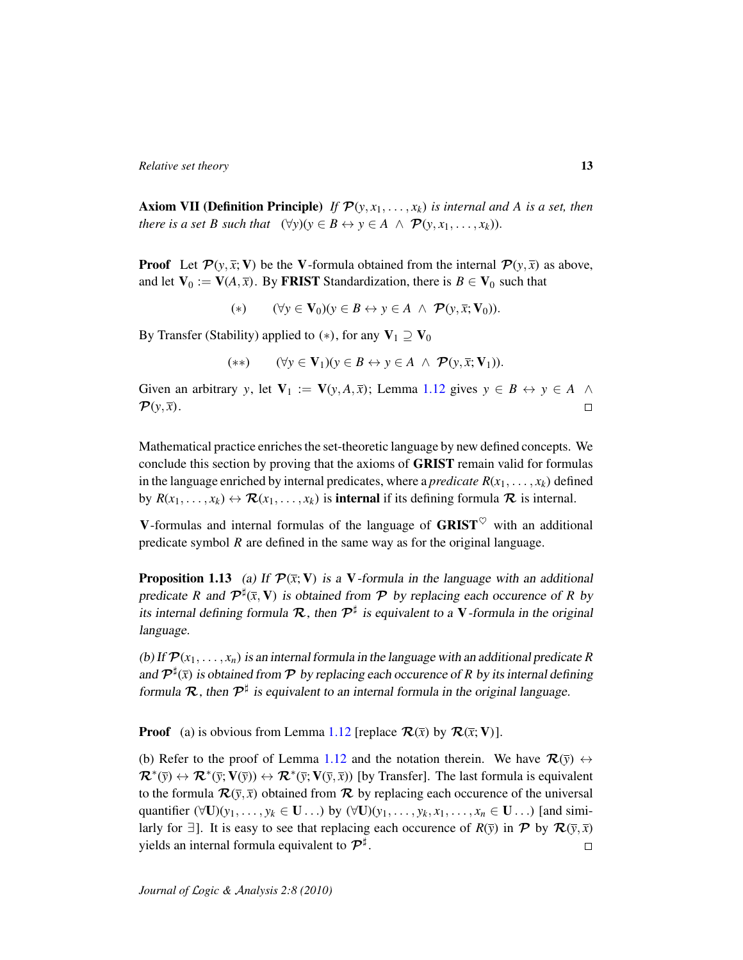**Axiom VII (Definition Principle)** *If*  $\mathcal{P}(y, x_1, \ldots, x_k)$  *is internal and A is a set, then there is a set B such that*  $(\forall y)(y \in B \leftrightarrow y \in A \land \mathcal{P}(y, x_1, \ldots, x_k)).$ 

**Proof** Let  $\mathcal{P}(y, \bar{x}; V)$  be the V-formula obtained from the internal  $\mathcal{P}(y, \bar{x})$  as above, and let  $V_0 := V(A, \overline{x})$ . By FRIST Standardization, there is  $B \in V_0$  such that

(\*)  $(\forall y \in \mathbf{V}_0)(y \in B \leftrightarrow y \in A \land \mathcal{P}(y, \bar{x}; \mathbf{V}_0)).$ 

By Transfer (Stability) applied to (\*), for any  $V_1 \supseteq V_0$ 

$$
(**) \qquad (\forall y \in V_1)(y \in B \leftrightarrow y \in A \ \land \ \mathcal{P}(y, \bar{x}; V_1)).
$$

Given an arbitrary *y*, let  $V_1 := V(y, A, \overline{x})$ ; Lemma [1.12](#page-11-0) gives  $y \in B \leftrightarrow y \in A \land \overline{A}$  $\mathcal{P}(y,\overline{x})$ .  $\Box$ 

Mathematical practice enriches the set-theoretic language by new defined concepts. We conclude this section by proving that the axioms of GRIST remain valid for formulas in the language enriched by internal predicates, where a *predicate*  $R(x_1, \ldots, x_k)$  defined by  $R(x_1, \ldots, x_k) \leftrightarrow \mathcal{R}(x_1, \ldots, x_k)$  is **internal** if its defining formula  $\mathcal{R}$  is internal.

V-formulas and internal formulas of the language of  $GRIST^{\heartsuit}$  with an additional predicate symbol *R* are defined in the same way as for the original language.

**Proposition 1.13** (a) If  $\mathcal{P}(\bar{x}; V)$  is a V-formula in the language with an additional predicate *R* and  $\mathcal{P}^{\sharp}(\bar{x}, V)$  is obtained from  $\mathcal{P}$  by replacing each occurence of *R* by its internal defining formula  $\mathcal{R}$ , then  $\mathcal{P}^{\sharp}$  is equivalent to a V-formula in the original language.

(b) If  $\mathcal{P}(x_1, \ldots, x_n)$  is an internal formula in the language with an additional predicate *R* and  $\mathcal{P}^{\sharp}(\bar{x})$  is obtained from  $\mathcal P$  by replacing each occurence of *R* by its internal defining formula  $\mathcal{R}$ , then  $\mathcal{P}^{\sharp}$  is equivalent to an internal formula in the original language.

**Proof** (a) is obvious from Lemma [1.12](#page-11-0) [replace  $\mathcal{R}(\bar{x})$  by  $\mathcal{R}(\bar{x}; V)$ ].

(b) Refer to the proof of Lemma [1.12](#page-11-0) and the notation therein. We have  $\mathcal{R}(\bar{y}) \leftrightarrow$  $\mathcal{R}^*(\bar{y}) \leftrightarrow \mathcal{R}^*(\bar{y}; V(\bar{y})) \leftrightarrow \mathcal{R}^*(\bar{y}; V(\bar{y}, \bar{x}))$  [by Transfer]. The last formula is equivalent to the formula  $\mathcal{R}(\bar{y}, \bar{x})$  obtained from  $\mathcal{R}$  by replacing each occurence of the universal quantifier  $(\forall U)(y_1, \ldots, y_k \in U \ldots)$  by  $(\forall U)(y_1, \ldots, y_k, x_1, \ldots, x_n \in U \ldots)$  [and similarly for  $\exists$ ]. It is easy to see that replacing each occurence of  $R(\bar{v})$  in  $\mathcal{P}$  by  $\mathcal{R}(\bar{v}, \bar{x})$ yields an internal formula equivalent to  $\mathcal{P}^\sharp.$  $\Box$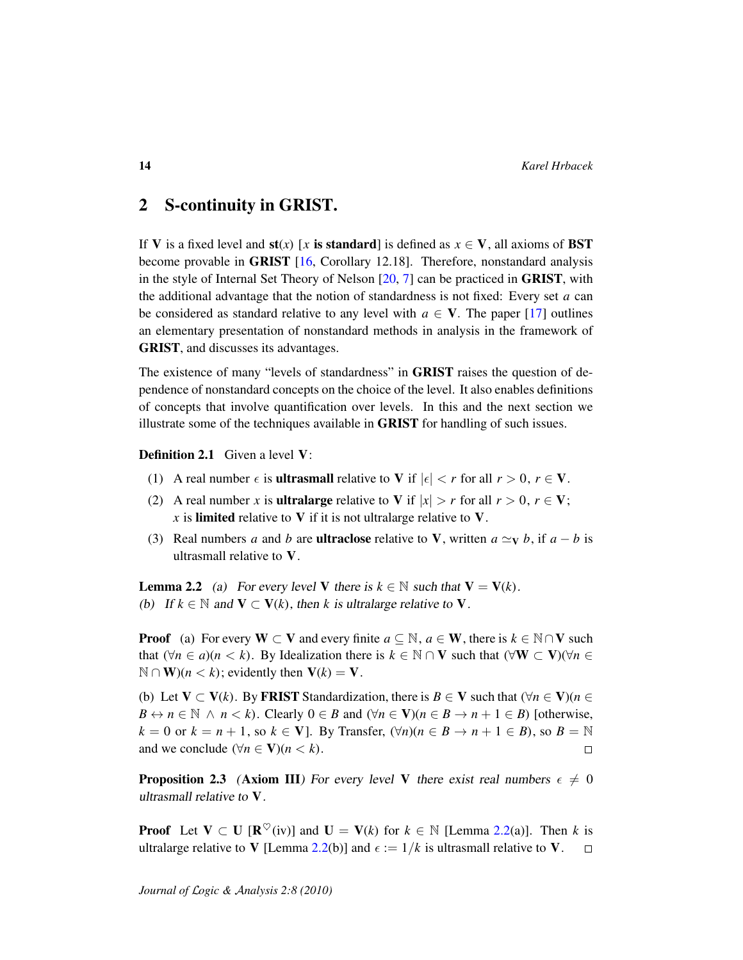# <span id="page-13-0"></span>2 S-continuity in GRIST.

If V is a fixed level and  $\mathbf{s}t(x)$  [x is standard] is defined as  $x \in V$ , all axioms of BST become provable in GRIST [\[16,](#page-36-3) Corollary 12.18]. Therefore, nonstandard analysis in the style of Internal Set Theory of Nelson [\[20,](#page-36-7) [7\]](#page-35-5) can be practiced in GRIST, with the additional advantage that the notion of standardness is not fixed: Every set *a* can be considered as standard relative to any level with  $a \in V$ . The paper [\[17\]](#page-36-4) outlines an elementary presentation of nonstandard methods in analysis in the framework of GRIST, and discusses its advantages.

The existence of many "levels of standardness" in GRIST raises the question of dependence of nonstandard concepts on the choice of the level. It also enables definitions of concepts that involve quantification over levels. In this and the next section we illustrate some of the techniques available in GRIST for handling of such issues.

Definition 2.1 Given a level V:

- (1) A real number  $\epsilon$  is **ultrasmall** relative to V if  $|\epsilon| < r$  for all  $r > 0$ ,  $r \in V$ .
- (2) A real number *x* is **ultralarge** relative to V if  $|x| > r$  for all  $r > 0$ ,  $r \in V$ ;  $\boldsymbol{x}$  is **limited** relative to **V** if it is not ultralarge relative to **V**.
- (3) Real numbers *a* and *b* are **ultraclose** relative to **V**, written  $a \simeq_{V} b$ , if  $a b$  is ultrasmall relative to V.

<span id="page-13-1"></span>**Lemma 2.2** (a) For every level V there is  $k \in \mathbb{N}$  such that  $V = V(k)$ . (b) If  $k \in \mathbb{N}$  and  $V \subset V(k)$ , then k is ultralarge relative to V.

**Proof** (a) For every  $W \subset V$  and every finite  $a \subseteq \mathbb{N}$ ,  $a \in W$ , there is  $k \in \mathbb{N} \cap V$  such that  $(\forall n \in a)(n < k)$ . By Idealization there is  $k \in \mathbb{N} \cap V$  such that  $(\forall W \subset V)(\forall n \in$  $\mathbb{N} \cap \mathbf{W}$ )(*n* < *k*); evidently then  $\mathbf{V}(k) = \mathbf{V}$ .

(b) Let  $V \subset V(k)$ . By FRIST Standardization, there is  $B \in V$  such that  $(\forall n \in V)(n \in$ *B* ↔ *n* ∈  $\mathbb N$  ∧ *n* < *k*). Clearly 0 ∈ *B* and  $(\forall n \in \mathbf V)(n \in B \rightarrow n+1 \in B)$  [otherwise,  $k = 0$  or  $k = n + 1$ , so  $k \in V$ . By Transfer,  $(\forall n)(n \in B \rightarrow n + 1 \in B)$ , so  $B = \mathbb{N}$ and we conclude  $(\forall n \in \mathbf{V})(n < k)$ .  $\Box$ 

**Proposition 2.3** (Axiom III) For every level V there exist real numbers  $\epsilon \neq 0$ ultrasmall relative to V.

**Proof** Let  $V \subset U$  [ $\mathbb{R}^{\heartsuit}$ (iv)] and  $U = V(k)$  for  $k \in \mathbb{N}$  [Lemma [2.2\(](#page-13-1)a)]. Then k is ultralarge relative to V [Lemma [2.2\(](#page-13-1)b)] and  $\epsilon := 1/k$  is ultrasmall relative to V.  $\Box$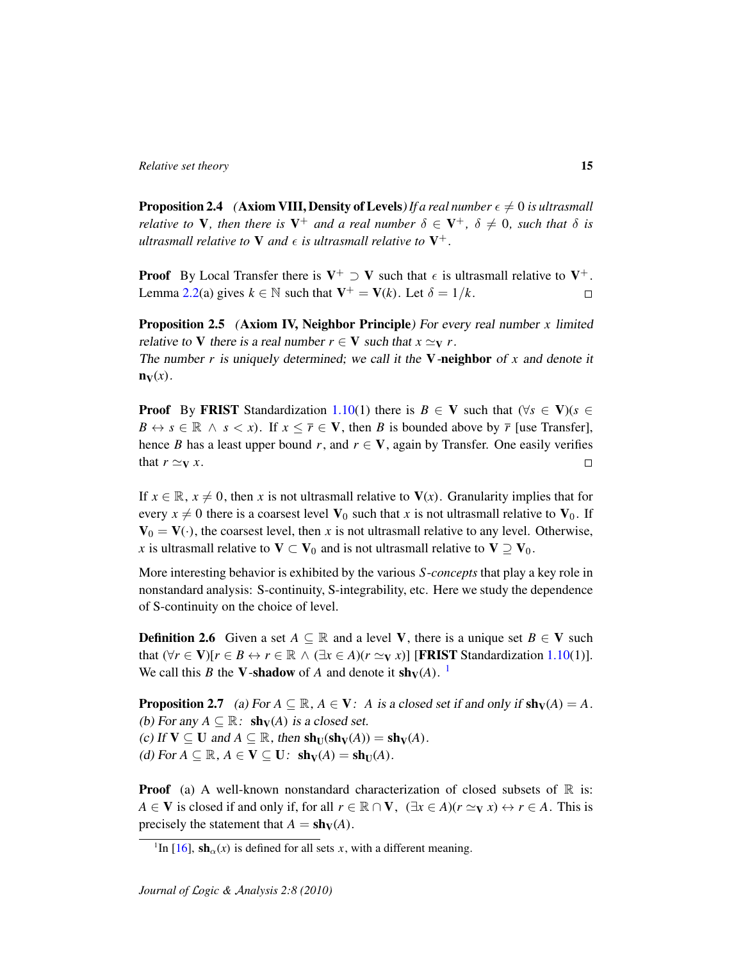$\mathbf{n}_{\mathbf{V}}(x)$ .

<span id="page-14-3"></span>**Proposition 2.4** (Axiom VIII, Density of Levels) If a real number  $\epsilon \neq 0$  is ultrasmall *relative to*  $V$ *, then there is*  $V^+$  *and a real number*  $\delta \in V^+$ *,*  $\delta \neq 0$ *, such that*  $\delta$  *is* ultrasmall relative to  $V$  and  $\epsilon$  is ultrasmall relative to  $V^+$ .

**Proof** By Local Transfer there is  $V^+ \supset V$  such that  $\epsilon$  is ultrasmall relative to  $V^+$ . Lemma [2.2\(](#page-13-1)a) gives  $k \in \mathbb{N}$  such that  $V^+ = V(k)$ . Let  $\delta = 1/k$ .  $\Box$ 

Proposition 2.5 (Axiom IV, Neighbor Principle) For every real number *x* limited relative to V there is a real number  $r \in V$  such that  $x \simeq_V r$ . The number *r* is uniquely determined; we call it the V-neighbor of *x* and denote it

**Proof** By FRIST Standardization [1.10\(](#page-9-0)1) there is  $B \in V$  such that  $(\forall s \in V)(s \in V)$  $B \leftrightarrow s \in \mathbb{R} \land s < x$ ). If  $x \leq \overline{r} \in V$ , then *B* is bounded above by  $\overline{r}$  [use Transfer], hence *B* has a least upper bound *r*, and  $r \in V$ , again by Transfer. One easily verifies that  $r \simeq_V x$ .  $\Box$ 

If  $x \in \mathbb{R}$ ,  $x \neq 0$ , then *x* is not ultrasmall relative to  $V(x)$ . Granularity implies that for every  $x \neq 0$  there is a coarsest level  $V_0$  such that *x* is not ultrasmall relative to  $V_0$ . If  $V_0 = V(.)$ , the coarsest level, then x is not ultrasmall relative to any level. Otherwise, *x* is ultrasmall relative to  $V \subset V_0$  and is not ultrasmall relative to  $V \supseteq V_0$ .

More interesting behavior is exhibited by the various *S*-*concepts* that play a key role in nonstandard analysis: S-continuity, S-integrability, etc. Here we study the dependence of S-continuity on the choice of level.

<span id="page-14-1"></span>**Definition 2.6** Given a set  $A \subseteq \mathbb{R}$  and a level **V**, there is a unique set  $B \in V$  such that  $(\forall r \in \mathbf{V})[r \in B \leftrightarrow r \in \mathbb{R} \land (\exists x \in A)(r \simeq \mathbf{v} x)]$  [FRIST Standardization [1.10\(](#page-9-0)1)]. We call this *B* the **V**-shadow of *A* and denote it  $\mathbf{sh}_V(A)$ . <sup>[1](#page-14-0)</sup>

<span id="page-14-2"></span>**Proposition 2.7** (a) For  $A \subseteq \mathbb{R}$ ,  $A \in V$ : *A* is a closed set if and only if  $\text{sh}_V(A) = A$ . (b) For any  $A \subseteq \mathbb{R}$ :  $\mathbf{sh}_{\mathbf{V}}(A)$  is a closed set. (c) If  $V \subseteq U$  and  $A \subseteq \mathbb{R}$ , then  $\text{sh}_U(\text{sh}_V(A)) = \text{sh}_V(A)$ . (d) For  $A \subseteq \mathbb{R}$ ,  $A \in V \subseteq U$ :  $\mathbf{sh}_V(A) = \mathbf{sh}_U(A)$ .

**Proof** (a) A well-known nonstandard characterization of closed subsets of  $\mathbb{R}$  is: *A* ∈ **V** is closed if and only if, for all  $r \in \mathbb{R} \cap V$ ,  $(\exists x \in A)(r \simeq \{y, x\}) \leftrightarrow r \in A$ . This is precisely the statement that  $A = \mathbf{sh}_V(A)$ .

<span id="page-14-0"></span><sup>&</sup>lt;sup>1</sup>In [\[16\]](#page-36-3),  $\sinh_{\alpha}(x)$  is defined for all sets *x*, with a different meaning.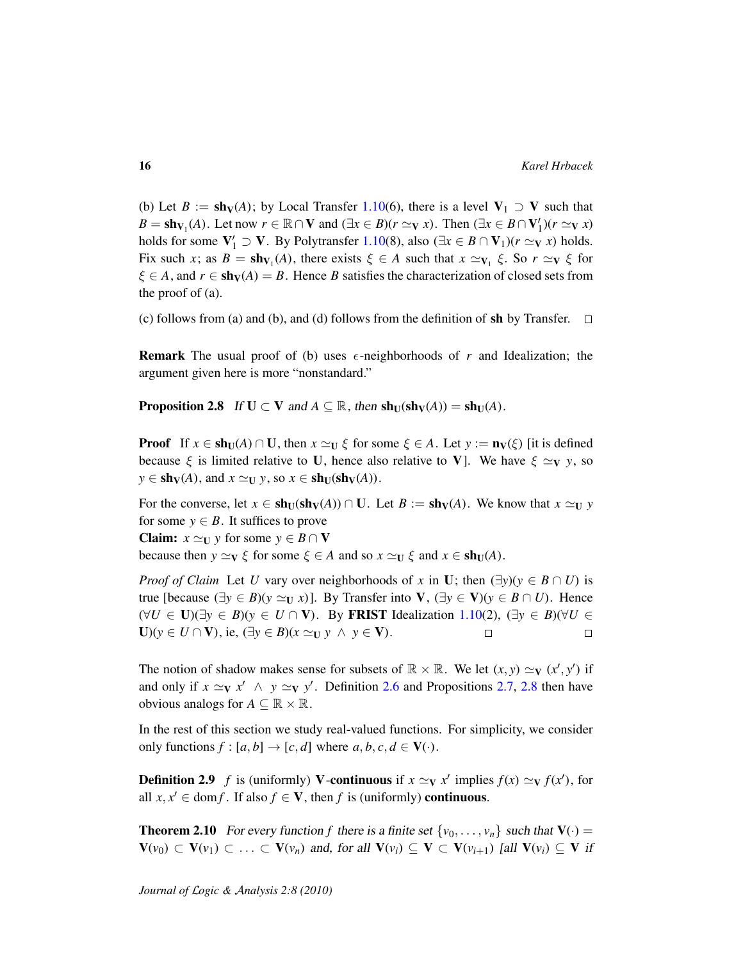(b) Let  $B := \mathbf{sh}_V(A)$ ; by Local Transfer [1.10\(](#page-9-0)6), there is a level  $V_1 \supset V$  such that  $B = sh_{V_1}(A)$ . Let now  $r \in \mathbb{R} \cap V$  and  $(\exists x \in B)(r \simeq_V x)$ . Then  $(\exists x \in B \cap V'_1)(r \simeq_V x)$ holds for some  $V'_1 \supset V$ . By Polytransfer [1.10\(](#page-9-0)8), also ( $\exists x \in B \cap V_1$ )( $r \simeq_V x$ ) holds. Fix such *x*; as  $B = \mathbf{sh}_{V_1}(A)$ , there exists  $\xi \in A$  such that  $x \simeq_{V_1} \xi$ . So  $r \simeq_V \xi$  for  $\xi \in A$ , and  $r \in \mathbf{sh}_V(A) = B$ . Hence *B* satisfies the characterization of closed sets from the proof of (a).

(c) follows from (a) and (b), and (d) follows from the definition of sh by Transfer.  $\Box$ 

**Remark** The usual proof of (b) uses  $\epsilon$ -neighborhoods of *r* and Idealization; the argument given here is more "nonstandard."

<span id="page-15-0"></span>**Proposition 2.8** If  $U \subset V$  and  $A \subseteq \mathbb{R}$ , then  $\text{sh}_U(\text{sh}_V(A)) = \text{sh}_U(A)$ .

**Proof** If  $x \in \text{sh}_U(A) \cap U$ , then  $x \simeq_U \xi$  for some  $\xi \in A$ . Let  $y := \textbf{n}_V(\xi)$  [it is defined because  $\xi$  is limited relative to U, hence also relative to V]. We have  $\xi \simeq_V y$ , so  $y \in \mathbf{sh}_V(A)$ , and  $x \simeq_U y$ , so  $x \in \mathbf{sh}_U(\mathbf{sh}_V(A))$ .

For the converse, let  $x \in \text{sh}_U(\text{sh}_V(A)) \cap U$ . Let  $B := \text{sh}_V(A)$ . We know that  $x \simeq_U y$ for some  $y \in B$ . It suffices to prove **Claim:**  $x \simeq_U y$  for some  $y \in B \cap V$ because then  $y \simeq_V \xi$  for some  $\xi \in A$  and so  $x \simeq_U \xi$  and  $x \in \text{sh}_U(A)$ .

*Proof of Claim* Let *U* vary over neighborhoods of *x* in **U**; then  $(\exists y)(y \in B \cap U)$  is true [because  $(\exists y \in B)(y \simeq_{\text{U}} x)$ ]. By Transfer into  $\text{V}$ ,  $(\exists y \in \text{V})(y \in B \cap U)$ . Hence  $(\forall U \in \mathbf{U})(\exists y \in B)(y \in U \cap \mathbf{V})$ . By FRIST Idealization [1.10\(](#page-9-0)2),  $(\exists y \in B)(\forall U \in \mathbf{V})$  $U(y \in U \cap V)$ , ie,  $(\exists y \in B)(x \simeq_U y \land y \in V)$ .  $\Box$  $\Box$ 

The notion of shadow makes sense for subsets of  $\mathbb{R} \times \mathbb{R}$ . We let  $(x, y) \simeq_{\mathbf{V}} (x', y')$  if and only if  $x \simeq_V x' \land y \simeq_V y'$ . Definition [2.6](#page-14-1) and Propositions [2.7,](#page-14-2) [2.8](#page-15-0) then have obvious analogs for  $A \subseteq \mathbb{R} \times \mathbb{R}$ .

In the rest of this section we study real-valued functions. For simplicity, we consider only functions  $f : [a, b] \rightarrow [c, d]$  where  $a, b, c, d \in V(\cdot)$ .

**Definition 2.9** *f* is (uniformly) **V**-continuous if  $x \simeq_V x'$  implies  $f(x) \simeq_V f(x')$ , for all  $x, x' \in \text{dom } f$ . If also  $f \in V$ , then  $f$  is (uniformly) **continuous**.

<span id="page-15-1"></span>**Theorem 2.10** For every function f there is a finite set  $\{v_0, \ldots, v_n\}$  such that  $V(\cdot)$  =  **and, for all**  $**V**(v<sub>i</sub>) ⊆ **V** ⊂ **V**(v<sub>i+1</sub>)$  **[all**  $**V**(v<sub>i</sub>) ⊆ **V**$  **if**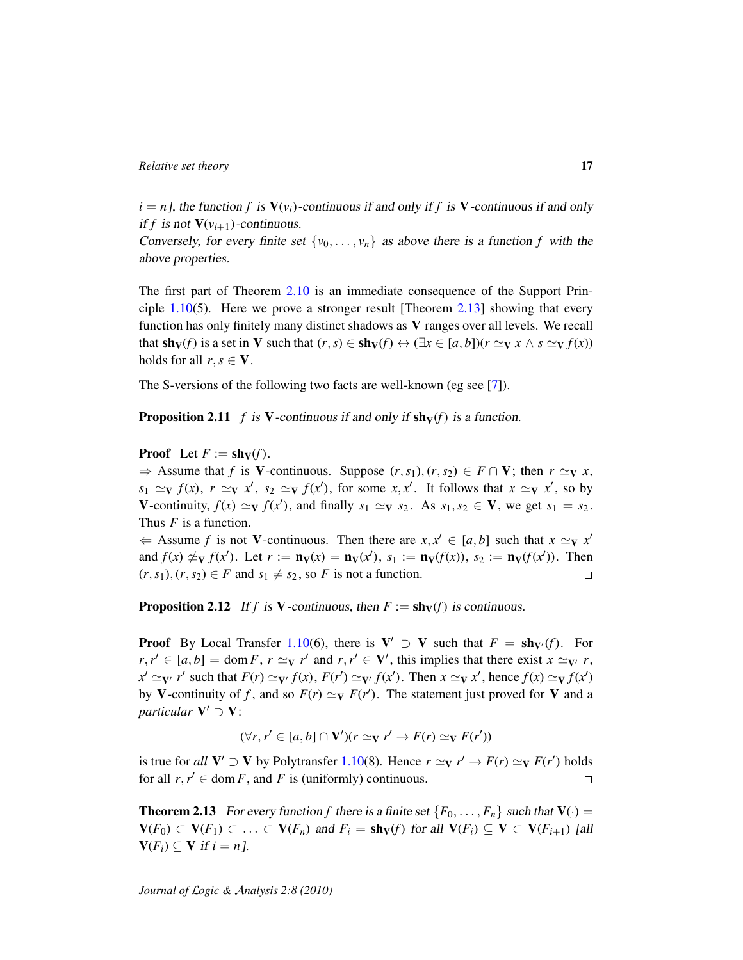$i = n$ , the function f is  $V(v_i)$ -continuous if and only if f is V-continuous if and only if *f* is not  $V(v_{i+1})$ -continuous.

Conversely, for every finite set  $\{v_0, \ldots, v_n\}$  as above there is a function *f* with the above properties.

The first part of Theorem [2.10](#page-15-1) is an immediate consequence of the Support Principle  $1.10(5)$  $1.10(5)$ . Here we prove a stronger result [Theorem [2.13\]](#page-16-0) showing that every function has only finitely many distinct shadows as V ranges over all levels. We recall that  $\text{sh}_V(f)$  is a set in V such that  $(r, s) \in \text{sh}_V(f) \leftrightarrow (\exists x \in [a, b])(r \simeq_V x \land s \simeq_V f(x))$ holds for all  $r, s \in V$ .

The S-versions of the following two facts are well-known (eg see [\[7\]](#page-35-5)).

**Proposition 2.11** *f* is V-continuous if and only if  $\text{sh}_V(f)$  is a function.

**Proof** Let  $F := \mathbf{sh}_V(f)$ .

 $\Rightarrow$  Assume that *f* is **V**-continuous. Suppose  $(r, s_1), (r, s_2) \in F \cap V$ ; then  $r \simeq_V x$ ,  $s_1 \simeq_V f(x)$ ,  $r \simeq_V x'$ ,  $s_2 \simeq_V f(x')$ , for some  $x, x'$ . It follows that  $x \simeq_V x'$ , so by V-continuity,  $f(x) \simeq_V f(x')$ , and finally  $s_1 \simeq_V s_2$ . As  $s_1, s_2 \in V$ , we get  $s_1 = s_2$ . Thus *F* is a function.

 $\Leftarrow$  Assume *f* is not **V**-continuous. Then there are  $x, x' \in [a, b]$  such that  $x \simeq y$  *x'* and  $f(x) \not\approx_V f(x')$ . Let  $r := \mathbf{n}_V(x) = \mathbf{n}_V(x')$ ,  $s_1 := \mathbf{n}_V(f(x))$ ,  $s_2 := \mathbf{n}_V(f(x'))$ . Then  $(r, s_1), (r, s_2) \in F$  and  $s_1 \neq s_2$ , so *F* is not a function.  $\Box$ 

**Proposition 2.12** If *f* is V-continuous, then  $F := \text{sh}_V(f)$  is continuous.

**Proof** By Local Transfer [1.10\(](#page-9-0)6), there is  $V' \supset V$  such that  $F = \text{sh}_{V'}(f)$ . For  $r, r' \in [a, b] = \text{dom } F, r \simeq_\mathbf{V} r' \text{ and } r, r' \in \mathbf{V}'$ , this implies that there exist  $x \simeq_\mathbf{V'} r$ ,  $x' \simeq_\mathbf{V'} r'$  such that  $F(r) \simeq_\mathbf{V'} f(x)$ ,  $F(r') \simeq_\mathbf{V'} f(x')$ . Then  $x \simeq_\mathbf{V} x'$ , hence  $f(x) \simeq_\mathbf{V} f(x')$ by V-continuity of *f*, and so  $F(r) \simeq_V F(r')$ . The statement just proved for V and a *particular*  $V' \supset V$ :

$$
(\forall r, r' \in [a, b] \cap \mathbf{V'})(r \simeq_{\mathbf{V}} r' \to F(r) \simeq_{\mathbf{V}} F(r'))
$$

is true for *all*  $V' \supset V$  by Polytransfer [1.10\(](#page-9-0)8). Hence  $r \simeq_V r' \rightarrow F(r) \simeq_V F(r')$  holds for all  $r, r' \in \text{dom } F$ , and *F* is (uniformly) continuous.  $\Box$ 

<span id="page-16-0"></span>**Theorem 2.13** For every function f there is a finite set  $\{F_0, \ldots, F_n\}$  such that  $V(\cdot)$  =  $V(F_0) \subset V(F_1) \subset \ldots \subset V(F_n)$  and  $F_i = \text{sh}_V(f)$  for all  $V(F_i) \subseteq V \subset V(F_{i+1})$  [all  $V(F_i) \subseteq V$  if  $i = n$ ].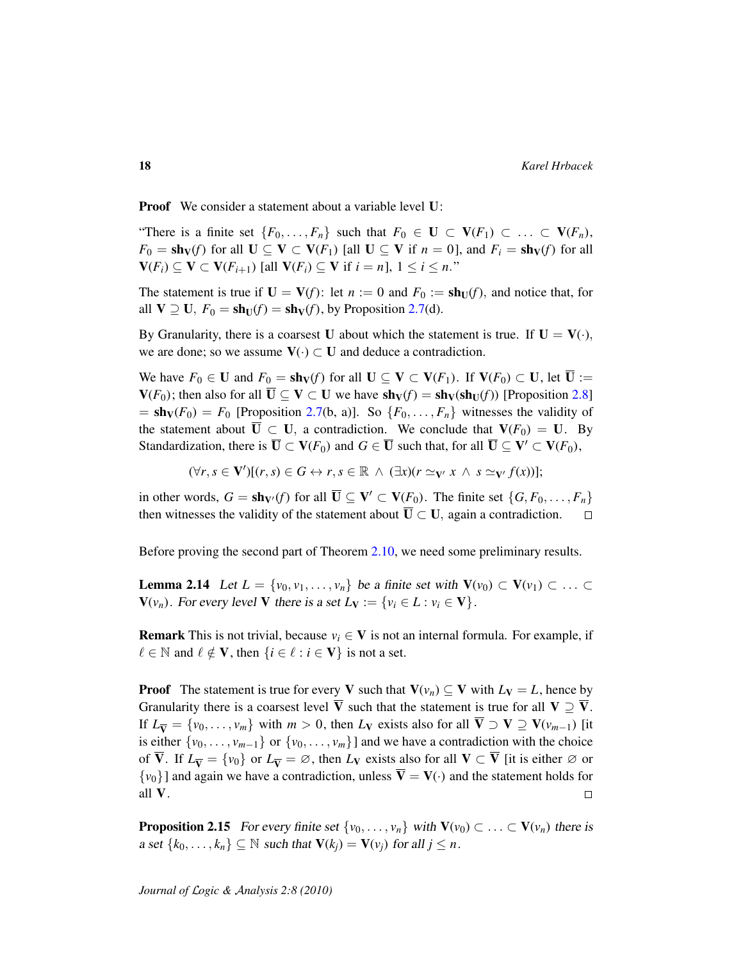Proof We consider a statement about a variable level U:

"There is a finite set  $\{F_0, \ldots, F_n\}$  such that  $F_0 \in U \subset V(F_1) \subset \ldots \subset V(F_n)$ ,  $F_0 = \textbf{sh}_V(f)$  for all  $U \subseteq V \subset V(F_1)$  [all  $U \subseteq V$  if  $n = 0$ ], and  $F_i = \textbf{sh}_V(f)$  for all  $V(F_i) \subseteq V \subset V(F_{i+1})$  [all  $V(F_i) \subseteq V$  if  $i = n$ ],  $1 \le i \le n$ ."

The statement is true if  $U = V(f)$ : let  $n := 0$  and  $F_0 := \text{sh}_U(f)$ , and notice that, for all  $V \supseteq U$ ,  $F_0 = \text{sh}_U(f) = \text{sh}_V(f)$ , by Proposition [2.7\(](#page-14-2)d).

By Granularity, there is a coarsest U about which the statement is true. If  $U = V(.)$ , we are done; so we assume  $V(\cdot) \subset U$  and deduce a contradiction.

We have  $F_0 \in U$  and  $F_0 = \text{sh}_V(f)$  for all  $U \subseteq V \subset V(F_1)$ . If  $V(F_0) \subset U$ , let  $\overline{U} :=$  $V(F_0)$ ; then also for all  $\overline{U} \subseteq V \subset U$  we have  $sh_V(f) = sh_V(sh_U(f))$  [Proposition [2.8\]](#page-15-0)  $=$  sh<sub>V</sub>( $F_0$ ) =  $F_0$  [Proposition [2.7\(](#page-14-2)b, a)]. So { $F_0, \ldots, F_n$ } witnesses the validity of the statement about  $\overline{U} \subset U$ , a contradiction. We conclude that  $V(F_0) = U$ . By Standardization, there is  $\overline{\mathbf{U}} \subset \mathbf{V}(F_0)$  and  $G \in \overline{\mathbf{U}}$  such that, for all  $\overline{\mathbf{U}} \subseteq \mathbf{V}' \subset \mathbf{V}(F_0)$ ,

 $(\forall r, s \in V')[(r, s) \in G \leftrightarrow r, s \in \mathbb{R} \land (\exists x)(r \simeq_{V'} x \land s \simeq_{V'} f(x))];$ 

in other words,  $G = \mathbf{sh}_{V'}(f)$  for all  $\overline{\mathbf{U}} \subseteq \mathbf{V'} \subset \mathbf{V}(F_0)$ . The finite set  $\{G, F_0, \ldots, F_n\}$ then witnesses the validity of the statement about  $\overline{U} \subset U$ , again a contradiction.  $\Box$ 

Before proving the second part of Theorem [2.10,](#page-15-1) we need some preliminary results.

<span id="page-17-0"></span>**Lemma 2.14** Let  $L = \{v_0, v_1, \ldots, v_n\}$  be a finite set with  $V(v_0) \subset V(v_1) \subset \ldots \subset V(v_n)$  $V(v_n)$ . For every level V there is a set  $L_V := \{v_i \in L : v_i \in V\}$ .

**Remark** This is not trivial, because  $v_i \in V$  is not an internal formula. For example, if  $\ell \in \mathbb{N}$  and  $\ell \notin V$ , then  $\{i \in \ell : i \in V\}$  is not a set.

**Proof** The statement is true for every V such that  $V(v_n) \subseteq V$  with  $L_V = L$ , hence by Granularity there is a coarsest level  $\overline{V}$  such that the statement is true for all  $V \supseteq \overline{V}$ . If  $L_{\overline{V}} = \{v_0, \ldots, v_m\}$  with  $m > 0$ , then  $L_V$  exists also for all  $\overline{V} \supset V \supseteq V(v_{m-1})$  [it is either  $\{v_0, \ldots, v_{m-1}\}$  or  $\{v_0, \ldots, v_m\}$  and we have a contradiction with the choice of  $\overline{V}$ . If  $L_{\overline{V}} = \{v_0\}$  or  $L_{\overline{V}} = \emptyset$ , then  $L_V$  exists also for all  $V \subset \overline{V}$  [it is either  $\emptyset$  or  $\{v_0\}$ ] and again we have a contradiction, unless  $\overline{V} = V(\cdot)$  and the statement holds for all V.  $\Box$ 

<span id="page-17-1"></span>**Proposition 2.15** For every finite set  $\{v_0, \ldots, v_n\}$  with  $\mathbf{V}(v_0) \subset \ldots \subset \mathbf{V}(v_n)$  there is a set  $\{k_0, \ldots, k_n\} \subseteq \mathbb{N}$  such that  $\mathbf{V}(k_i) = \mathbf{V}(v_i)$  for all  $j \leq n$ .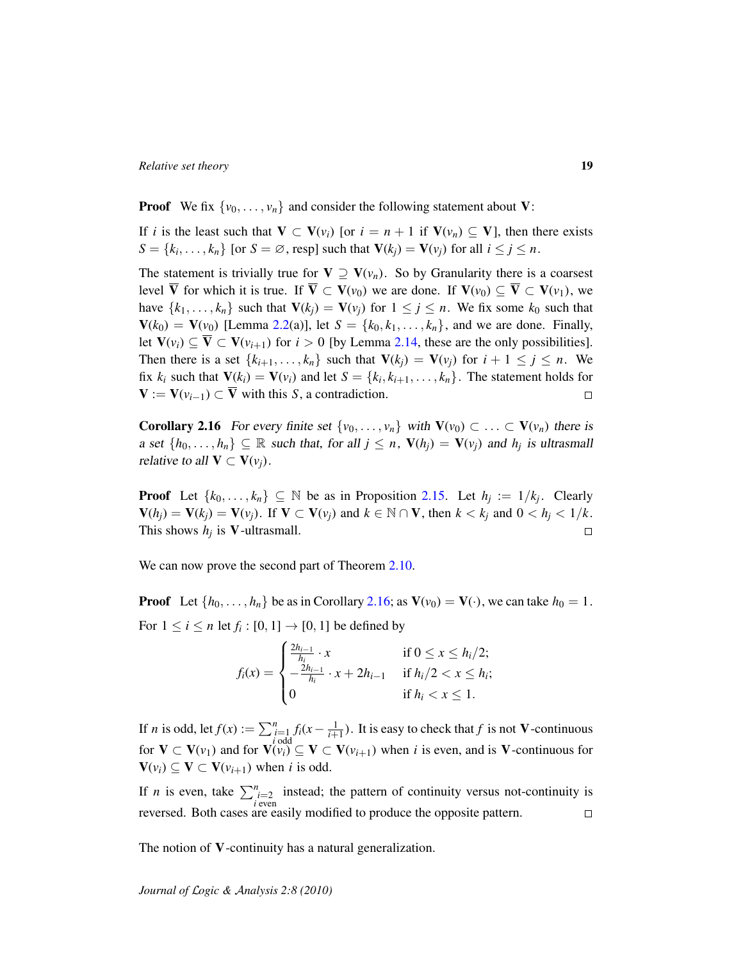**Proof** We fix  $\{v_0, \ldots, v_n\}$  and consider the following statement about V:

If *i* is the least such that  $V \subset V(v_i)$  [or  $i = n + 1$  if  $V(v_n) \subseteq V$ ], then there exists  $S = \{k_i, \ldots, k_n\}$  [or  $S = \emptyset$ , resp] such that  $\mathbf{V}(k_j) = \mathbf{V}(v_j)$  for all  $i \leq j \leq n$ .

The statement is trivially true for  $V \supseteq V(v_n)$ . So by Granularity there is a coarsest level  $\overline{V}$  for which it is true. If  $\overline{V} \subset V(v_0)$  we are done. If  $V(v_0) \subseteq \overline{V} \subset V(v_1)$ , we have  $\{k_1, \ldots, k_n\}$  such that  $\mathbf{V}(k_i) = \mathbf{V}(v_i)$  for  $1 \leq j \leq n$ . We fix some  $k_0$  such that  $V(k_0) = V(v_0)$  [Lemma [2.2\(](#page-13-1)a)], let  $S = \{k_0, k_1, \ldots, k_n\}$ , and we are done. Finally, let  $V(v_i) \subseteq \overline{V} \subset V(v_{i+1})$  for  $i > 0$  [by Lemma [2.14,](#page-17-0) these are the only possibilities]. Then there is a set  $\{k_{i+1}, \ldots, k_n\}$  such that  $\mathbf{V}(k_i) = \mathbf{V}(v_i)$  for  $i + 1 \leq j \leq n$ . We fix  $k_i$  such that  $\mathbf{V}(k_i) = \mathbf{V}(v_i)$  and let  $S = \{k_i, k_{i+1}, \dots, k_n\}$ . The statement holds for  $V := V(v_{i-1}) \subset \overline{V}$  with this *S*, a contradiction.  $\Box$ 

<span id="page-18-0"></span>**Corollary 2.16** For every finite set  $\{v_0, \ldots, v_n\}$  with  $V(v_0) \subset \ldots \subset V(v_n)$  there is a set  $\{h_0, \ldots, h_n\} \subseteq \mathbb{R}$  such that, for all  $j \leq n$ ,  $V(h_j) = V(v_j)$  and  $h_j$  is ultrasmall relative to all  $V \subset V(v_i)$ .

**Proof** Let  $\{k_0, \ldots, k_n\} \subseteq \mathbb{N}$  be as in Proposition [2.15.](#page-17-1) Let  $h_j := 1/k_j$ . Clearly  $\mathbf{V}(h_i) = \mathbf{V}(k_i) = \mathbf{V}(v_i)$ . If  $\mathbf{V} \subset \mathbf{V}(v_i)$  and  $k \in \mathbb{N} \cap \mathbf{V}$ , then  $k < k_i$  and  $0 < h_i < 1/k$ . This shows  $h_j$  is **V**-ultrasmall.  $\Box$ 

We can now prove the second part of Theorem [2.10.](#page-15-1)

**Proof** Let  $\{h_0, \ldots, h_n\}$  be as in Corollary [2.16;](#page-18-0) as  $V(v_0) = V(\cdot)$ , we can take  $h_0 = 1$ . For  $1 \le i \le n$  let  $f_i : [0, 1] \rightarrow [0, 1]$  be defined by

$$
f_i(x) = \begin{cases} \frac{2h_{i-1}}{h_i} \cdot x & \text{if } 0 \le x \le h_i/2; \\ -\frac{2h_{i-1}}{h_i} \cdot x + 2h_{i-1} & \text{if } h_i/2 < x \le h_i; \\ 0 & \text{if } h_i < x \le 1. \end{cases}
$$

If *n* is odd, let  $f(x) := \sum_{i=1}^{n} f_i(x - \frac{1}{i+1})$ . It is easy to check that *f* is not **V**-continuous for  $V \subset V(v_1)$  and for  $V(v_i) \subseteq V \subset V(v_{i+1})$  when *i* is even, and is V-continuous for  $V(v_i) \subseteq V \subset V(v_{i+1})$  when *i* is odd.

If *n* is even, take  $\sum_{i=2}^{n}$  *i* even instead; the pattern of continuity versus not-continuity is reversed. Both cases are easily modified to produce the opposite pattern.  $\Box$ 

The notion of **V**-continuity has a natural generalization.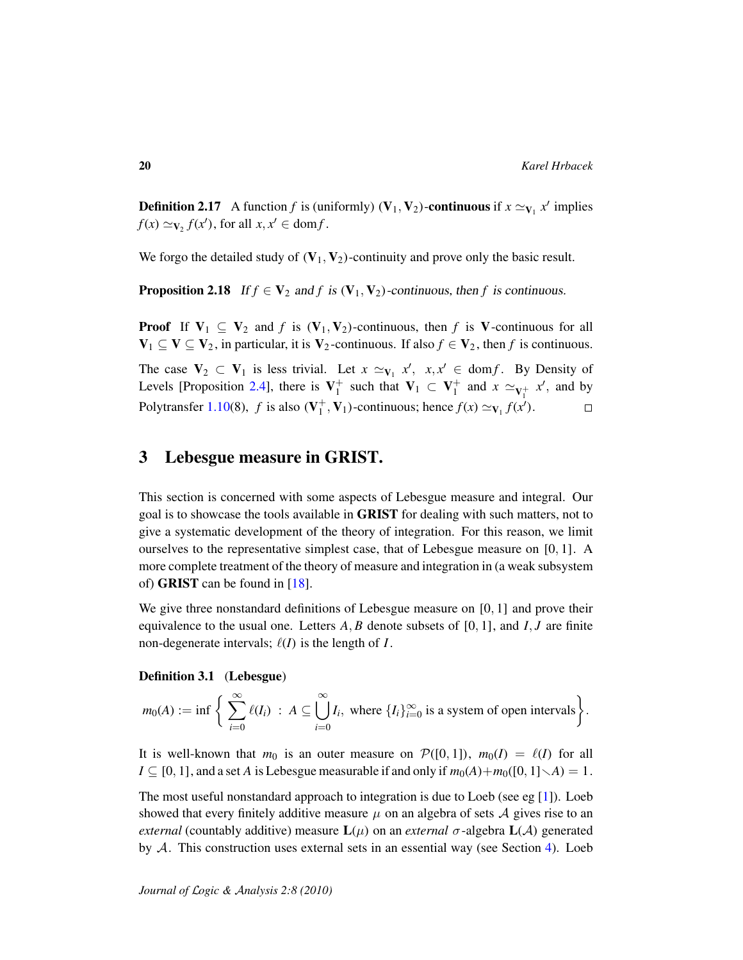**Definition 2.17** A function *f* is (uniformly) ( $V_1$ ,  $V_2$ )-**continuous** if  $x \simeq_{V_1} x'$  implies  $f(x) \simeq_{\mathbf{V}_2} f(x')$ , for all  $x, x' \in \text{dom} f$ .

We forgo the detailed study of  $(V_1, V_2)$ -continuity and prove only the basic result.

**Proposition 2.18** If  $f \in V_2$  and  $f$  is  $(V_1, V_2)$ -continuous, then  $f$  is continuous.

**Proof** If  $V_1 \subseteq V_2$  and f is  $(V_1, V_2)$ -continuous, then f is V-continuous for all  $V_1 \subseteq V \subseteq V_2$ , in particular, it is  $V_2$ -continuous. If also  $f \in V_2$ , then f is continuous.

The case  $V_2 \subset V_1$  is less trivial. Let  $x \simeq_{V_1} x'$ ,  $x, x' \in \text{dom } f$ . By Density of Levels [Proposition [2.4\]](#page-14-3), there is  $V_1^+$  $_1^+$  such that  $V_1 \subset V_1^+$  $x \simeq_{V_1^+} x'$ , and by Polytransfer [1.10\(](#page-9-0)8),  $f$  is also ( $V_1^+$  $_1^+$ , **V**<sub>1</sub>)-continuous; hence  $f(x) \simeq$ **v**<sub>1</sub> $f(x')$ .  $\Box$ 

# <span id="page-19-0"></span>3 Lebesgue measure in GRIST.

This section is concerned with some aspects of Lebesgue measure and integral. Our goal is to showcase the tools available in GRIST for dealing with such matters, not to give a systematic development of the theory of integration. For this reason, we limit ourselves to the representative simplest case, that of Lebesgue measure on [0, 1]. A more complete treatment of the theory of measure and integration in (a weak subsystem of) GRIST can be found in [\[18\]](#page-36-6).

We give three nonstandard definitions of Lebesgue measure on [0, 1] and prove their equivalence to the usual one. Letters *A*, *B* denote subsets of [0, 1], and *I*, *J* are finite non-degenerate intervals;  $\ell(I)$  is the length of *I*.

#### Definition 3.1 (Lebesgue)

$$
m_0(A) := \inf \bigg\{ \sum_{i=0}^{\infty} \ell(I_i) \,:\, A \subseteq \bigcup_{i=0}^{\infty} I_i, \text{ where } \{I_i\}_{i=0}^{\infty} \text{ is a system of open intervals} \bigg\}.
$$

It is well-known that  $m_0$  is an outer measure on  $\mathcal{P}([0, 1])$ ,  $m_0(I) = \ell(I)$  for all  $I \subseteq [0, 1]$ , and a set *A* is Lebesgue measurable if and only if  $m_0(A) + m_0([0, 1] \setminus A) = 1$ .

The most useful nonstandard approach to integration is due to Loeb (see eg [\[1\]](#page-35-6)). Loeb showed that every finitely additive measure  $\mu$  on an algebra of sets  $\mathcal A$  gives rise to an *external* (countably additive) measure  $\mathbf{L}(\mu)$  on an *external*  $\sigma$ -algebra  $\mathbf{L}(\mathcal{A})$  generated by  $A$ . This construction uses external sets in an essential way (see Section [4\)](#page-28-0). Loeb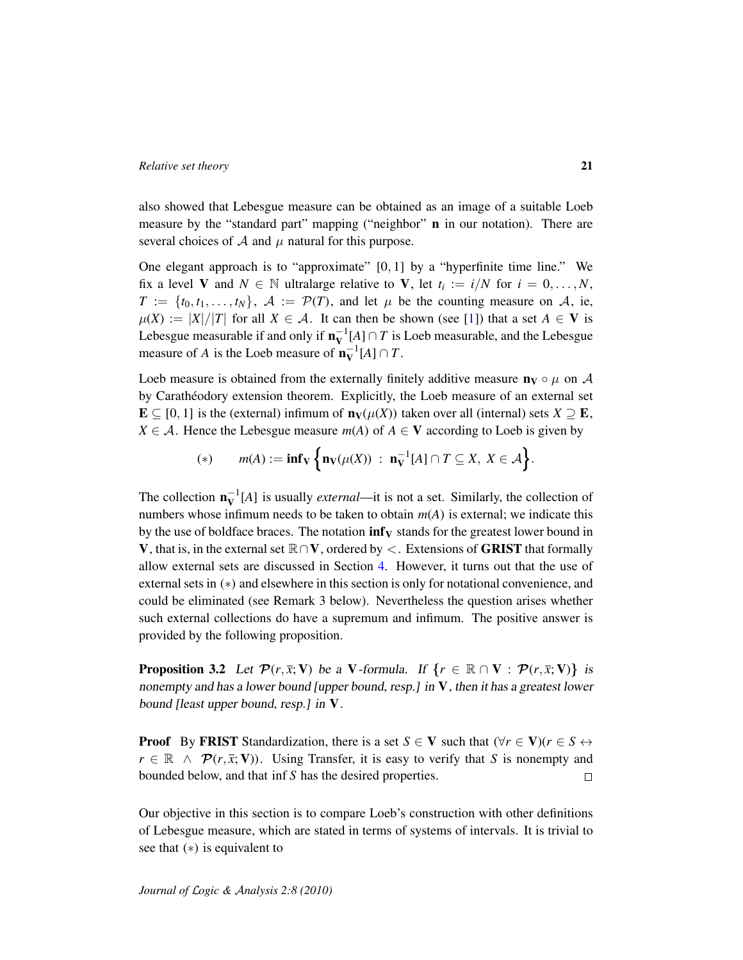also showed that Lebesgue measure can be obtained as an image of a suitable Loeb measure by the "standard part" mapping ("neighbor" **n** in our notation). There are several choices of  $A$  and  $\mu$  natural for this purpose.

One elegant approach is to "approximate"  $[0, 1]$  by a "hyperfinite time line." We fix a level **V** and  $N \in \mathbb{N}$  ultralarge relative to **V**, let  $t_i := i/N$  for  $i = 0, ..., N$ ,  $T := \{t_0, t_1, \ldots, t_N\}, \mathcal{A} := \mathcal{P}(T)$ , and let  $\mu$  be the counting measure on A, ie,  $\mu(X) := |X|/|T|$  for all  $X \in \mathcal{A}$ . It can then be shown (see [\[1\]](#page-35-6)) that a set  $A \in V$  is Lebesgue measurable if and only if  $\mathbf{n}_{\mathbf{V}}^{-1}[A] \cap T$  is Loeb measurable, and the Lebesgue measure of *A* is the Loeb measure of  $\mathbf{n}_{\mathbf{V}}^{-1}[A] \cap T$ .

Loeb measure is obtained from the externally finitely additive measure  $\mathbf{n}_V \circ \mu$  on A by Carathéodory extension theorem. Explicitly, the Loeb measure of an external set E ⊆ [0, 1] is the (external) infimum of  $n<sub>V</sub>(μ(X))$  taken over all (internal) sets *X* ⊇ **E**, *X*  $\in$  *A*. Hence the Lebesgue measure *m*(*A*) of *A*  $\in$  **V** according to Loeb is given by

(\*) 
$$
m(A) := \inf_{\mathbf{V}} \left\{ \mathbf{n}_{\mathbf{V}}(\mu(X)) : \mathbf{n}_{\mathbf{V}}^{-1}[A] \cap T \subseteq X, X \in \mathcal{A} \right\}.
$$

The collection  $\mathbf{n}_{\mathbf{V}}^{-1}[A]$  is usually *external*—it is not a set. Similarly, the collection of numbers whose infimum needs to be taken to obtain *m*(*A*) is external; we indicate this by the use of boldface braces. The notation  $\inf_{\mathbf{V}}$  stands for the greatest lower bound in V, that is, in the external set  $\mathbb{R} \cap V$ , ordered by  $\lt$ . Extensions of **GRIST** that formally allow external sets are discussed in Section [4.](#page-28-0) However, it turns out that the use of external sets in (∗) and elsewhere in this section is only for notational convenience, and could be eliminated (see Remark 3 below). Nevertheless the question arises whether such external collections do have a supremum and infimum. The positive answer is provided by the following proposition.

**Proposition 3.2** Let  $\mathcal{P}(r, \bar{x}; \mathbf{V})$  be a V-formula. If  $\{r \in \mathbb{R} \cap V : \mathcal{P}(r, \bar{x}; \mathbf{V})\}$  is nonempty and has a lower bound [upper bound, resp.] in  $V$ , then it has a greatest lower bound [least upper bound, resp.] in V.

**Proof** By FRIST Standardization, there is a set *S*  $\in$  **V** such that  $(\forall r \in V)(r \in S \leftrightarrow V)$  $r \in \mathbb{R} \land \mathcal{P}(r, \bar{x}; V)$ . Using Transfer, it is easy to verify that *S* is nonempty and bounded below, and that inf *S* has the desired properties.  $\Box$ 

Our objective in this section is to compare Loeb's construction with other definitions of Lebesgue measure, which are stated in terms of systems of intervals. It is trivial to see that (∗) is equivalent to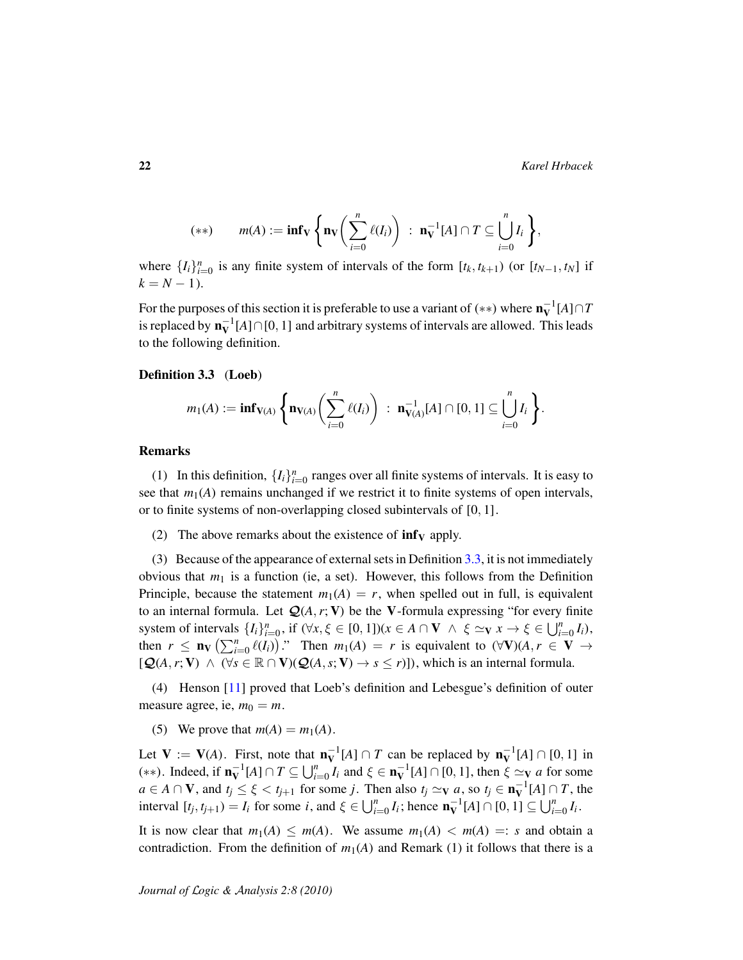$$
(**) \qquad m(A) := \inf_{\mathbf{V}} \left\{ \mathbf{n}_{\mathbf{V}} \bigg( \sum_{i=0}^{n} \ell(I_i) \bigg) \ : \ \mathbf{n}_{\mathbf{V}}^{-1}[A] \cap T \subseteq \bigcup_{i=0}^{n} I_i \right\},
$$

where  $\{I_i\}_{i=0}^n$  is any finite system of intervals of the form  $[t_k, t_{k+1})$  (or  $[t_{N-1}, t_N]$  if  $k = N - 1$ .

For the purposes of this section it is preferable to use a variant of  $(**)$  where  $\mathbf{n}_{\mathbf{V}}^{-1}[A] \cap T$ is replaced by  $\mathbf{n}_{\mathbf{V}}^{-1}[A] \cap [0,1]$  and arbitrary systems of intervals are allowed. This leads to the following definition.

#### <span id="page-21-0"></span>Definition 3.3 (Loeb)

$$
m_1(A) := \inf_{\mathbf{V}(A)} \left\{ \mathbf{n}_{\mathbf{V}(A)} \bigg( \sum_{i=0}^n \ell(I_i) \bigg) \ : \ \mathbf{n}_{\mathbf{V}(A)}^{-1}[A] \cap [0,1] \subseteq \bigcup_{i=0}^n I_i \right\}.
$$

#### Remarks

(1) In this definition,  $\{I_i\}_{i=0}^n$  ranges over all finite systems of intervals. It is easy to see that  $m_1(A)$  remains unchanged if we restrict it to finite systems of open intervals, or to finite systems of non-overlapping closed subintervals of [0, 1].

(2) The above remarks about the existence of  $\inf_{V}$  apply.

(3) Because of the appearance of external sets in Definition  $3.3$ , it is not immediately obvious that  $m_1$  is a function (ie, a set). However, this follows from the Definition Principle, because the statement  $m_1(A) = r$ , when spelled out in full, is equivalent to an internal formula. Let  $\mathcal{Q}(A, r; V)$  be the V-formula expressing "for every finite system of intervals  $\{I_i\}_{i=0}^n$ , if  $(\forall x, \xi \in [0, 1])(x \in A \cap V \land \xi \simeq_V x \to \xi \in \bigcup_{i=0}^n I_i)$ , then  $r \leq n_V \left( \sum_{i=0}^n \ell(i_i) \right)$ ." Then  $m_1(A) = r$  is equivalent to  $(\forall V)(A, r \in V \rightarrow$  $[Q(A, r; V) \wedge (\forall s \in \mathbb{R} \cap V)(Q(A, s; V) \rightarrow s \leq r)]$ , which is an internal formula.

(4) Henson [\[11\]](#page-35-7) proved that Loeb's definition and Lebesgue's definition of outer measure agree, ie,  $m_0 = m$ .

(5) We prove that  $m(A) = m_1(A)$ .

Let  $V := V(A)$ . First, note that  $n_V^{-1}[A] \cap T$  can be replaced by  $n_V^{-1}[A] \cap [0,1]$  in (\*\*). Indeed, if  $\mathbf{n}_{\mathbf{V}}^{-1}[A] \cap T \subseteq \bigcup_{i=0}^{n} I_i$  and  $\xi \in \mathbf{n}_{\mathbf{V}}^{-1}[A] \cap [0,1]$ , then  $\xi \simeq_{\mathbf{V}} a$  for some  $a \in A \cap V$ , and  $t_j \le \xi < t_{j+1}$  for some *j*. Then also  $t_j \simeq_V a$ , so  $t_j \in \mathbf{n}_V^{-1}[A] \cap T$ , the interval  $[t_j, t_{j+1}) = I_i$  for some *i*, and  $\xi \in \bigcup_{i=0}^n I_i$ ; hence  $\mathbf{n}_{\mathbf{V}}^{-1}[A] \cap [0, 1] \subseteq \bigcup_{i=0}^n I_i$ .

It is now clear that  $m_1(A) \leq m(A)$ . We assume  $m_1(A) < m(A) =: s$  and obtain a contradiction. From the definition of  $m_1(A)$  and Remark (1) it follows that there is a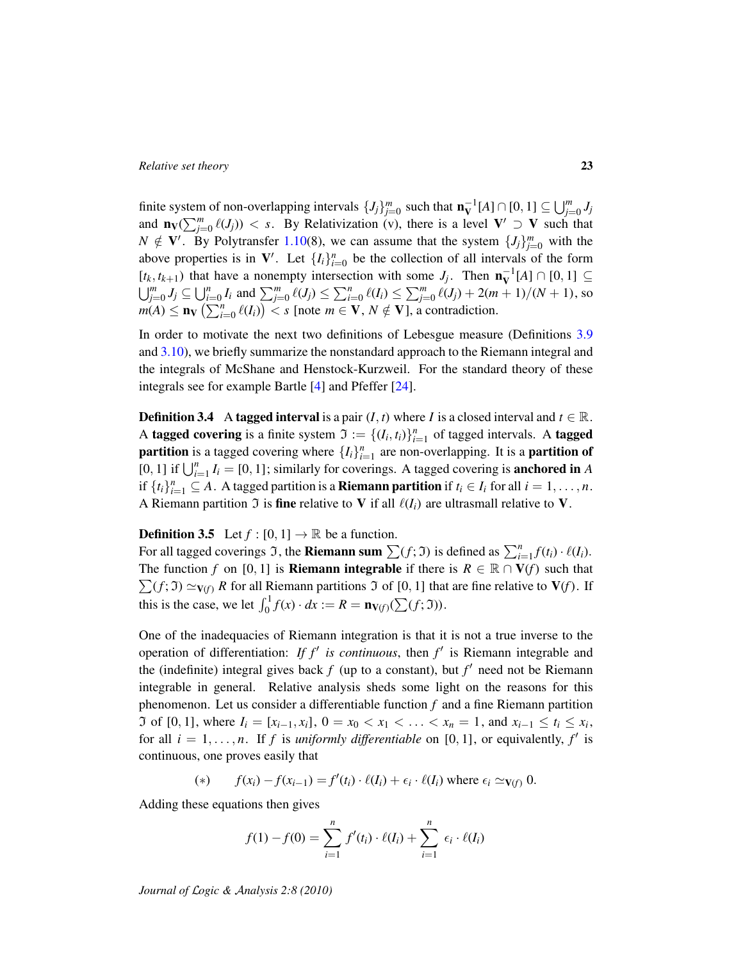finite system of non-overlapping intervals  $\{J_j\}_{j=0}^m$  such that  $\mathbf{n}_{\mathbf{V}}^{-1}[A] \cap [0,1] \subseteq \bigcup_{j=0}^m J_j$ and  $\mathbf{n}_V(\sum_{j=0}^m \ell(J_j)) < s$ . By Relativization (v), there is a level  $V' \supset V$  such that  $N \notin V'$ . By Polytransfer [1.10\(](#page-9-0)8), we can assume that the system  $\{J_j\}_{j=0}^m$  with the above properties is in  $V'$ . Let  $\{I_i\}_{i=0}^n$  be the collection of all intervals of the form  $[t_k, t_{k+1})$  that have a nonempty intersection with some  $J_j$ . Then  $\mathbf{n}_{\mathbf{V}}^{-1}[A] \cap [0, 1] \subseteq$  $\bigcup_{j=0}^m J_j \subseteq \bigcup_{i=0}^n I_i$  and  $\sum_{j=0}^m \ell(J_j) \leq \sum_{i=0}^n \ell(I_i) \leq \sum_{j=0}^m \ell(J_j) + 2(m+1)/(N+1)$ , so  $m(A) \leq n_V \left( \sum_{i=0}^n \ell(I_i) \right) < s$  [note  $m \in V$ ,  $N \notin V$ ], a contradiction.

In order to motivate the next two definitions of Lebesgue measure (Definitions [3.9](#page-24-0) and [3.10\)](#page-24-1), we briefly summarize the nonstandard approach to the Riemann integral and the integrals of McShane and Henstock-Kurzweil. For the standard theory of these integrals see for example Bartle [\[4\]](#page-35-8) and Pfeffer [\[24\]](#page-36-8).

**Definition 3.4** A tagged interval is a pair  $(I, t)$  where *I* is a closed interval and  $t \in \mathbb{R}$ . A tagged covering is a finite system  $\mathfrak{I} := \{(I_i, t_i)\}_{i=1}^n$  of tagged intervals. A tagged **partition** is a tagged covering where  $\{I_i\}_{i=1}^n$  are non-overlapping. It is a **partition of** [0, 1] if  $\bigcup_{i=1}^{n} I_i = [0, 1]$ ; similarly for coverings. A tagged covering is **anchored in** *A* if  $\{t_i\}_{i=1}^n \subseteq A$ . A tagged partition is a **Riemann partition** if  $t_i \in I_i$  for all  $i = 1, \ldots, n$ . A Riemann partition  $\Im$  is fine relative to V if all  $\ell(I_i)$  are ultrasmall relative to V.

#### <span id="page-22-0"></span>**Definition 3.5** Let  $f : [0, 1] \rightarrow \mathbb{R}$  be a function.

For all tagged coverings  $\Im$ , the **Riemann sum**  $\sum(f; \Im)$  is defined as  $\sum_{i=1}^{n} f(t_i) \cdot \ell(I_i)$ . The function *f* on [0, 1] is **Riemann integrable** if there is  $R \in \mathbb{R} \cap V(f)$  such that  $\sum(f; \mathfrak{I}) \simeq_{V(f)} R$  for all Riemann partitions  $\mathfrak{I}$  of [0, 1] that are fine relative to  $V(f)$ . If this is the case, we let  $\int_0^1 f(x) \cdot dx := R = \mathbf{n}_{V(f)}(\sum(f; \mathfrak{I}))$ .

One of the inadequacies of Riemann integration is that it is not a true inverse to the operation of differentiation: *If f'* is continuous, then  $f'$  is Riemann integrable and the (indefinite) integral gives back  $f$  (up to a constant), but  $f'$  need not be Riemann integrable in general. Relative analysis sheds some light on the reasons for this phenomenon. Let us consider a differentiable function *f* and a fine Riemann partition If so f [0, 1], where  $I_i = [x_{i-1}, x_i]$ , 0 =  $x_0 < x_1 < \ldots < x_n = 1$ , and  $x_{i-1} \le t_i \le x_i$ , for all  $i = 1, \ldots, n$ . If f is *uniformly differentiable* on [0, 1], or equivalently, f' is continuous, one proves easily that

(\*) 
$$
f(x_i) - f(x_{i-1}) = f'(t_i) \cdot \ell(I_i) + \epsilon_i \cdot \ell(I_i)
$$
 where  $\epsilon_i \simeq v(f)$  0.

Adding these equations then gives

$$
f(1) - f(0) = \sum_{i=1}^{n} f'(t_i) \cdot \ell(I_i) + \sum_{i=1}^{n} \epsilon_i \cdot \ell(I_i)
$$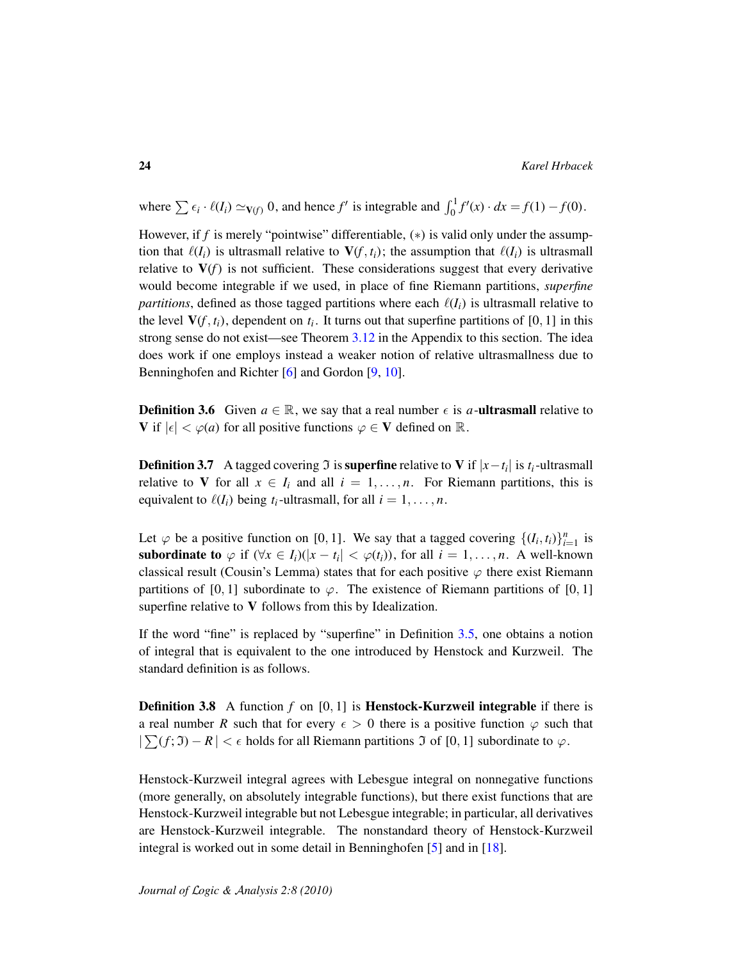where  $\sum \epsilon_i \cdot \ell(I_i) \simeq v(f)} 0$ , and hence *f*' is integrable and  $\int_0^1 f'(x) \cdot dx = f(1) - f(0)$ .

However, if *f* is merely "pointwise" differentiable, (\*) is valid only under the assumption that  $\ell(I_i)$  is ultrasmall relative to  $V(f, t_i)$ ; the assumption that  $\ell(I_i)$  is ultrasmall relative to  $V(f)$  is not sufficient. These considerations suggest that every derivative would become integrable if we used, in place of fine Riemann partitions, *superfine partitions*, defined as those tagged partitions where each  $\ell(I_i)$  is ultrasmall relative to the level  $V(f, t_i)$ , dependent on  $t_i$ . It turns out that superfine partitions of [0, 1] in this strong sense do not exist—see Theorem [3.12](#page-27-0) in the Appendix to this section. The idea does work if one employs instead a weaker notion of relative ultrasmallness due to Benninghofen and Richter [\[6\]](#page-35-1) and Gordon [\[9,](#page-35-2) [10\]](#page-35-3).

**Definition 3.6** Given  $a \in \mathbb{R}$ , we say that a real number  $\epsilon$  is a-**ultrasmall** relative to V if  $|\epsilon| < \varphi(a)$  for all positive functions  $\varphi \in V$  defined on  $\mathbb{R}$ .

**Definition 3.7** A tagged covering  $\Im$  is **superfine** relative to V if  $|x-t_i|$  is  $t_i$ -ultrasmall relative to V for all  $x \in I_i$  and all  $i = 1, \ldots, n$ . For Riemann partitions, this is equivalent to  $\ell(I_i)$  being  $t_i$ -ultrasmall, for all  $i = 1, \ldots, n$ .

Let  $\varphi$  be a positive function on [0, 1]. We say that a tagged covering  $\{(I_i, t_i)\}_{i=1}^n$  is subordinate to  $\varphi$  if  $(\forall x \in I_i)(|x - t_i| < \varphi(t_i))$ , for all  $i = 1, ..., n$ . A well-known classical result (Cousin's Lemma) states that for each positive  $\varphi$  there exist Riemann partitions of [0, 1] subordinate to  $\varphi$ . The existence of Riemann partitions of [0, 1] superfine relative to V follows from this by Idealization.

If the word "fine" is replaced by "superfine" in Definition [3.5,](#page-22-0) one obtains a notion of integral that is equivalent to the one introduced by Henstock and Kurzweil. The standard definition is as follows.

**Definition 3.8** A function *f* on [0, 1] is **Henstock-Kurzweil integrable** if there is a real number *R* such that for every  $\epsilon > 0$  there is a positive function  $\varphi$  such that  $|\sum(f; \mathfrak{I}) - R| < \epsilon$  holds for all Riemann partitions  $\mathfrak{I}$  of [0, 1] subordinate to  $\varphi$ .

Henstock-Kurzweil integral agrees with Lebesgue integral on nonnegative functions (more generally, on absolutely integrable functions), but there exist functions that are Henstock-Kurzweil integrable but not Lebesgue integrable; in particular, all derivatives are Henstock-Kurzweil integrable. The nonstandard theory of Henstock-Kurzweil integral is worked out in some detail in Benninghofen [\[5\]](#page-35-9) and in [\[18\]](#page-36-6).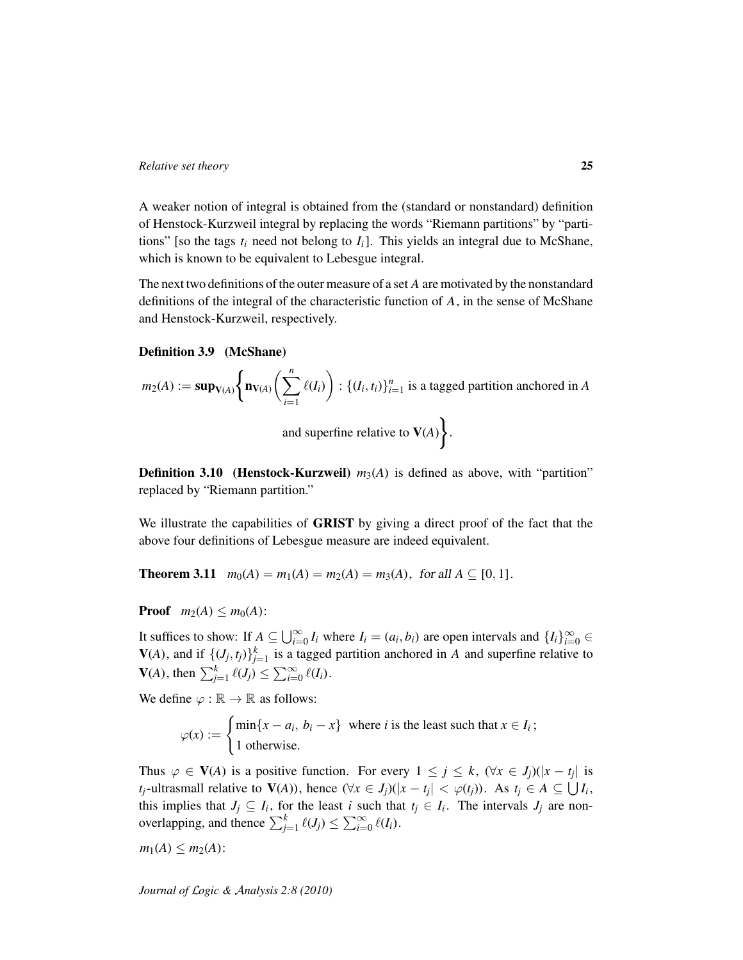A weaker notion of integral is obtained from the (standard or nonstandard) definition of Henstock-Kurzweil integral by replacing the words "Riemann partitions" by "partitions" [so the tags  $t_i$  need not belong to  $I_i$ ]. This yields an integral due to McShane, which is known to be equivalent to Lebesgue integral.

The next two definitions of the outer measure of a set *A* are motivated by the nonstandard definitions of the integral of the characteristic function of *A*, in the sense of McShane and Henstock-Kurzweil, respectively.

#### <span id="page-24-0"></span>Definition 3.9 (McShane)

$$
m_2(A) := \mathbf{sup}_{\mathbf{V}(A)} \Bigg\{ \mathbf{n}_{\mathbf{V}(A)} \Bigg( \sum_{i=1}^n \ell(I_i) \Bigg) : \{(I_i, t_i)\}_{i=1}^n \text{ is a tagged partition anchored in } A
$$
  
and superfine relative to  $\mathbf{V}(A) \Bigg\}.$ 

<span id="page-24-1"></span>**Definition 3.10** (Henstock-Kurzweil)  $m_3(A)$  is defined as above, with "partition" replaced by "Riemann partition."

We illustrate the capabilities of GRIST by giving a direct proof of the fact that the above four definitions of Lebesgue measure are indeed equivalent.

**Theorem 3.11**  $m_0(A) = m_1(A) = m_2(A) = m_3(A)$ , for all  $A \subseteq [0, 1]$ .

**Proof**  $m_2(A) \leq m_0(A)$ :

It suffices to show: If  $A \subseteq \bigcup_{i=0}^{\infty} I_i$  where  $I_i = (a_i, b_i)$  are open intervals and  $\{I_i\}_{i=0}^{\infty} \in$  $V(A)$ , and if  $\{(J_j, t_j)\}_{j=1}^k$  is a tagged partition anchored in *A* and superfine relative to  $V(A)$ , then  $\sum_{j=1}^{k} \ell(J_j) \leq \sum_{i=0}^{\infty} \ell(I_i)$ .

We define  $\varphi : \mathbb{R} \to \mathbb{R}$  as follows:

$$
\varphi(x) := \begin{cases} \min\{x - a_i, b_i - x\} & \text{where } i \text{ is the least such that } x \in I_i; \\ 1 & \text{otherwise.} \end{cases}
$$

Thus  $\varphi \in V(A)$  is a positive function. For every  $1 \leq j \leq k$ ,  $(\forall x \in J_j)(|x - t_j|)$  is *t*<sub>*j*</sub>-ultrasmall relative to  $V(A)$ ), hence  $(\forall x \in J_j)(|x - t_j| < \varphi(t_j))$ . As  $t_j \in A \subseteq \bigcup I_i$ , this implies that  $J_j \subseteq I_i$ , for the least *i* such that  $t_j \in I_i$ . The intervals  $J_j$  are nonoverlapping, and thence  $\sum_{j=1}^{k} \ell(J_j) \leq \sum_{i=0}^{\infty} \ell(I_i)$ .

 $m_1(A) \leq m_2(A)$ :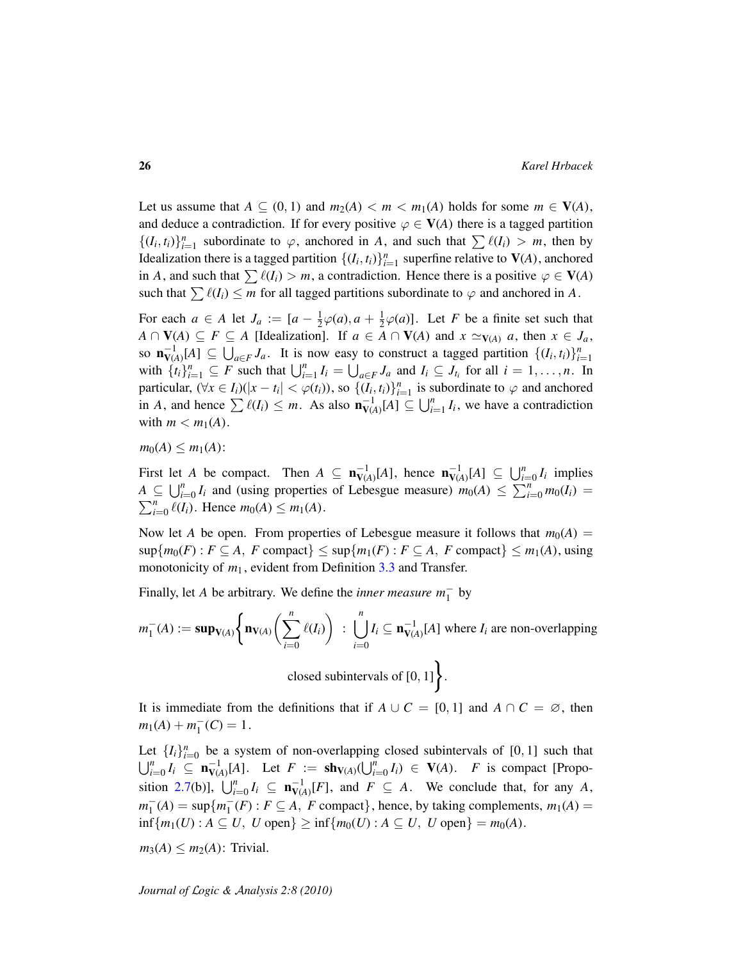Let us assume that  $A \subseteq (0, 1)$  and  $m_2(A) < m < m_1(A)$  holds for some  $m \in V(A)$ , and deduce a contradiction. If for every positive  $\varphi \in V(A)$  there is a tagged partition  $\{(I_i, t_i)\}_{i=1}^n$  subordinate to  $\varphi$ , anchored in *A*, and such that  $\sum \ell(I_i) > m$ , then by Idealization there is a tagged partition  $\{(I_i, t_i)\}_{i=1}^n$  superfine relative to  $V(A)$ , anchored in *A*, and such that  $\sum \ell(I_i) > m$ , a contradiction. Hence there is a positive  $\varphi \in V(A)$ such that  $\sum \ell(I_i) \leq m$  for all tagged partitions subordinate to  $\varphi$  and anchored in *A*.

For each  $a \in A$  let  $J_a := [a - \frac{1}{2}]$  $\frac{1}{2}\varphi(a), a + \frac{1}{2}$  $\frac{1}{2}\varphi(a)$ ]. Let *F* be a finite set such that *A* ∩  $V(A) ⊆ F ⊆ A$  [Idealization]. If *a* ∈ *A* ∩  $V(A)$  and *x*  $\simeq$   $V(A)$  *a*, then *x* ∈ *J<sub>a</sub>*, so  $\mathbf{n}_{V(A)}^{-1}[A] \subseteq \bigcup_{a \in F} J_a$ . It is now easy to construct a tagged partition  $\{(I_i, t_i)\}_{i=1}^n$ with  $\{t_i\}_{i=1}^n \subseteq F$  such that  $\bigcup_{i=1}^n I_i = \bigcup_{a \in F} J_a$  and  $I_i \subseteq J_{t_i}$  for all  $i = 1, ..., n$ . In particular,  $(\forall x \in I_i)(|x - t_i| < \varphi(t_i))$ , so  $\{(I_i, t_i)\}_{i=1}^n$  is subordinate to  $\varphi$  and anchored in *A*, and hence  $\sum \ell(I_i) \leq m$ . As also  $\mathbf{n}_{V(A)}^{-1}[A] \subseteq \bigcup_{i=1}^n I_i$ , we have a contradiction with  $m < m_1(A)$ .

 $m_0(A) \leq m_1(A)$ :

First let *A* be compact. Then  $A \subseteq \mathbf{n}_{V(A)}^{-1}[A]$ , hence  $\mathbf{n}_{V(A)}^{-1}[A] \subseteq \bigcup_{i=0}^{n} I_i$  implies  $A \subseteq \bigcup_{i=0}^{n} I_i$  and (using properties of Lebesgue measure)  $m_0(A) \leq \sum_{i=0}^{n} m_0(I_i) =$  $\sum_{i=0}^{n} \ell(I_i)$ . Hence  $m_0(A) \leq m_1(A)$ .

Now let *A* be open. From properties of Lebesgue measure it follows that  $m_0(A)$  =  $\sup\{m_0(F) : F \subseteq A, F \text{ compact}\} \leq \sup\{m_1(F) : F \subseteq A, F \text{ compact}\} \leq m_1(A), \text{using}$ monotonicity of  $m_1$ , evident from Definition [3.3](#page-21-0) and Transfer.

Finally, let *A* be arbitrary. We define the *inner measure*  $m_1^-$  by

$$
m_1^-(A) := \mathbf{sup}_{\mathbf{V}(A)} \Bigg\{ \mathbf{n}_{\mathbf{V}(A)} \Bigg( \sum_{i=0}^n \ell(I_i) \Bigg) : \bigcup_{i=0}^n I_i \subseteq \mathbf{n}_{\mathbf{V}(A)}^{-1}[A] \text{ where } I_i \text{ are non-overlapping} \bigg\}
$$
  
closed subintervals of [0, 1]

It is immediate from the definitions that if  $A \cup C = [0, 1]$  and  $A \cap C = \emptyset$ , then  $m_1(A) + m_1^ I_1^-(C) = 1.$ 

Let  $\{I_i\}_{i=0}^n$  be a system of non-overlapping closed subintervals of [0, 1] such that  $\bigcup_{i=0}^{n} I_i \subseteq \mathbf{n}_{V(A)}^{-1}[A]$ . Let  $F := \mathbf{sh}_{V(A)}(\bigcup_{i=0}^{n} I_i) \in V(A)$ . *F* is compact [Propo-sition [2.7\(](#page-14-2)b)],  $\bigcup_{i=0}^{n} I_i \subseteq \mathbf{n}_{V(A)}^{-1}[F]$ , and  $F \subseteq A$ . We conclude that, for any *A*,  $m_1^ I_1^-(A) = \sup\{m_1^ T_1(F)$ :  $F \subseteq A$ ,  $F$  compact}, hence, by taking complements,  $m_1(A) =$ inf{ $m_1(U)$  :  $A ⊆ U$ ,  $U$  open} ≥ inf{ $m_0(U)$  :  $A ⊆ U$ ,  $U$  open} =  $m_0(A)$ .

 $m_3(A) \leq m_2(A)$ : Trivial.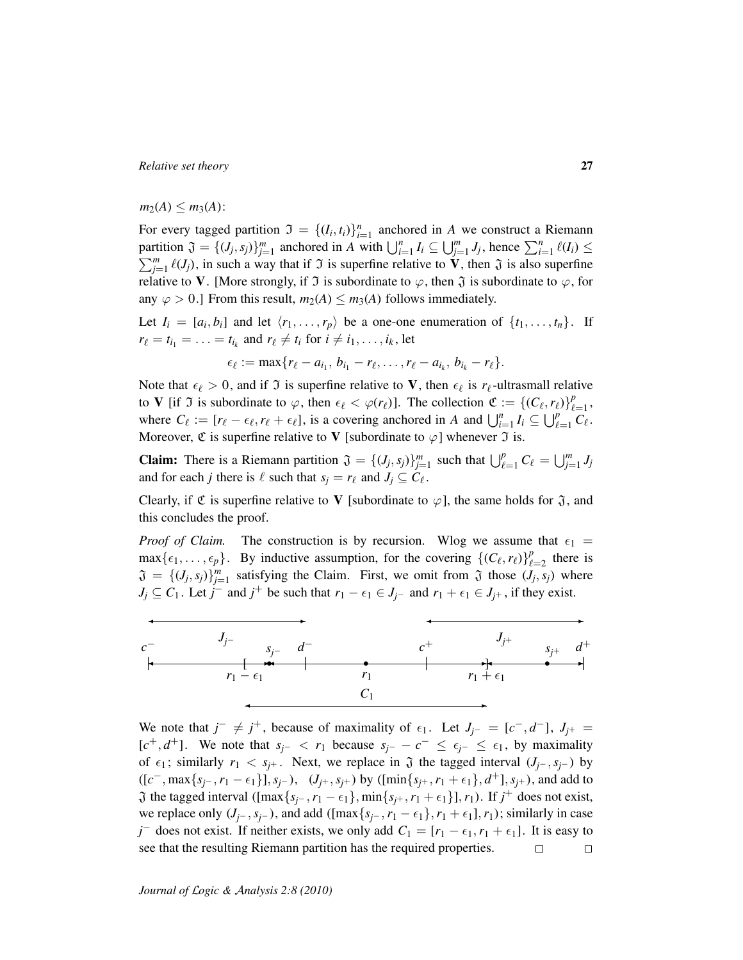$m_2(A) \leq m_3(A)$ :

For every tagged partition  $\mathfrak{I} = \{(I_i, t_i)\}_{i=1}^n$  anchored in *A* we construct a Riemann partition  $\mathfrak{J} = \{(J_j, s_j)\}_{j=1}^m$  anchored in A with  $\bigcup_{i=1}^n I_i \subseteq \bigcup_{j=1}^m J_j$ , hence  $\sum_{i=1}^n \ell(I_i) \leq$  $\sum_{j=1}^{m} \ell(J_j)$ , in such a way that if  $\Im$  is superfine relative to  $\mathbf{\hat{V}}$ , then  $\Im$  is also superfine relative to V. [More strongly, if  $\Im$  is subordinate to  $\varphi$ , then  $\Im$  is subordinate to  $\varphi$ , for any  $\varphi > 0$ .] From this result,  $m_2(A) \leq m_3(A)$  follows immediately.

Let  $I_i = [a_i, b_i]$  and let  $\langle r_1, \ldots, r_p \rangle$  be a one-one enumeration of  $\{t_1, \ldots, t_n\}$ . If  $r_{\ell} = t_{i_1} = \ldots = t_{i_k}$  and  $r_{\ell} \neq t_i$  for  $i \neq i_1, \ldots, i_k$ , let

$$
\epsilon_{\ell} := \max\{r_{\ell} - a_{i_1}, b_{i_1} - r_{\ell}, \ldots, r_{\ell} - a_{i_k}, b_{i_k} - r_{\ell}\}.
$$

Note that  $\epsilon_\ell > 0$ , and if  $\Im$  is superfine relative to V, then  $\epsilon_\ell$  is  $r_\ell$ -ultrasmall relative to V [if  $\Im$  is subordinate to  $\varphi$ , then  $\epsilon_{\ell} < \varphi(r_{\ell})$ ]. The collection  $\mathfrak{C} := \{(C_{\ell}, r_{\ell})\}_{\ell}^{p}$  $_{\ell=1}^p$ , where  $C_{\ell} := [r_{\ell} - \epsilon_{\ell}, r_{\ell} + \epsilon_{\ell}]$ , is a covering anchored in *A* and  $\bigcup_{i=1}^{n} I_i \subseteq \bigcup_{\ell=1}^{p} C_{\ell}$ . Moreover,  $\mathfrak C$  is superfine relative to V [subordinate to  $\varphi$ ] whenever  $\mathfrak I$  is.

**Claim:** There is a Riemann partition  $\mathfrak{J} = \{(J_j, s_j)\}_{j=1}^m$  such that  $\bigcup_{\ell=1}^p C_\ell = \bigcup_{j=1}^m J_j$ and for each *j* there is  $\ell$  such that  $s_j = r_\ell$  and  $J_j \subseteq C_\ell$ .

Clearly, if  $\mathfrak C$  is superfine relative to V [subordinate to  $\varphi$ ], the same holds for  $\mathfrak J$ , and this concludes the proof.

*Proof of Claim.* The construction is by recursion. Wlog we assume that  $\epsilon_1$  =  $\max{\{\epsilon_1, \ldots, \epsilon_p\}}$ . By inductive assumption, for the covering  $\{(C_\ell, r_\ell)\}_{\ell=1}^p$  $_{\ell=2}^p$  there is  $\mathfrak{J} = \{ (J_j, s_j) \}_{j=1}^m$  satisfying the Claim. First, we omit from  $\mathfrak{J}$  those  $(J_j, s_j)$  where  $J_j \subseteq C_1$ . Let  $j^-$  and  $j^+$  be such that  $r_1 - \epsilon_1 \in J_{j^-}$  and  $r_1 + \epsilon_1 \in J_{j^+}$ , if they exist.



We note that  $j^- \neq j^+$ , because of maximality of  $\epsilon_1$ . Let  $J_{j^-} = [c^-, d^-]$ ,  $J_{j^+} =$  $[c^+, d^+]$ . We note that  $s_{j^-} < r_1$  because  $s_{j^-} - c^- \leq \epsilon_{j^-} \leq \epsilon_1$ , by maximality of  $\epsilon_1$ ; similarly  $r_1 < s_j$ +. Next, we replace in  $\mathfrak J$  the tagged interval  $(J_{j^-}, s_{j^-})$  by  $([c^-, \max\{s_{j^-}, r_1 - \epsilon_1\}], s_{j^-}), (J_{j^+}, s_{j^+})$  by  $([\min\{s_{j^+}, r_1 + \epsilon_1\}, d^+], s_{j^+}),$  and add to  $\mathfrak{J}$  the tagged interval ( $\left[\max\{s_{j-}, r_1 - \epsilon_1\}, \min\{s_{j+}, r_1 + \epsilon_1\}\right], r_1$ ). If  $j^+$  does not exist, we replace only  $(J_{i^-}, s_{i^-})$ , and add ([max $\{s_{i^-}, r_1 - \epsilon_1\}$ ,  $r_1 + \epsilon_1$ ],  $r_1$ ); similarly in case *j* does not exist. If neither exists, we only add  $C_1 = [r_1 - \epsilon_1, r_1 + \epsilon_1]$ . It is easy to see that the resulting Riemann partition has the required properties.  $\Box$  $\Box$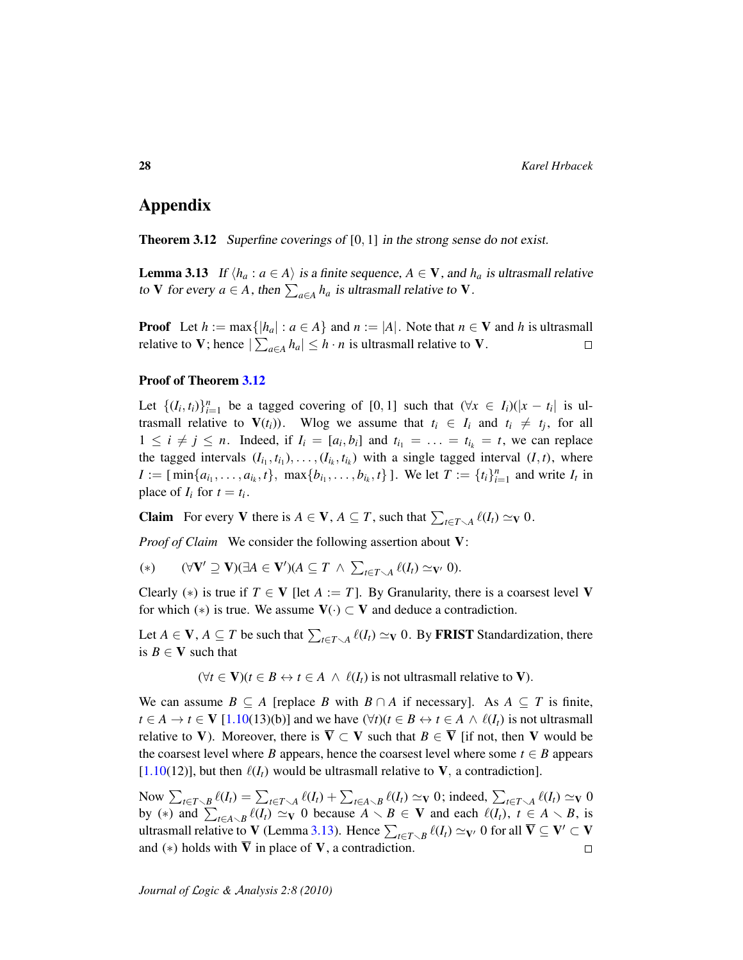# Appendix

<span id="page-27-0"></span>Theorem 3.12 Superfine coverings of [0, 1] in the strong sense do not exist.

<span id="page-27-1"></span>**Lemma 3.13** If  $\langle h_a : a \in A \rangle$  is a finite sequence,  $A \in V$ , and  $h_a$  is ultrasmall relative to V for every  $a \in A$ , then  $\sum_{a \in A} h_a$  is ultrasmall relative to V.

**Proof** Let  $h := \max\{|h_a| : a \in A\}$  and  $n := |A|$ . Note that  $n \in V$  and  $h$  is ultrasmall relative to V; hence  $|\sum_{a \in A} h_a| \leq h \cdot n$  is ultrasmall relative to V.  $\Box$ 

#### Proof of Theorem [3.12](#page-27-0)

Let  $\{(I_i, t_i)\}_{i=1}^n$  be a tagged covering of [0, 1] such that  $(\forall x \in I_i)(|x - t_i|)$  is ultrasmall relative to  $V(t_i)$ ). Wlog we assume that  $t_i \in I_i$  and  $t_i \neq t_j$ , for all  $1 \leq i \neq j \leq n$ . Indeed, if  $I_i = [a_i, b_i]$  and  $t_{i_1} = \ldots = t_{i_k} = t$ , we can replace the tagged intervals  $(I_{i_1}, t_{i_1}), \ldots, (I_{i_k}, t_{i_k})$  with a single tagged interval  $(I, t)$ , where  $I := [\min\{a_{i_1}, \ldots, a_{i_k}, t\}, \max\{b_{i_1}, \ldots, b_{i_k}, t\}]$ . We let  $T := \{t_i\}_{i=1}^n$  and write  $I_t$  in place of  $I_i$  for  $t = t_i$ .

**Claim** For every V there is  $A \in V$ ,  $A \subseteq T$ , such that  $\sum_{t \in T \setminus A} \ell(I_t) \simeq_V 0$ .

*Proof of Claim* We consider the following assertion about V:

(\*)  $(\forall V' \supseteq V)(\exists A \in V')(A \subseteq T \land \sum_{t \in T \smallsetminus A} \ell(I_t) \simeq_{V'} 0).$ 

Clearly (\*) is true if  $T \in V$  [let  $A := T$ ]. By Granularity, there is a coarsest level V for which (\*) is true. We assume  $V(\cdot) \subset V$  and deduce a contradiction.

Let  $A \in V$ ,  $A \subseteq T$  be such that  $\sum_{t \in T \setminus A} \ell(I_t) \simeq_V 0$ . By FRIST Standardization, there is  $B \in V$  such that

 $(\forall t \in \mathbf{V})(t \in B \leftrightarrow t \in A \land \ell(I_t)$  is not ultrasmall relative to **V**).

We can assume  $B \subseteq A$  [replace *B* with  $B \cap A$  if necessary]. As  $A \subseteq T$  is finite, *t* ∈ *A* → *t* ∈ **V** [\[1.10\(](#page-9-0)13)(b)] and we have  $(\forall t)(t \in B \leftrightarrow t \in A \land \ell(I_t)$  is not ultrasmall relative to V). Moreover, there is  $\overline{V} \subset V$  such that  $B \in \overline{V}$  [if not, then V would be the coarsest level where *B* appears, hence the coarsest level where some  $t \in B$  appears  $[1.10(12)]$  $[1.10(12)]$ , but then  $\ell(I_t)$  would be ultrasmall relative to **V**, a contradiction].

Now  $\sum_{t \in T \setminus B} \ell(I_t) = \sum_{t \in T \setminus A} \ell(I_t) + \sum_{t \in A \setminus B} \ell(I_t) \simeq_{\mathbf{V}} 0$ ; indeed,  $\sum_{t \in T \setminus A} \ell(I_t) \simeq_{\mathbf{V}} 0$ by (\*) and  $\sum_{t \in A \setminus B} \ell(I_t) \simeq_{\mathbf{V}} 0$  because  $A \setminus B \in \mathbf{V}$  and each  $\ell(I_t)$ ,  $t \in A \setminus B$ , is ultrasmall relative to V (Lemma [3.13\)](#page-27-1). Hence  $\sum_{t \in T \setminus B} \ell(I_t) \simeq_{V'} 0$  for all  $\overline{V} \subseteq V' \subset V$ and  $(*)$  holds with V in place of V, a contradiction.  $\Box$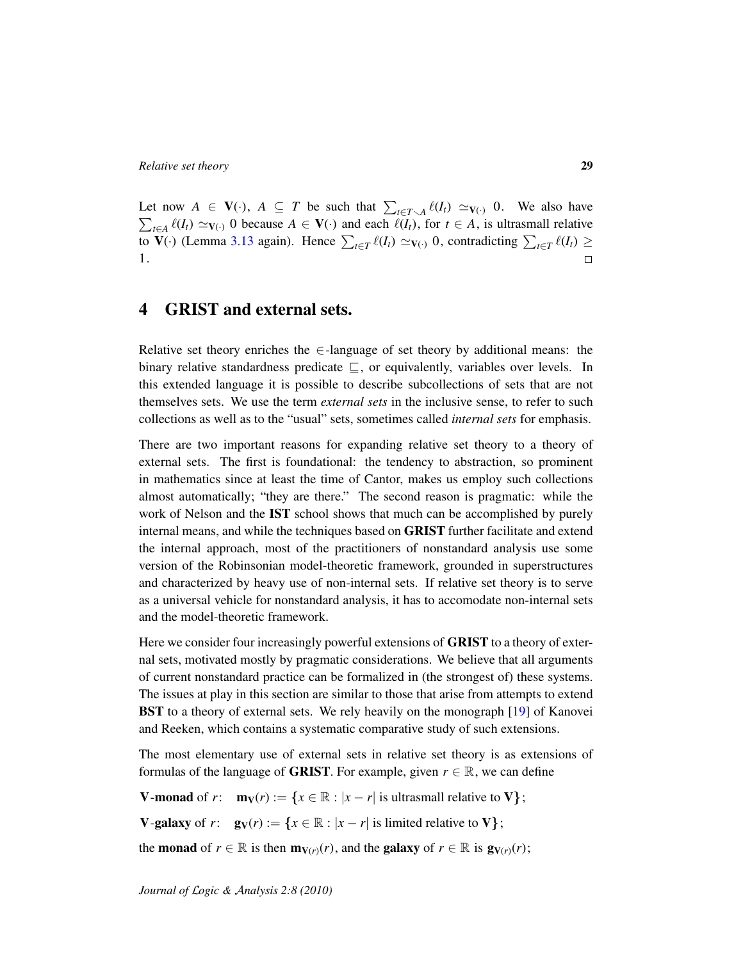Let now  $A \in V(\cdot)$ ,  $A \subseteq T$  be such that  $\sum_{t \in T \setminus A} \ell(I_t) \simeq_{V(\cdot)} 0$ . We also have  $\sum_{t \in A} \ell(I_t) \simeq_{V(\cdot)} 0$  because *A* ∈  $V(\cdot)$  and each  $\ell(I_t)$ , for *t* ∈ *A*, is ultrasmall relative to  $V(\cdot)$  (Lemma [3.13](#page-27-1) again). Hence  $\sum_{t \in T} \ell(I_t) \simeq V(\cdot)$  0, contradicting  $\sum_{t \in T} \ell(I_t) \ge$ 1.  $\Box$ 

# <span id="page-28-0"></span>4 GRIST and external sets.

Relative set theory enriches the  $\in$ -language of set theory by additional means: the binary relative standardness predicate  $\subseteq$ , or equivalently, variables over levels. In this extended language it is possible to describe subcollections of sets that are not themselves sets. We use the term *external sets* in the inclusive sense, to refer to such collections as well as to the "usual" sets, sometimes called *internal sets* for emphasis.

There are two important reasons for expanding relative set theory to a theory of external sets. The first is foundational: the tendency to abstraction, so prominent in mathematics since at least the time of Cantor, makes us employ such collections almost automatically; "they are there." The second reason is pragmatic: while the work of Nelson and the IST school shows that much can be accomplished by purely internal means, and while the techniques based on GRIST further facilitate and extend the internal approach, most of the practitioners of nonstandard analysis use some version of the Robinsonian model-theoretic framework, grounded in superstructures and characterized by heavy use of non-internal sets. If relative set theory is to serve as a universal vehicle for nonstandard analysis, it has to accomodate non-internal sets and the model-theoretic framework.

Here we consider four increasingly powerful extensions of **GRIST** to a theory of external sets, motivated mostly by pragmatic considerations. We believe that all arguments of current nonstandard practice can be formalized in (the strongest of) these systems. The issues at play in this section are similar to those that arise from attempts to extend BST to a theory of external sets. We rely heavily on the monograph [\[19\]](#page-36-9) of Kanovei and Reeken, which contains a systematic comparative study of such extensions.

The most elementary use of external sets in relative set theory is as extensions of formulas of the language of **GRIST**. For example, given  $r \in \mathbb{R}$ , we can define

**V-monad** of *r*:  $\mathbf{m}_V(r) := \{x \in \mathbb{R} : |x - r| \text{ is ultrasmall relative to } V\};$ 

**V-galaxy** of  $r: \mathbf{g}_V(r) := \{x \in \mathbb{R} : |x - r| \text{ is limited relative to } V\};$ 

the **monad** of  $r \in \mathbb{R}$  is then  $\mathbf{m}_{V(r)}(r)$ , and the **galaxy** of  $r \in \mathbb{R}$  is  $\mathbf{g}_{V(r)}(r)$ ;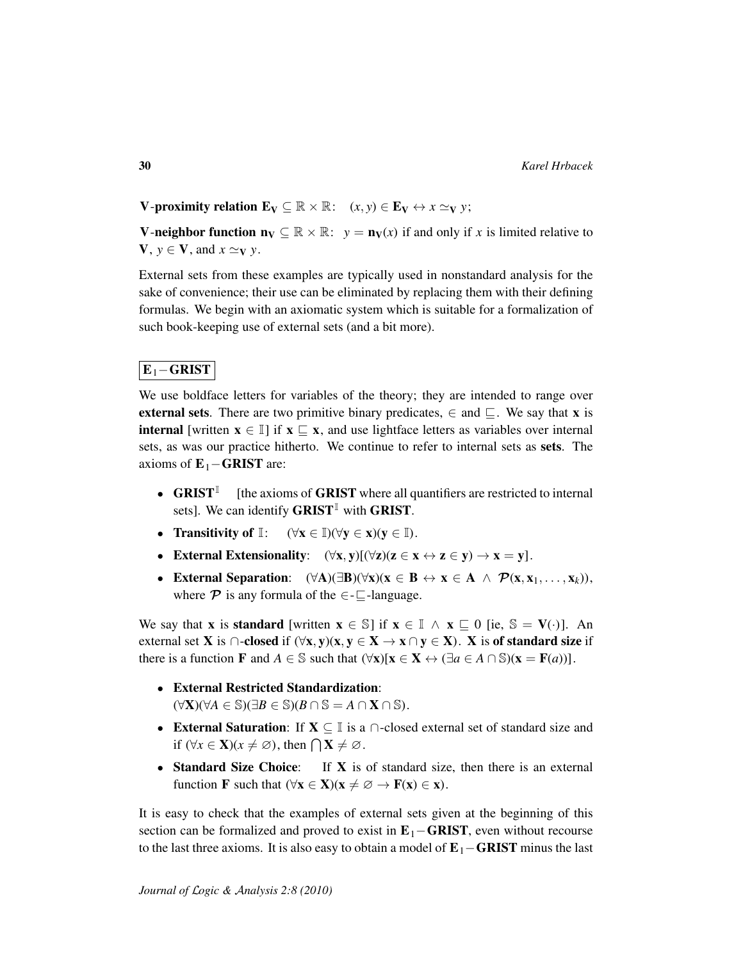V-proximity relation  $\mathbf{E}_{\mathbf{V}} \subseteq \mathbb{R} \times \mathbb{R}$ :  $(x, y) \in \mathbf{E}_{\mathbf{V}} \leftrightarrow x \simeq_{\mathbf{V}} y$ ;

**V-neighbor function**  $\mathbf{n}_V \subseteq \mathbb{R} \times \mathbb{R}$ **:**  $y = \mathbf{n}_V(x)$  if and only if x is limited relative to  $V, y \in V$ , and  $x \simeq_V y$ .

External sets from these examples are typically used in nonstandard analysis for the sake of convenience; their use can be eliminated by replacing them with their defining formulas. We begin with an axiomatic system which is suitable for a formalization of such book-keeping use of external sets (and a bit more).

### $E_1$ −GRIST

We use boldface letters for variables of the theory; they are intended to range over external sets. There are two primitive binary predicates,  $\in$  and  $\Box$ . We say that x is **internal** [written  $x \in \mathbb{I}$ ] if  $x \subseteq x$ , and use lightface letters as variables over internal sets, as was our practice hitherto. We continue to refer to internal sets as sets. The axioms of  $E_1 - GRIST$  are:

- GRIST [the axioms of GRIST where all quantifiers are restricted to internal sets]. We can identify GRIST<sup>I</sup> with GRIST.
- Transitivity of  $\mathbb{I}: (\forall x \in \mathbb{I})(\forall y \in x)(y \in \mathbb{I}).$
- External Extensionality:  $(\forall x, y)[(\forall z)(z \in x \leftrightarrow z \in y) \rightarrow x = y].$
- External Separation:  $(\forall A)(\exists B)(\forall x)(x \in B \leftrightarrow x \in A \land \mathcal{P}(x, x_1, \ldots, x_k)),$ where  $\mathcal P$  is any formula of the  $\in$ - $\Box$ -language.

We say that **x** is **standard** [written  $\mathbf{x} \in \mathbb{S}$ ] if  $\mathbf{x} \in \mathbb{I} \wedge \mathbf{x} \subseteq \mathbf{0}$  [ie,  $\mathbb{S} = \mathbf{V}(\cdot)$ ]. An external set **X** is  $\cap$ -closed if  $(\forall x, y)(x, y \in X \rightarrow x \cap y \in X)$ . X is of standard size if there is a function **F** and  $A \in \mathbb{S}$  such that  $(\forall x)[x \in X \leftrightarrow (\exists a \in A \cap \mathbb{S})(x = F(a))].$ 

- External Restricted Standardization:  $(\forall \mathbf{X})(\forall A \in \mathbb{S})(\exists B \in \mathbb{S})(B \cap \mathbb{S} = A \cap \mathbf{X} \cap \mathbb{S}).$
- External Saturation: If  $X \subseteq \mathbb{I}$  is a  $\cap$ -closed external set of standard size and if  $(\forall x \in \mathbf{X}) (x \neq \emptyset)$ , then  $\bigcap \mathbf{X} \neq \emptyset$ .
- Standard Size Choice: If X is of standard size, then there is an external function **F** such that  $(\forall x \in X)(x \neq \emptyset \rightarrow F(x) \in x)$ .

It is easy to check that the examples of external sets given at the beginning of this section can be formalized and proved to exist in  $E_1$ –GRIST, even without recourse to the last three axioms. It is also easy to obtain a model of  $E_1$ –**GRIST** minus the last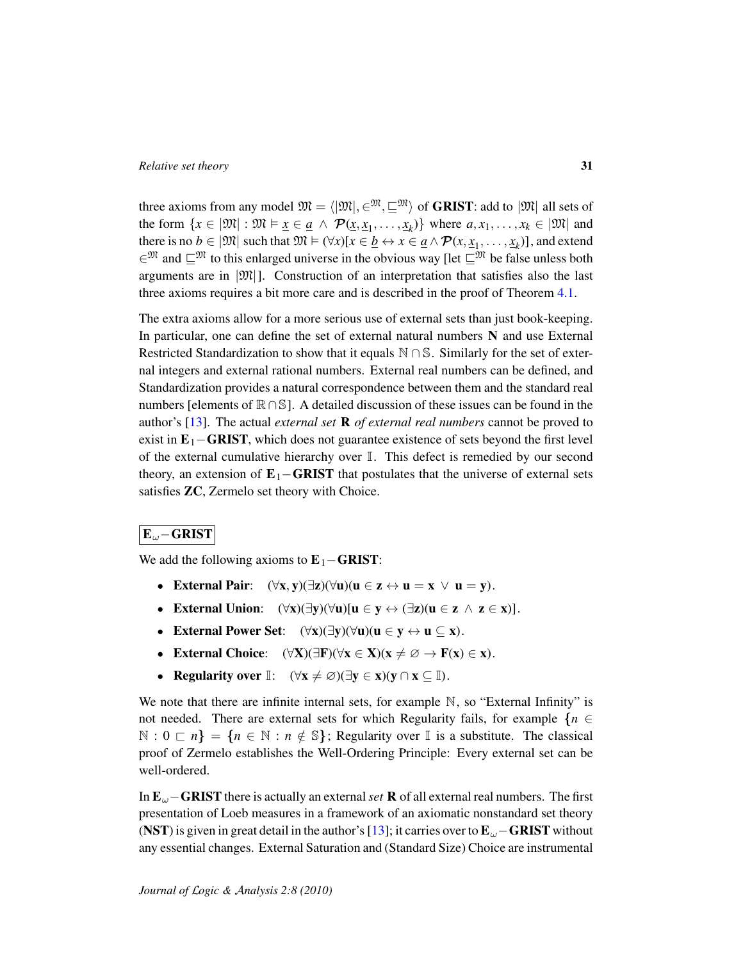three axioms from any model  $\mathfrak{M} = \langle |\mathfrak{M}|, \in \mathfrak{M}, \square \mathfrak{M} \rangle$  of **GRIST**: add to  $|\mathfrak{M}|$  all sets of the form  $\{x \in |\mathfrak{M}| : \mathfrak{M} \models \underline{x} \in \underline{a} \land \mathcal{P}(\underline{x}, \underline{x}_1, \dots, \underline{x}_k)\}$  where  $a, x_1, \dots, x_k \in |\mathfrak{M}|$  and there is no  $b \in |\mathfrak{M}|$  such that  $\mathfrak{M} \models (\forall x)[x \in \underline{b} \leftrightarrow x \in \underline{a} \land \mathcal{P}(x, \underline{x}_1, \dots, \underline{x}_k)]$ , and extend  $\infty^{\mathfrak{M}}$  and  $\mathbb{C}^{\mathfrak{M}}$  to this enlarged universe in the obvious way [let  $\mathbb{C}^{\mathfrak{M}}$  be false unless both arguments are in  $|\mathfrak{M}|$ . Construction of an interpretation that satisfies also the last three axioms requires a bit more care and is described in the proof of Theorem [4.1.](#page-32-0)

The extra axioms allow for a more serious use of external sets than just book-keeping. In particular, one can define the set of external natural numbers  $N$  and use External Restricted Standardization to show that it equals N ∩ S. Similarly for the set of external integers and external rational numbers. External real numbers can be defined, and Standardization provides a natural correspondence between them and the standard real numbers [elements of  $\mathbb{R} \cap \mathbb{S}$ ]. A detailed discussion of these issues can be found in the author's [\[13\]](#page-35-10). The actual *external set* R *of external real numbers* cannot be proved to exist in  $E_1$ –GRIST, which does not guarantee existence of sets beyond the first level of the external cumulative hierarchy over  $\mathbb{I}$ . This defect is remedied by our second theory, an extension of  $E_1$ –GRIST that postulates that the universe of external sets satisfies ZC, Zermelo set theory with Choice.

# Eω−GRIST

We add the following axioms to  $E_1 - GRIST$ :

- External Pair:  $(\forall x, y)(\exists z)(\forall u)(u \in z \leftrightarrow u = x \lor u = y).$
- External Union:  $(\forall x)(\exists y)(\forall u)[u \in y \leftrightarrow (\exists z)(u \in z \land z \in x)].$
- External Power Set:  $(\forall x)(\exists y)(\forall u)(u \in y \leftrightarrow u \subseteq x)$ .
- External Choice:  $(\forall X)(\exists F)(\forall x \in X)(x \neq \emptyset \rightarrow F(x) \in x)$ .
- Regularity over  $\mathbb{I}: (\forall x \neq \emptyset)(\exists y \in x)(y \cap x \subseteq \mathbb{I}).$

We note that there are infinite internal sets, for example  $\mathbb N$ , so "External Infinity" is not needed. There are external sets for which Regularity fails, for example  $\{n \in \mathbb{Z}\}$  $\mathbb{N}: 0 \subset n$  =  $\{n \in \mathbb{N}: n \notin \mathbb{S}\}$ ; Regularity over  $\mathbb{I}$  is a substitute. The classical proof of Zermelo establishes the Well-Ordering Principle: Every external set can be well-ordered.

In Eω−GRIST there is actually an external*set* R of all external real numbers. The first presentation of Loeb measures in a framework of an axiomatic nonstandard set theory (NST) is given in great detail in the author's [\[13\]](#page-35-10); it carries over to  $E_{\omega}$  – GRIST without any essential changes. External Saturation and (Standard Size) Choice are instrumental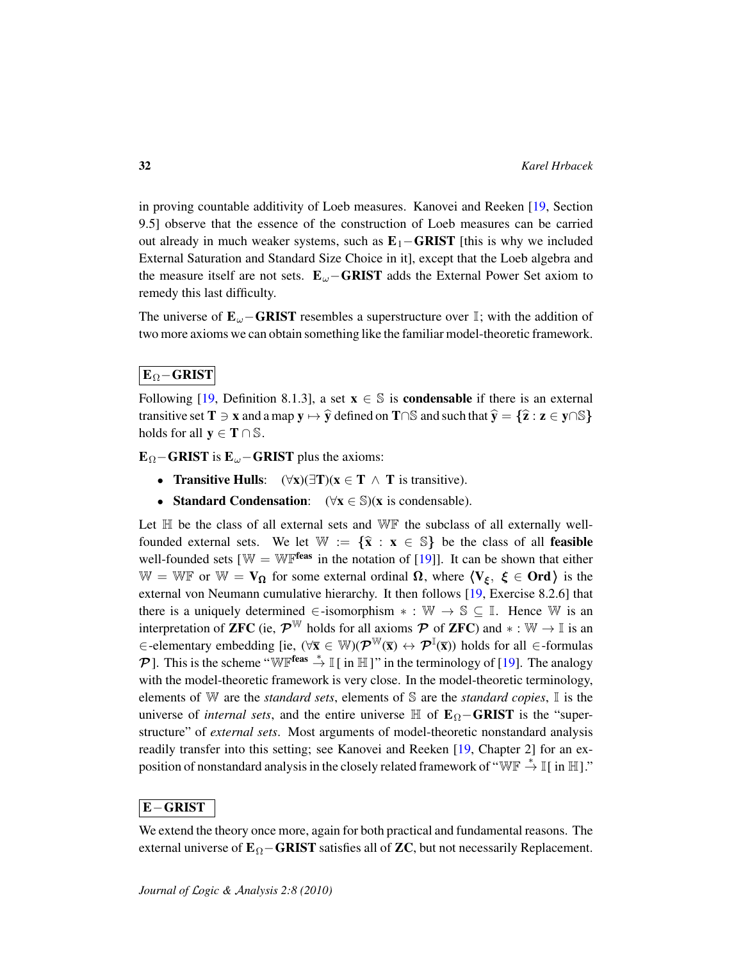in proving countable additivity of Loeb measures. Kanovei and Reeken [\[19,](#page-36-9) Section 9.5] observe that the essence of the construction of Loeb measures can be carried out already in much weaker systems, such as  $E_1$ –**GRIST** [this is why we included External Saturation and Standard Size Choice in it], except that the Loeb algebra and the measure itself are not sets.  $E_{\omega}$ –GRIST adds the External Power Set axiom to remedy this last difficulty.

The universe of  $\mathbf{E}_{\omega}$  – GRIST resembles a superstructure over I; with the addition of two more axioms we can obtain something like the familiar model-theoretic framework.

# $\mathbf{E}_{\Omega} - \mathbf{GRIST}$

Following [\[19,](#page-36-9) Definition 8.1.3], a set  $x \in \mathbb{S}$  is **condensable** if there is an external transitive set  $T \ni x$  and a map  $y \mapsto \hat{y}$  defined on  $T \cap \mathbb{S}$  and such that  $\hat{y} = \{\hat{z} : z \in y \cap \mathbb{S}\}\$ holds for all  $y \in T \cap \mathbb{S}$ .

 $\mathbf{E}_{\Omega}$ −GRIST is  $\mathbf{E}_{\omega}$ −GRIST plus the axioms:

- Transitive Hulls:  $(\forall x)(\exists T)(x \in T \land T$  is transitive).
- Standard Condensation:  $(\forall x \in \mathbb{S})(x \text{ is condensable}).$

Let  $H$  be the class of all external sets and  $W\mathbb{F}$  the subclass of all externally wellfounded external sets. We let  $\mathbb{W} := {\hat{\mathbf{x}} : \mathbf{x} \in \mathbb{S}}$  be the class of all feasible well-founded sets  $[\mathbb{W} = \mathbb{W} \mathbb{F}^{\text{feas}}$  in the notation of [\[19\]](#page-36-9)]. It can be shown that either W = WF or W =  $V_{\Omega}$  for some external ordinal  $\Omega$ , where  $\langle V_{\xi}, \xi \in \text{Ord}\rangle$  is the external von Neumann cumulative hierarchy. It then follows [\[19,](#page-36-9) Exercise 8.2.6] that there is a uniquely determined  $\in$ -isomorphism  $* : \mathbb{W} \to \mathbb{S} \subseteq \mathbb{I}$ . Hence W is an interpretation of **ZFC** (ie,  $\mathcal{P}^{\mathbb{W}}$  holds for all axioms  $\mathcal{P}$  of **ZFC**) and  $* : \mathbb{W} \to \mathbb{I}$  is an  $\in$ -elementary embedding [ie,  $(\forall \bar{\mathbf{x}} \in \mathbb{W})(\mathcal{P}^{\mathbb{W}}(\bar{\mathbf{x}}) \leftrightarrow \mathcal{P}^{\mathbb{I}}(\bar{\mathbf{x}}))$  holds for all  $\in$ -formulas P ]. This is the scheme "WFfeas  $\stackrel{*}{\to} \mathbb{I}$  [ in H ]" in the terminology of [\[19\]](#page-36-9). The analogy with the model-theoretic framework is very close. In the model-theoretic terminology, elements of W are the *standard sets*, elements of S are the *standard copies*, I is the universe of *internal sets*, and the entire universe  $\mathbb{H}$  of  $\mathbf{E}_{\Omega}$ –**GRIST** is the "superstructure" of *external sets*. Most arguments of model-theoretic nonstandard analysis readily transfer into this setting; see Kanovei and Reeken [\[19,](#page-36-9) Chapter 2] for an exposition of nonstandard analysis in the closely related framework of "WF  $\stackrel{*}{\rightarrow} \mathbb{I}$  [ in  $\mathbb{H}$ ]."

### E−GRIST

We extend the theory once more, again for both practical and fundamental reasons. The external universe of  $\mathbf{E}_{\Omega}$ −GRIST satisfies all of ZC, but not necessarily Replacement.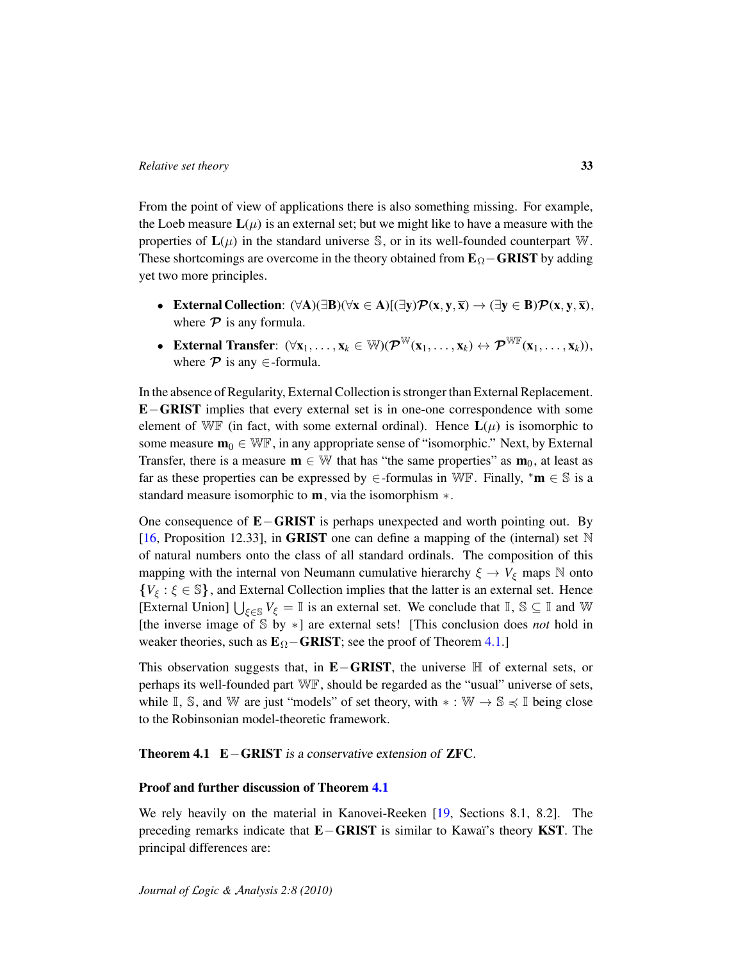From the point of view of applications there is also something missing. For example, the Loeb measure  $L(\mu)$  is an external set; but we might like to have a measure with the properties of  $L(\mu)$  in the standard universe S, or in its well-founded counterpart W. These shortcomings are overcome in the theory obtained from  $\mathbf{E}_{\Omega}$  – GRIST by adding yet two more principles.

- External Collection:  $(\forall A)(\exists B)(\forall x \in A)[(\exists y)\mathcal{P}(x, y, \overline{x}) \rightarrow (\exists y \in B)\mathcal{P}(x, y, \overline{x}),$ where  $P$  is any formula.
- External Transfer:  $(\forall x_1, \ldots, x_k \in \mathbb{W})(\mathcal{P}^{\mathbb{W}}(x_1, \ldots, x_k) \leftrightarrow \mathcal{P}^{\mathbb{W}^{\mathbb{F}}}(x_1, \ldots, x_k)),$ where  $\mathcal P$  is any  $\in$ -formula.

In the absence of Regularity, External Collection is stronger than External Replacement. E−GRIST implies that every external set is in one-one correspondence with some element of WF (in fact, with some external ordinal). Hence  $\mathbf{L}(\mu)$  is isomorphic to some measure  $\mathbf{m}_0 \in \mathbb{W} \mathbb{F}$ , in any appropriate sense of "isomorphic." Next, by External Transfer, there is a measure  $\mathbf{m} \in \mathbb{W}$  that has "the same properties" as  $\mathbf{m}_0$ , at least as far as these properties can be expressed by  $\in$ -formulas in WF. Finally,  $^*m \in \mathbb{S}$  is a standard measure isomorphic to **m**, via the isomorphism  $*$ .

One consequence of E−GRIST is perhaps unexpected and worth pointing out. By [\[16,](#page-36-3) Proposition 12.33], in GRIST one can define a mapping of the (internal) set  $\mathbb N$ of natural numbers onto the class of all standard ordinals. The composition of this mapping with the internal von Neumann cumulative hierarchy  $\xi \to V_{\xi}$  maps N onto  ${V_{\xi} : \xi \in \mathbb{S}}$ , and External Collection implies that the latter is an external set. Hence [External Union]  $\bigcup_{\xi \in \mathbb{S}} V_{\xi} = \mathbb{I}$  is an external set. We conclude that  $\mathbb{I}, \mathbb{S} \subseteq \mathbb{I}$  and W [the inverse image of S by ∗] are external sets! [This conclusion does *not* hold in weaker theories, such as  $\mathbf{E}_{\Omega}$ −GRIST; see the proof of Theorem [4.1.](#page-32-0)]

This observation suggests that, in  $E-GRIST$ , the universe  $H$  of external sets, or perhaps its well-founded part WF, should be regarded as the "usual" universe of sets, while  $\mathbb{I}, \mathbb{S}$ , and W are just "models" of set theory, with  $* : \mathbb{W} \to \mathbb{S} \leq \mathbb{I}$  being close to the Robinsonian model-theoretic framework.

<span id="page-32-0"></span>Theorem 4.1 E−GRIST is a conservative extension of ZFC.

#### Proof and further discussion of Theorem [4.1](#page-32-0)

We rely heavily on the material in Kanovei-Reeken [\[19,](#page-36-9) Sections 8.1, 8.2]. The preceding remarks indicate that **E−GRIST** is similar to Kawaï's theory **KST**. The principal differences are: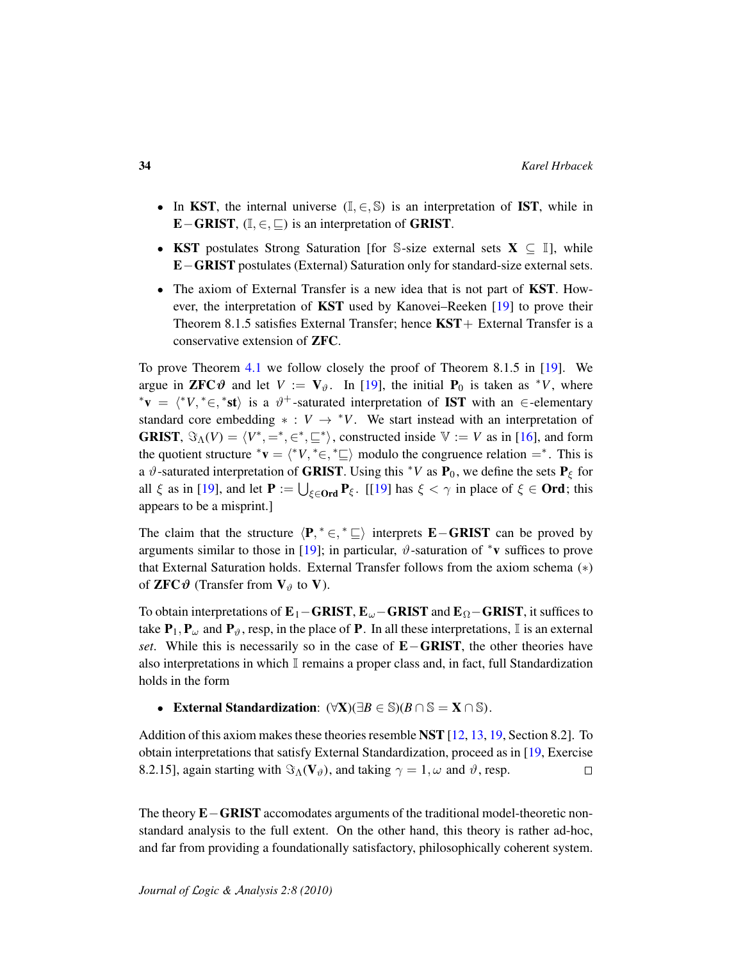- In KST, the internal universe  $(I, \in, \mathbb{S})$  is an interpretation of IST, while in E−GRIST,  $(I, \in, \sqsubseteq)$  is an interpretation of GRIST.
- KST postulates Strong Saturation [for S-size external sets  $X \subseteq \mathbb{I}$ ], while E−GRIST postulates (External) Saturation only for standard-size external sets.
- The axiom of External Transfer is a new idea that is not part of **KST**. However, the interpretation of KST used by Kanovei–Reeken [\[19\]](#page-36-9) to prove their Theorem 8.1.5 satisfies External Transfer; hence  $KST+$  External Transfer is a conservative extension of ZFC.

To prove Theorem [4.1](#page-32-0) we follow closely the proof of Theorem 8.1.5 in [\[19\]](#page-36-9). We argue in **ZFC** $\vartheta$  and let  $V := V_{\vartheta}$ . In [\[19\]](#page-36-9), the initial  $P_0$  is taken as <sup>\*</sup>*V*, where \***v** =  $\langle *V, * \in, *st \rangle$  is a  $\vartheta^+$ -saturated interpretation of **IST** with an  $\in$ -elementary standard core embedding  $* : V \rightarrow *V$ . We start instead with an interpretation of **GRIST**,  $\Im_{\Lambda}(V) = \langle V^*, =^*, \infty^*, \sqsubseteq^* \rangle$ , constructed inside  $V := V$  as in [\[16\]](#page-36-3), and form the quotient structure \* $\mathbf{v} = \langle {}^*V, {}^* \in {}^* \sqsubseteq \rangle$  modulo the congruence relation =<sup>\*</sup>. This is a  $\vartheta$ -saturated interpretation of **GRIST**. Using this <sup>\*</sup>*V* as **P**<sub>0</sub>, we define the sets **P**<sub> $\xi$ </sub> for all  $\xi$  as in [\[19\]](#page-36-9), and let  $P := \bigcup_{\xi \in \mathbf{Ord}} P_{\xi}$ . [[19] has  $\xi < \gamma$  in place of  $\xi \in \mathbf{Ord}$ ; this appears to be a misprint.]

The claim that the structure  $\langle P, * \in, * \sqsubseteq \rangle$  interprets **E**−GRIST can be proved by arguments similar to those in [\[19\]](#page-36-9); in particular,  $\vartheta$ -saturation of  $*$ v suffices to prove that External Saturation holds. External Transfer follows from the axiom schema (∗) of **ZFC** $\vartheta$  (Transfer from  $V_{\vartheta}$  to V).

To obtain interpretations of  $E_1$ –GRIST,  $E_\omega$ –GRIST and  $E_\Omega$ –GRIST, it suffices to take  $P_1, P_\omega$  and  $P_\vartheta$ , resp, in the place of P. In all these interpretations, I is an external *set*. While this is necessarily so in the case of **E**−GRIST, the other theories have also interpretations in which  $\mathbb I$  remains a proper class and, in fact, full Standardization holds in the form

• External Standardization:  $(\forall X)(\exists B \in \mathbb{S})(B \cap \mathbb{S} = X \cap \mathbb{S})$ .

Addition of this axiom makes these theories resemble NST [\[12,](#page-35-11) [13,](#page-35-10) [19,](#page-36-9) Section 8.2]. To obtain interpretations that satisfy External Standardization, proceed as in [\[19,](#page-36-9) Exercise 8.2.15], again starting with  $\Im_{\Lambda}(V_{\vartheta})$ , and taking  $\gamma = 1, \omega$  and  $\vartheta$ , resp.  $\Box$ 

The theory **E**−GRIST accomodates arguments of the traditional model-theoretic nonstandard analysis to the full extent. On the other hand, this theory is rather ad-hoc, and far from providing a foundationally satisfactory, philosophically coherent system.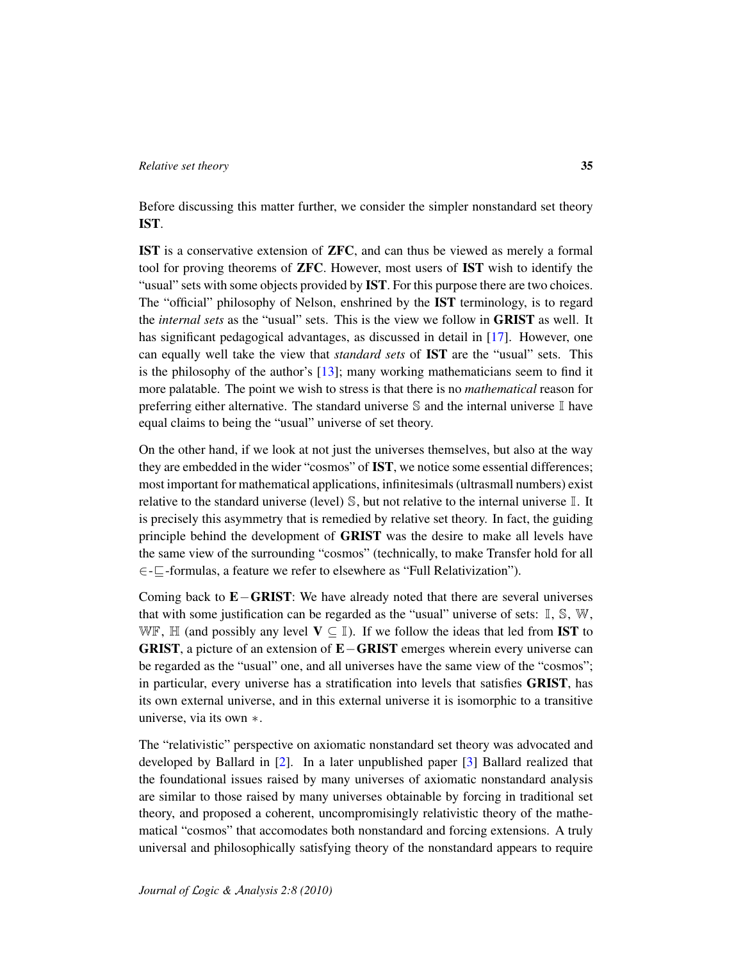Before discussing this matter further, we consider the simpler nonstandard set theory IST.

IST is a conservative extension of ZFC, and can thus be viewed as merely a formal tool for proving theorems of ZFC. However, most users of IST wish to identify the "usual" sets with some objects provided by **IST**. For this purpose there are two choices. The "official" philosophy of Nelson, enshrined by the IST terminology, is to regard the *internal sets* as the "usual" sets. This is the view we follow in GRIST as well. It has significant pedagogical advantages, as discussed in detail in [\[17\]](#page-36-4). However, one can equally well take the view that *standard sets* of IST are the "usual" sets. This is the philosophy of the author's [\[13\]](#page-35-10); many working mathematicians seem to find it more palatable. The point we wish to stress is that there is no *mathematical* reason for preferring either alternative. The standard universe  $\mathbb S$  and the internal universe  $\mathbb I$  have equal claims to being the "usual" universe of set theory.

On the other hand, if we look at not just the universes themselves, but also at the way they are embedded in the wider "cosmos" of IST, we notice some essential differences; most important for mathematical applications, infinitesimals (ultrasmall numbers) exist relative to the standard universe (level) S, but not relative to the internal universe I. It is precisely this asymmetry that is remedied by relative set theory. In fact, the guiding principle behind the development of GRIST was the desire to make all levels have the same view of the surrounding "cosmos" (technically, to make Transfer hold for all ∈-v-formulas, a feature we refer to elsewhere as "Full Relativization").

Coming back to E−GRIST: We have already noted that there are several universes that with some justification can be regarded as the "usual" universe of sets:  $\mathbb{I}, \mathbb{S}, \mathbb{W},$ WF, H (and possibly any level  $V \subseteq I$ ). If we follow the ideas that led from **IST** to GRIST, a picture of an extension of E−GRIST emerges wherein every universe can be regarded as the "usual" one, and all universes have the same view of the "cosmos"; in particular, every universe has a stratification into levels that satisfies GRIST, has its own external universe, and in this external universe it is isomorphic to a transitive universe, via its own ∗.

The "relativistic" perspective on axiomatic nonstandard set theory was advocated and developed by Ballard in [\[2\]](#page-35-12). In a later unpublished paper [\[3\]](#page-35-13) Ballard realized that the foundational issues raised by many universes of axiomatic nonstandard analysis are similar to those raised by many universes obtainable by forcing in traditional set theory, and proposed a coherent, uncompromisingly relativistic theory of the mathematical "cosmos" that accomodates both nonstandard and forcing extensions. A truly universal and philosophically satisfying theory of the nonstandard appears to require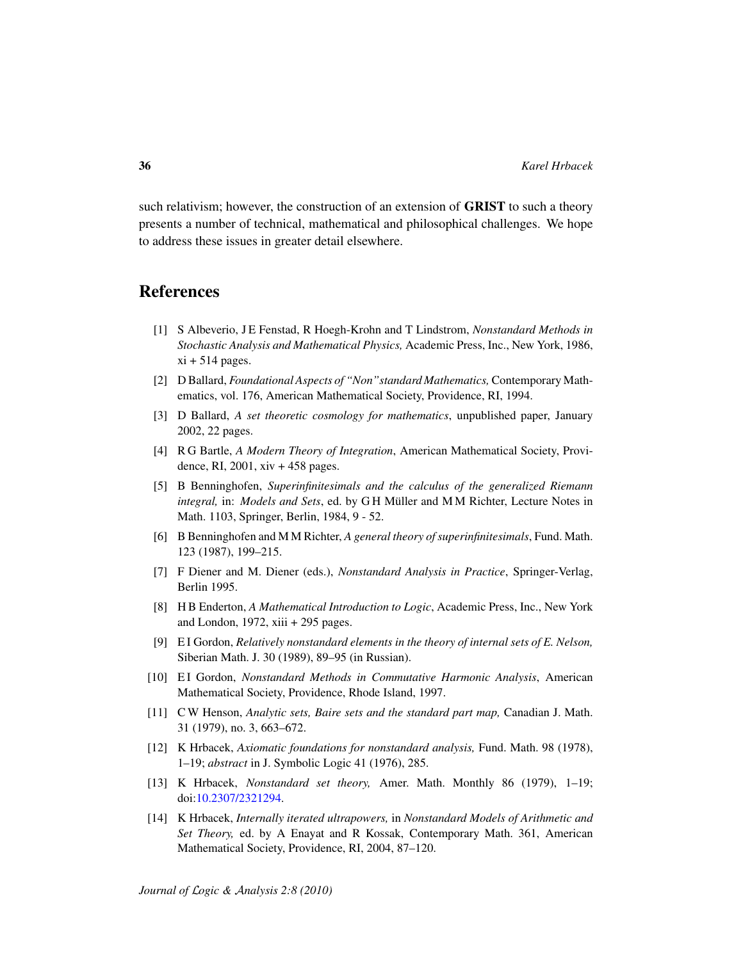such relativism; however, the construction of an extension of GRIST to such a theory presents a number of technical, mathematical and philosophical challenges. We hope to address these issues in greater detail elsewhere.

# References

- <span id="page-35-6"></span>[1] S Albeverio, J E Fenstad, R Hoegh-Krohn and T Lindstrom, *Nonstandard Methods in Stochastic Analysis and Mathematical Physics,* Academic Press, Inc., New York, 1986,  $xi + 514$  pages.
- <span id="page-35-12"></span>[2] D Ballard, *Foundational Aspects of "Non"standard Mathematics,* Contemporary Mathematics, vol. 176, American Mathematical Society, Providence, RI, 1994.
- <span id="page-35-13"></span>[3] D Ballard, *A set theoretic cosmology for mathematics*, unpublished paper, January 2002, 22 pages.
- <span id="page-35-8"></span>[4] R G Bartle, *A Modern Theory of Integration*, American Mathematical Society, Providence, RI, 2001, xiv + 458 pages.
- <span id="page-35-9"></span>[5] B Benninghofen, *Superinfinitesimals and the calculus of the generalized Riemann integral,* in: *Models and Sets, ed.* by GH Müller and MM Richter, Lecture Notes in Math. 1103, Springer, Berlin, 1984, 9 - 52.
- <span id="page-35-1"></span>[6] B Benninghofen and M M Richter, *A general theory of superinfinitesimals*, Fund. Math. 123 (1987), 199–215.
- <span id="page-35-5"></span>[7] F Diener and M. Diener (eds.), *Nonstandard Analysis in Practice*, Springer-Verlag, Berlin 1995.
- <span id="page-35-4"></span>[8] H B Enderton, *A Mathematical Introduction to Logic*, Academic Press, Inc., New York and London,  $1972$ , xiii  $+ 295$  pages.
- <span id="page-35-2"></span>[9] E I Gordon, *Relatively nonstandard elements in the theory of internal sets of E. Nelson,* Siberian Math. J. 30 (1989), 89–95 (in Russian).
- <span id="page-35-3"></span>[10] E I Gordon, *Nonstandard Methods in Commutative Harmonic Analysis*, American Mathematical Society, Providence, Rhode Island, 1997.
- <span id="page-35-7"></span>[11] C W Henson, *Analytic sets, Baire sets and the standard part map,* Canadian J. Math. 31 (1979), no. 3, 663–672.
- <span id="page-35-11"></span>[12] K Hrbacek, *Axiomatic foundations for nonstandard analysis,* Fund. Math. 98 (1978), 1–19; *abstract* in J. Symbolic Logic 41 (1976), 285.
- <span id="page-35-10"></span>[13] K Hrbacek, *Nonstandard set theory,* Amer. Math. Monthly 86 (1979), 1–19; doi[:10.2307/2321294.](http://dx.doi.org/10.2307/2321294)
- <span id="page-35-0"></span>[14] K Hrbacek, *Internally iterated ultrapowers,* in *Nonstandard Models of Arithmetic and Set Theory,* ed. by A Enayat and R Kossak, Contemporary Math. 361, American Mathematical Society, Providence, RI, 2004, 87–120.